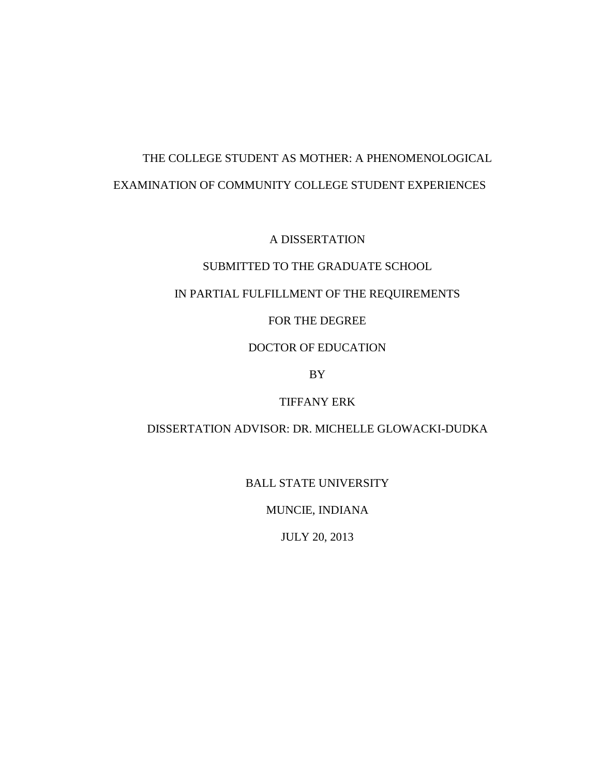# THE COLLEGE STUDENT AS MOTHER: A PHENOMENOLOGICAL EXAMINATION OF COMMUNITY COLLEGE STUDENT EXPERIENCES

A DISSERTATION

## SUBMITTED TO THE GRADUATE SCHOOL

### IN PARTIAL FULFILLMENT OF THE REQUIREMENTS

# FOR THE DEGREE

### DOCTOR OF EDUCATION

BY

# TIFFANY ERK

# DISSERTATION ADVISOR: DR. MICHELLE GLOWACKI-DUDKA

BALL STATE UNIVERSITY

MUNCIE, INDIANA

JULY 20, 2013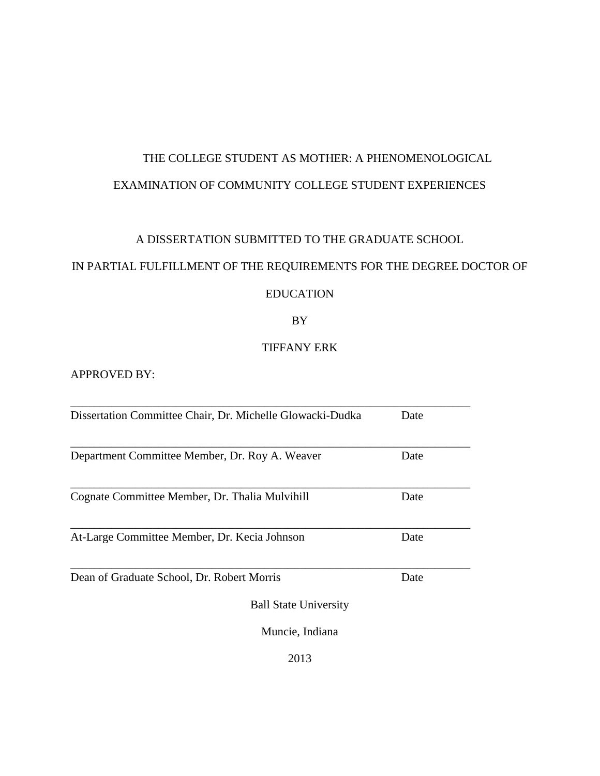# THE COLLEGE STUDENT AS MOTHER: A PHENOMENOLOGICAL EXAMINATION OF COMMUNITY COLLEGE STUDENT EXPERIENCES

# A DISSERTATION SUBMITTED TO THE GRADUATE SCHOOL

# IN PARTIAL FULFILLMENT OF THE REQUIREMENTS FOR THE DEGREE DOCTOR OF

# EDUCATION

# BY

# TIFFANY ERK

# APPROVED BY:

| Dissertation Committee Chair, Dr. Michelle Glowacki-Dudka | Date |
|-----------------------------------------------------------|------|
| Department Committee Member, Dr. Roy A. Weaver            | Date |
| Cognate Committee Member, Dr. Thalia Mulvihill            | Date |
| At-Large Committee Member, Dr. Kecia Johnson              | Date |
| Dean of Graduate School, Dr. Robert Morris                | Date |
| <b>Ball State University</b>                              |      |
| Muncie, Indiana                                           |      |
|                                                           |      |

2013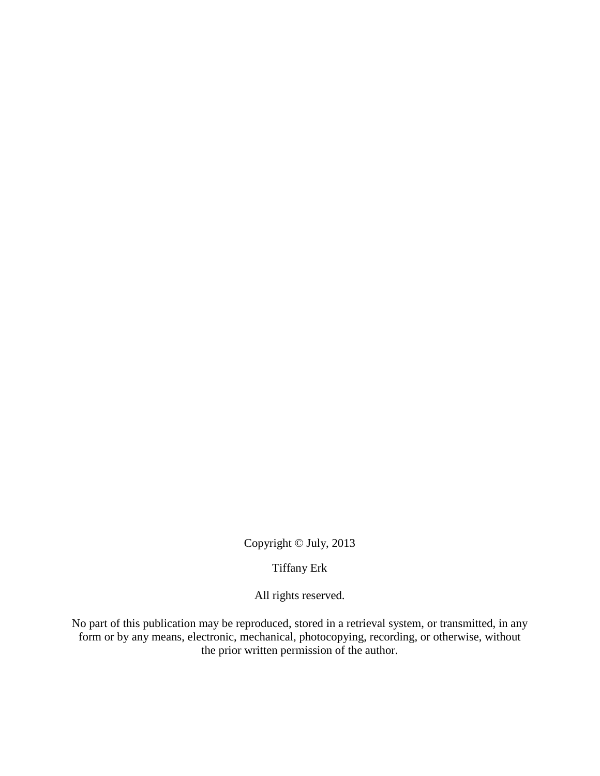Copyright © July, 2013

Tiffany Erk

All rights reserved.

No part of this publication may be reproduced, stored in a retrieval system, or transmitted, in any form or by any means, electronic, mechanical, photocopying, recording, or otherwise, without the prior written permission of the author.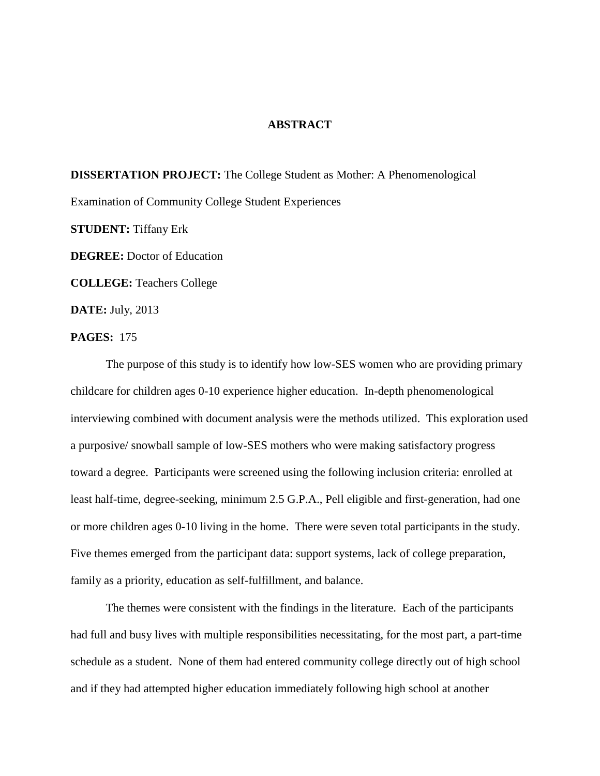#### **ABSTRACT**

**DISSERTATION PROJECT:** The College Student as Mother: A Phenomenological Examination of Community College Student Experiences **STUDENT:** Tiffany Erk **DEGREE:** Doctor of Education **COLLEGE:** Teachers College **DATE:** July, 2013

**PAGES:** 175

The purpose of this study is to identify how low-SES women who are providing primary childcare for children ages 0-10 experience higher education. In-depth phenomenological interviewing combined with document analysis were the methods utilized. This exploration used a purposive/ snowball sample of low-SES mothers who were making satisfactory progress toward a degree. Participants were screened using the following inclusion criteria: enrolled at least half-time, degree-seeking, minimum 2.5 G.P.A., Pell eligible and first-generation, had one or more children ages 0-10 living in the home. There were seven total participants in the study. Five themes emerged from the participant data: support systems, lack of college preparation, family as a priority, education as self-fulfillment, and balance.

The themes were consistent with the findings in the literature. Each of the participants had full and busy lives with multiple responsibilities necessitating, for the most part, a part-time schedule as a student. None of them had entered community college directly out of high school and if they had attempted higher education immediately following high school at another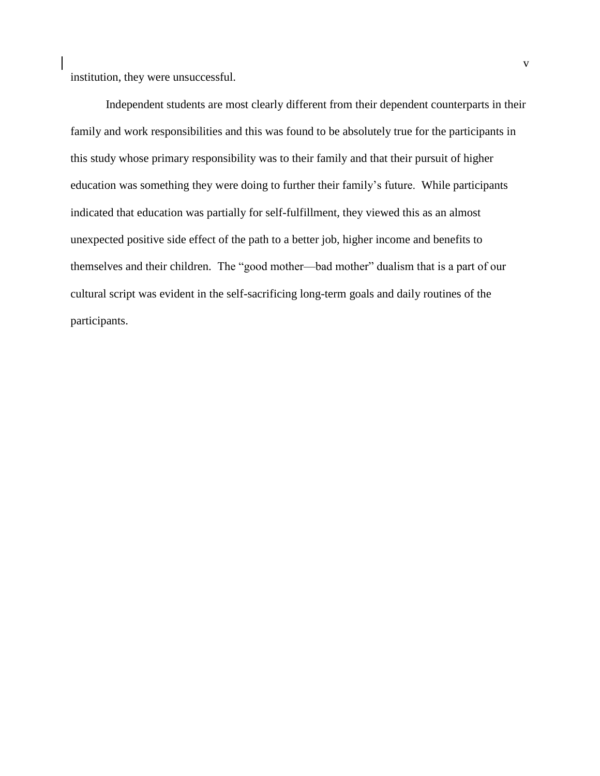institution, they were unsuccessful.

Independent students are most clearly different from their dependent counterparts in their family and work responsibilities and this was found to be absolutely true for the participants in this study whose primary responsibility was to their family and that their pursuit of higher education was something they were doing to further their family's future. While participants indicated that education was partially for self-fulfillment, they viewed this as an almost unexpected positive side effect of the path to a better job, higher income and benefits to themselves and their children. The "good mother—bad mother" dualism that is a part of our cultural script was evident in the self-sacrificing long-term goals and daily routines of the participants.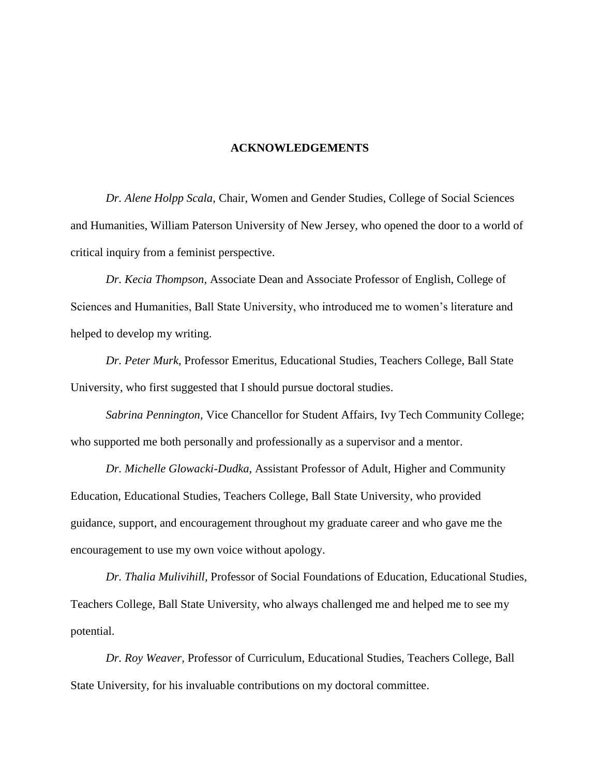### **ACKNOWLEDGEMENTS**

*Dr. Alene Holpp Scala*, Chair, Women and Gender Studies, College of Social Sciences and Humanities, William Paterson University of New Jersey, who opened the door to a world of critical inquiry from a feminist perspective.

*Dr. Kecia Thompson,* Associate Dean and Associate Professor of English, College of Sciences and Humanities, Ball State University, who introduced me to women's literature and helped to develop my writing.

*Dr. Peter Murk*, Professor Emeritus, Educational Studies, Teachers College, Ball State University, who first suggested that I should pursue doctoral studies.

*Sabrina Pennington,* Vice Chancellor for Student Affairs, Ivy Tech Community College; who supported me both personally and professionally as a supervisor and a mentor.

*Dr. Michelle Glowacki-Dudka*, Assistant Professor of Adult, Higher and Community Education, Educational Studies, Teachers College, Ball State University, who provided guidance, support, and encouragement throughout my graduate career and who gave me the encouragement to use my own voice without apology.

*Dr. Thalia Mulivihill,* Professor of Social Foundations of Education, Educational Studies, Teachers College, Ball State University, who always challenged me and helped me to see my potential.

*Dr. Roy Weaver,* Professor of Curriculum, Educational Studies, Teachers College, Ball State University, for his invaluable contributions on my doctoral committee.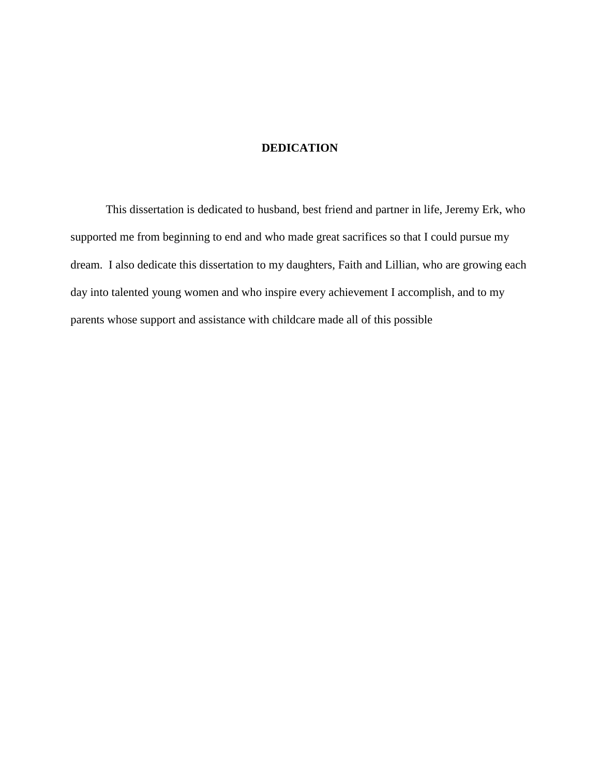### **DEDICATION**

This dissertation is dedicated to husband, best friend and partner in life, Jeremy Erk, who supported me from beginning to end and who made great sacrifices so that I could pursue my dream. I also dedicate this dissertation to my daughters, Faith and Lillian, who are growing each day into talented young women and who inspire every achievement I accomplish, and to my parents whose support and assistance with childcare made all of this possible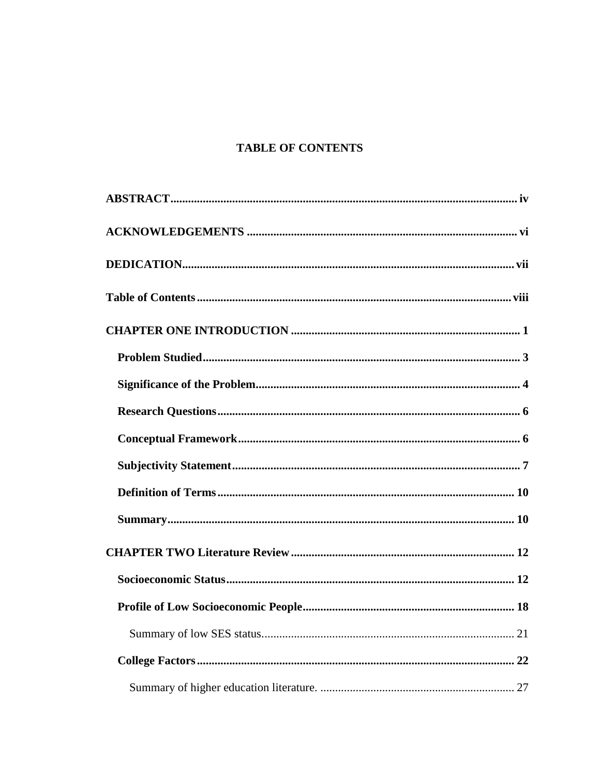# **TABLE OF CONTENTS**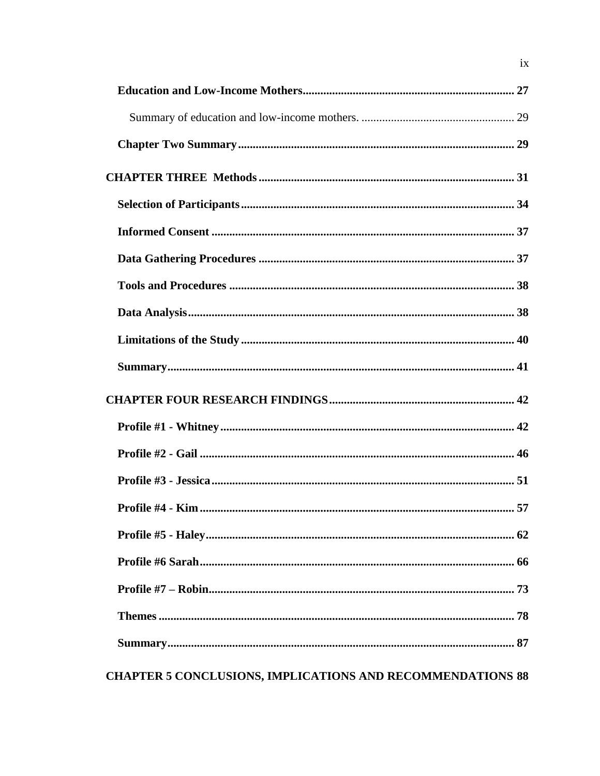| <b>CHAPTER 5 CONCLUSIONS, IMPLICATIONS AND RECOMMENDATIONS 88</b> |  |
|-------------------------------------------------------------------|--|

 $i\mathbf{x}$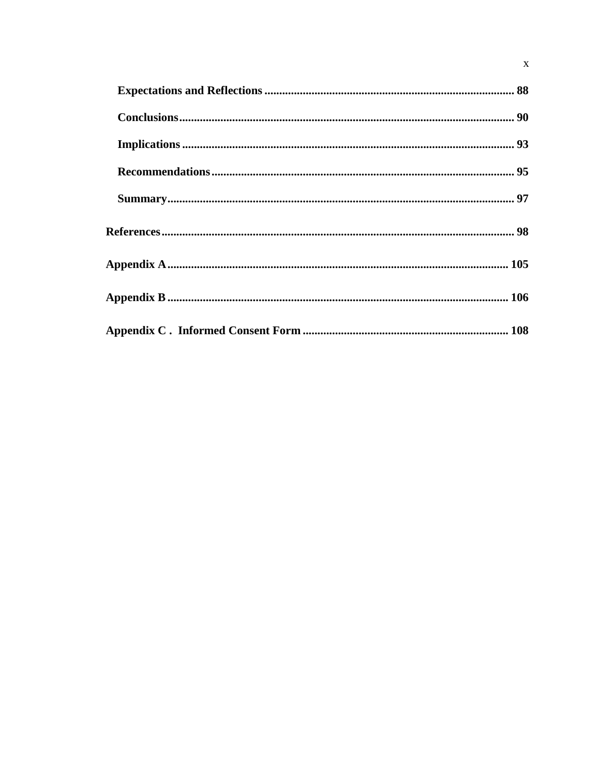$\mathbf x$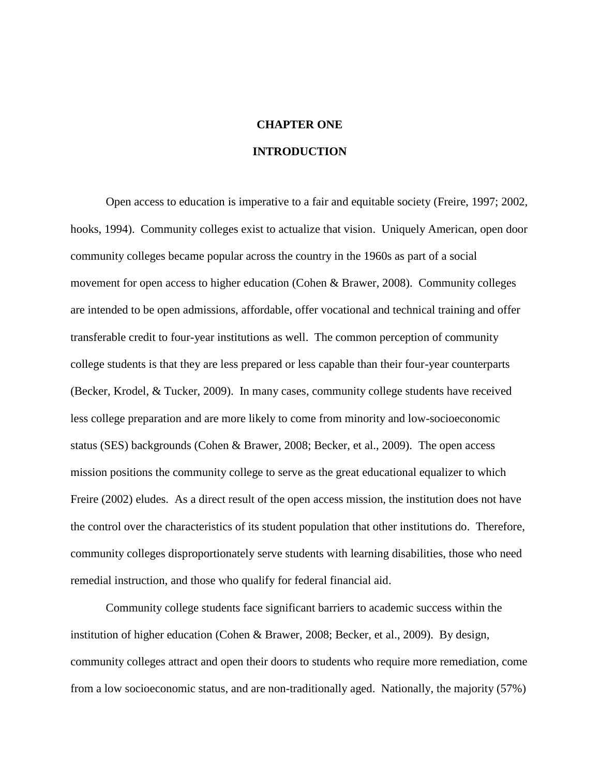# **CHAPTER ONE**

# **INTRODUCTION**

Open access to education is imperative to a fair and equitable society (Freire, 1997; 2002, hooks, 1994). Community colleges exist to actualize that vision. Uniquely American, open door community colleges became popular across the country in the 1960s as part of a social movement for open access to higher education (Cohen & Brawer, 2008). Community colleges are intended to be open admissions, affordable, offer vocational and technical training and offer transferable credit to four-year institutions as well. The common perception of community college students is that they are less prepared or less capable than their four-year counterparts (Becker, Krodel, & Tucker, 2009). In many cases, community college students have received less college preparation and are more likely to come from minority and low-socioeconomic status (SES) backgrounds (Cohen & Brawer, 2008; Becker, et al., 2009). The open access mission positions the community college to serve as the great educational equalizer to which Freire (2002) eludes. As a direct result of the open access mission, the institution does not have the control over the characteristics of its student population that other institutions do. Therefore, community colleges disproportionately serve students with learning disabilities, those who need remedial instruction, and those who qualify for federal financial aid.

Community college students face significant barriers to academic success within the institution of higher education (Cohen & Brawer, 2008; Becker, et al., 2009). By design, community colleges attract and open their doors to students who require more remediation, come from a low socioeconomic status, and are non-traditionally aged. Nationally, the majority (57%)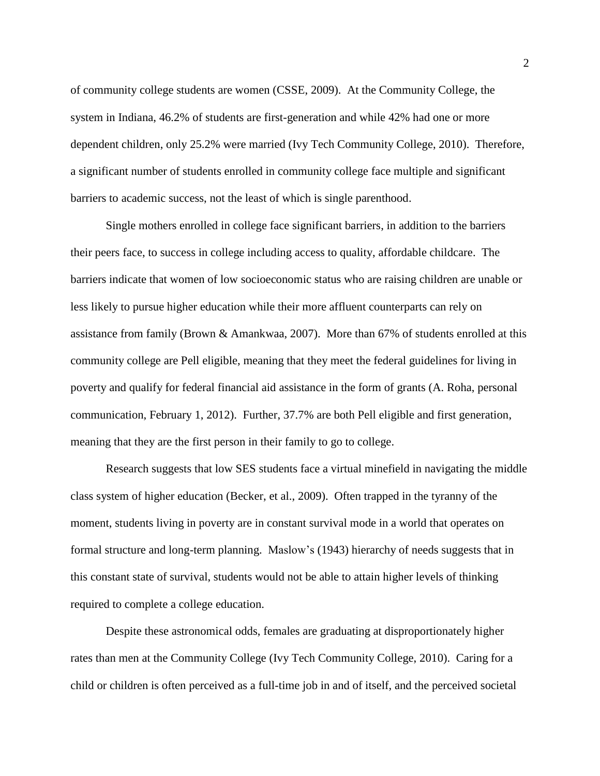of community college students are women (CSSE, 2009). At the Community College, the system in Indiana, 46.2% of students are first-generation and while 42% had one or more dependent children, only 25.2% were married (Ivy Tech Community College, 2010). Therefore, a significant number of students enrolled in community college face multiple and significant barriers to academic success, not the least of which is single parenthood.

Single mothers enrolled in college face significant barriers, in addition to the barriers their peers face, to success in college including access to quality, affordable childcare. The barriers indicate that women of low socioeconomic status who are raising children are unable or less likely to pursue higher education while their more affluent counterparts can rely on assistance from family (Brown & Amankwaa, 2007). More than 67% of students enrolled at this community college are Pell eligible, meaning that they meet the federal guidelines for living in poverty and qualify for federal financial aid assistance in the form of grants (A. Roha, personal communication, February 1, 2012). Further, 37.7% are both Pell eligible and first generation, meaning that they are the first person in their family to go to college.

Research suggests that low SES students face a virtual minefield in navigating the middle class system of higher education (Becker, et al., 2009). Often trapped in the tyranny of the moment, students living in poverty are in constant survival mode in a world that operates on formal structure and long-term planning. Maslow's (1943) hierarchy of needs suggests that in this constant state of survival, students would not be able to attain higher levels of thinking required to complete a college education.

Despite these astronomical odds, females are graduating at disproportionately higher rates than men at the Community College (Ivy Tech Community College, 2010). Caring for a child or children is often perceived as a full-time job in and of itself, and the perceived societal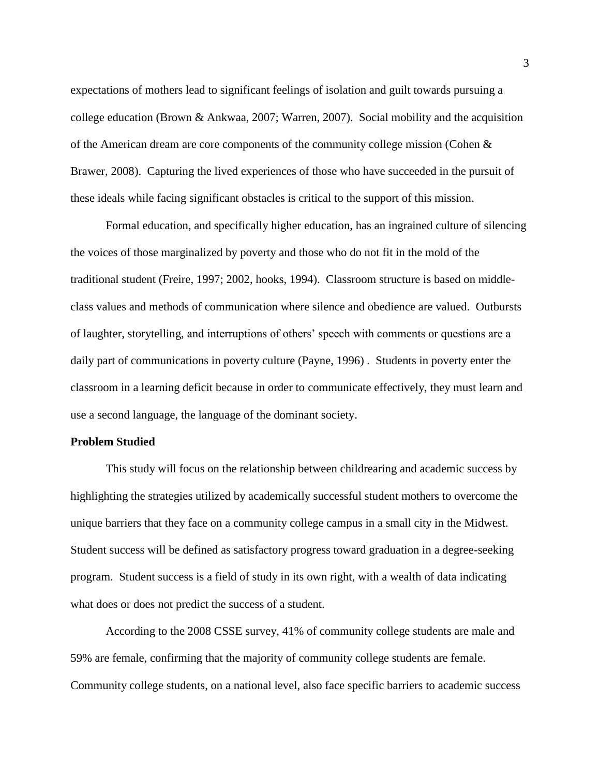expectations of mothers lead to significant feelings of isolation and guilt towards pursuing a college education (Brown & Ankwaa, 2007; Warren, 2007). Social mobility and the acquisition of the American dream are core components of the community college mission (Cohen  $\&$ Brawer, 2008). Capturing the lived experiences of those who have succeeded in the pursuit of these ideals while facing significant obstacles is critical to the support of this mission.

Formal education, and specifically higher education, has an ingrained culture of silencing the voices of those marginalized by poverty and those who do not fit in the mold of the traditional student (Freire, 1997; 2002, hooks, 1994). Classroom structure is based on middleclass values and methods of communication where silence and obedience are valued. Outbursts of laughter, storytelling, and interruptions of others' speech with comments or questions are a daily part of communications in poverty culture (Payne, 1996) . Students in poverty enter the classroom in a learning deficit because in order to communicate effectively, they must learn and use a second language, the language of the dominant society.

### **Problem Studied**

This study will focus on the relationship between childrearing and academic success by highlighting the strategies utilized by academically successful student mothers to overcome the unique barriers that they face on a community college campus in a small city in the Midwest. Student success will be defined as satisfactory progress toward graduation in a degree-seeking program. Student success is a field of study in its own right, with a wealth of data indicating what does or does not predict the success of a student.

According to the 2008 CSSE survey, 41% of community college students are male and 59% are female, confirming that the majority of community college students are female. Community college students, on a national level, also face specific barriers to academic success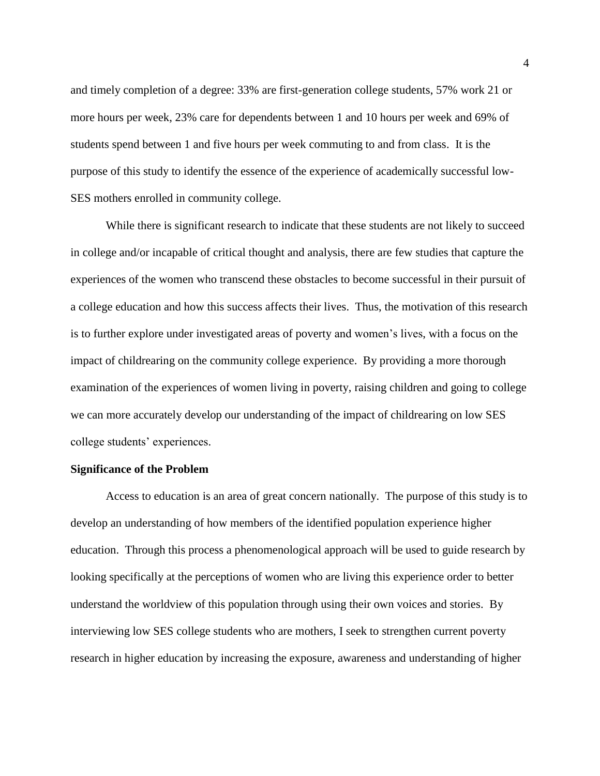and timely completion of a degree: 33% are first-generation college students, 57% work 21 or more hours per week, 23% care for dependents between 1 and 10 hours per week and 69% of students spend between 1 and five hours per week commuting to and from class. It is the purpose of this study to identify the essence of the experience of academically successful low-SES mothers enrolled in community college.

While there is significant research to indicate that these students are not likely to succeed in college and/or incapable of critical thought and analysis, there are few studies that capture the experiences of the women who transcend these obstacles to become successful in their pursuit of a college education and how this success affects their lives. Thus, the motivation of this research is to further explore under investigated areas of poverty and women's lives, with a focus on the impact of childrearing on the community college experience. By providing a more thorough examination of the experiences of women living in poverty, raising children and going to college we can more accurately develop our understanding of the impact of childrearing on low SES college students' experiences.

#### **Significance of the Problem**

Access to education is an area of great concern nationally. The purpose of this study is to develop an understanding of how members of the identified population experience higher education. Through this process a phenomenological approach will be used to guide research by looking specifically at the perceptions of women who are living this experience order to better understand the worldview of this population through using their own voices and stories. By interviewing low SES college students who are mothers, I seek to strengthen current poverty research in higher education by increasing the exposure, awareness and understanding of higher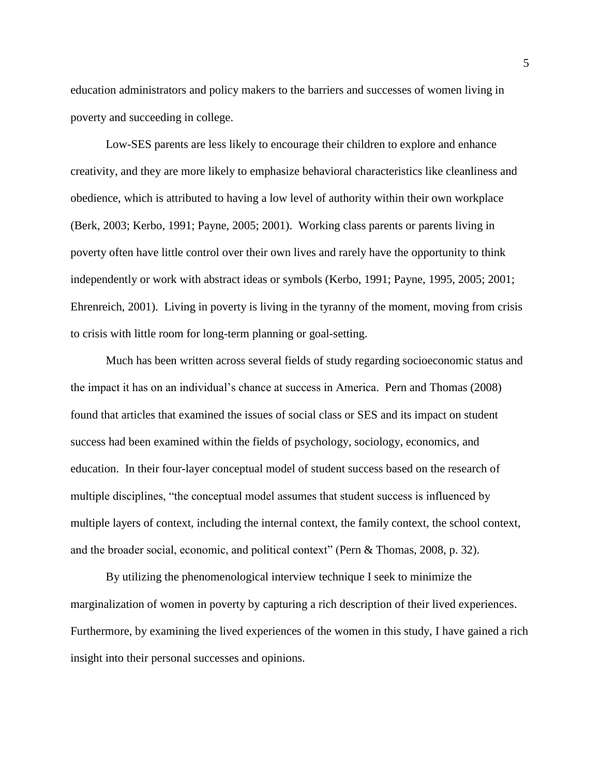education administrators and policy makers to the barriers and successes of women living in poverty and succeeding in college.

Low-SES parents are less likely to encourage their children to explore and enhance creativity, and they are more likely to emphasize behavioral characteristics like cleanliness and obedience, which is attributed to having a low level of authority within their own workplace (Berk, 2003; Kerbo, 1991; Payne, 2005; 2001). Working class parents or parents living in poverty often have little control over their own lives and rarely have the opportunity to think independently or work with abstract ideas or symbols (Kerbo, 1991; Payne, 1995, 2005; 2001; Ehrenreich, 2001). Living in poverty is living in the tyranny of the moment, moving from crisis to crisis with little room for long-term planning or goal-setting.

Much has been written across several fields of study regarding socioeconomic status and the impact it has on an individual's chance at success in America. Pern and Thomas (2008) found that articles that examined the issues of social class or SES and its impact on student success had been examined within the fields of psychology, sociology, economics, and education. In their four-layer conceptual model of student success based on the research of multiple disciplines, "the conceptual model assumes that student success is influenced by multiple layers of context, including the internal context, the family context, the school context, and the broader social, economic, and political context" (Pern & Thomas, 2008, p. 32).

By utilizing the phenomenological interview technique I seek to minimize the marginalization of women in poverty by capturing a rich description of their lived experiences. Furthermore, by examining the lived experiences of the women in this study, I have gained a rich insight into their personal successes and opinions.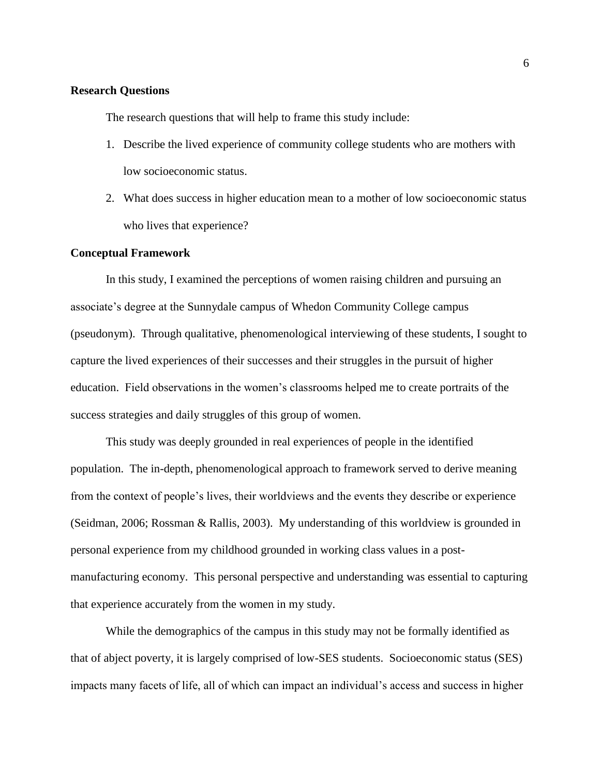### **Research Questions**

The research questions that will help to frame this study include:

- 1. Describe the lived experience of community college students who are mothers with low socioeconomic status.
- 2. What does success in higher education mean to a mother of low socioeconomic status who lives that experience?

### **Conceptual Framework**

In this study, I examined the perceptions of women raising children and pursuing an associate's degree at the Sunnydale campus of Whedon Community College campus (pseudonym). Through qualitative, phenomenological interviewing of these students, I sought to capture the lived experiences of their successes and their struggles in the pursuit of higher education. Field observations in the women's classrooms helped me to create portraits of the success strategies and daily struggles of this group of women.

This study was deeply grounded in real experiences of people in the identified population. The in-depth, phenomenological approach to framework served to derive meaning from the context of people's lives, their worldviews and the events they describe or experience (Seidman, 2006; Rossman & Rallis, 2003). My understanding of this worldview is grounded in personal experience from my childhood grounded in working class values in a postmanufacturing economy. This personal perspective and understanding was essential to capturing that experience accurately from the women in my study.

While the demographics of the campus in this study may not be formally identified as that of abject poverty, it is largely comprised of low-SES students. Socioeconomic status (SES) impacts many facets of life, all of which can impact an individual's access and success in higher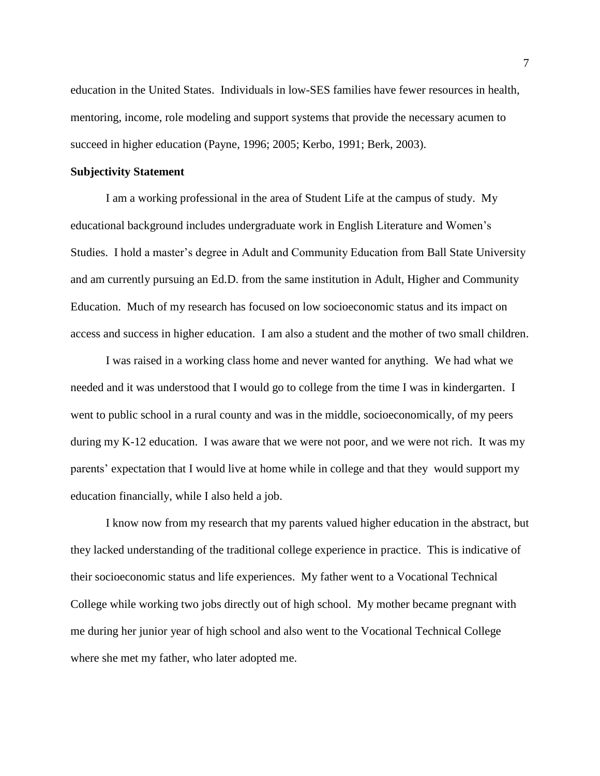education in the United States. Individuals in low-SES families have fewer resources in health, mentoring, income, role modeling and support systems that provide the necessary acumen to succeed in higher education (Payne, 1996; 2005; Kerbo, 1991; Berk, 2003).

### **Subjectivity Statement**

I am a working professional in the area of Student Life at the campus of study. My educational background includes undergraduate work in English Literature and Women's Studies. I hold a master's degree in Adult and Community Education from Ball State University and am currently pursuing an Ed.D. from the same institution in Adult, Higher and Community Education. Much of my research has focused on low socioeconomic status and its impact on access and success in higher education. I am also a student and the mother of two small children.

I was raised in a working class home and never wanted for anything. We had what we needed and it was understood that I would go to college from the time I was in kindergarten. I went to public school in a rural county and was in the middle, socioeconomically, of my peers during my K-12 education. I was aware that we were not poor, and we were not rich. It was my parents' expectation that I would live at home while in college and that they would support my education financially, while I also held a job.

I know now from my research that my parents valued higher education in the abstract, but they lacked understanding of the traditional college experience in practice. This is indicative of their socioeconomic status and life experiences. My father went to a Vocational Technical College while working two jobs directly out of high school. My mother became pregnant with me during her junior year of high school and also went to the Vocational Technical College where she met my father, who later adopted me.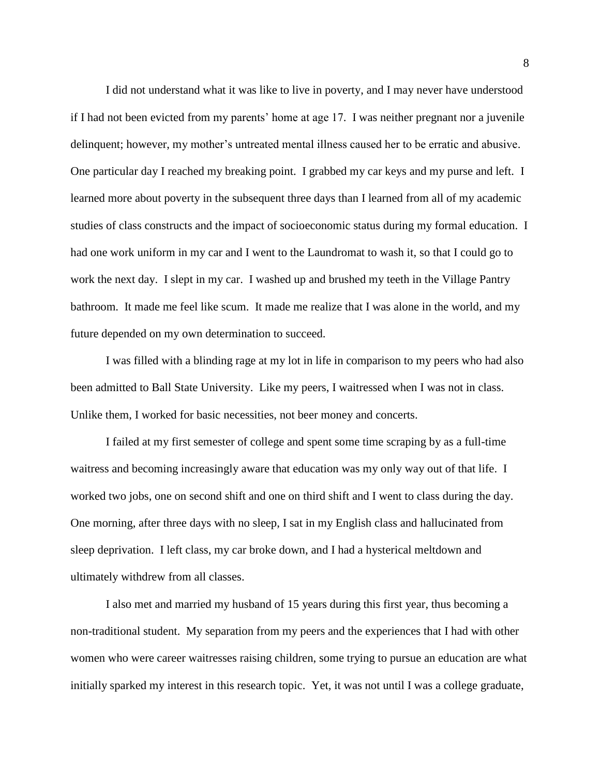I did not understand what it was like to live in poverty, and I may never have understood if I had not been evicted from my parents' home at age 17. I was neither pregnant nor a juvenile delinquent; however, my mother's untreated mental illness caused her to be erratic and abusive. One particular day I reached my breaking point. I grabbed my car keys and my purse and left. I learned more about poverty in the subsequent three days than I learned from all of my academic studies of class constructs and the impact of socioeconomic status during my formal education. I had one work uniform in my car and I went to the Laundromat to wash it, so that I could go to work the next day. I slept in my car. I washed up and brushed my teeth in the Village Pantry bathroom. It made me feel like scum. It made me realize that I was alone in the world, and my future depended on my own determination to succeed.

I was filled with a blinding rage at my lot in life in comparison to my peers who had also been admitted to Ball State University. Like my peers, I waitressed when I was not in class. Unlike them, I worked for basic necessities, not beer money and concerts.

I failed at my first semester of college and spent some time scraping by as a full-time waitress and becoming increasingly aware that education was my only way out of that life. I worked two jobs, one on second shift and one on third shift and I went to class during the day. One morning, after three days with no sleep, I sat in my English class and hallucinated from sleep deprivation. I left class, my car broke down, and I had a hysterical meltdown and ultimately withdrew from all classes.

I also met and married my husband of 15 years during this first year, thus becoming a non-traditional student. My separation from my peers and the experiences that I had with other women who were career waitresses raising children, some trying to pursue an education are what initially sparked my interest in this research topic. Yet, it was not until I was a college graduate,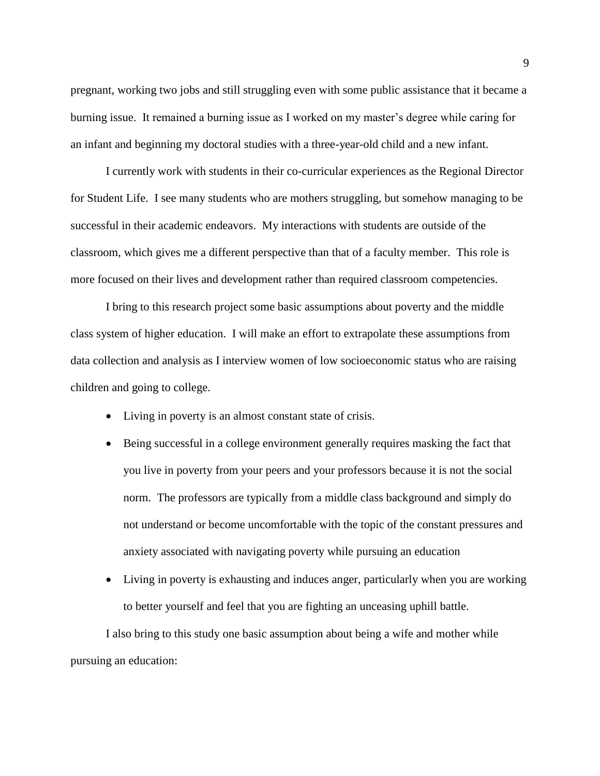pregnant, working two jobs and still struggling even with some public assistance that it became a burning issue. It remained a burning issue as I worked on my master's degree while caring for an infant and beginning my doctoral studies with a three-year-old child and a new infant.

I currently work with students in their co-curricular experiences as the Regional Director for Student Life. I see many students who are mothers struggling, but somehow managing to be successful in their academic endeavors. My interactions with students are outside of the classroom, which gives me a different perspective than that of a faculty member. This role is more focused on their lives and development rather than required classroom competencies.

I bring to this research project some basic assumptions about poverty and the middle class system of higher education. I will make an effort to extrapolate these assumptions from data collection and analysis as I interview women of low socioeconomic status who are raising children and going to college.

- Living in poverty is an almost constant state of crisis.
- Being successful in a college environment generally requires masking the fact that you live in poverty from your peers and your professors because it is not the social norm. The professors are typically from a middle class background and simply do not understand or become uncomfortable with the topic of the constant pressures and anxiety associated with navigating poverty while pursuing an education
- Living in poverty is exhausting and induces anger, particularly when you are working to better yourself and feel that you are fighting an unceasing uphill battle.

I also bring to this study one basic assumption about being a wife and mother while pursuing an education: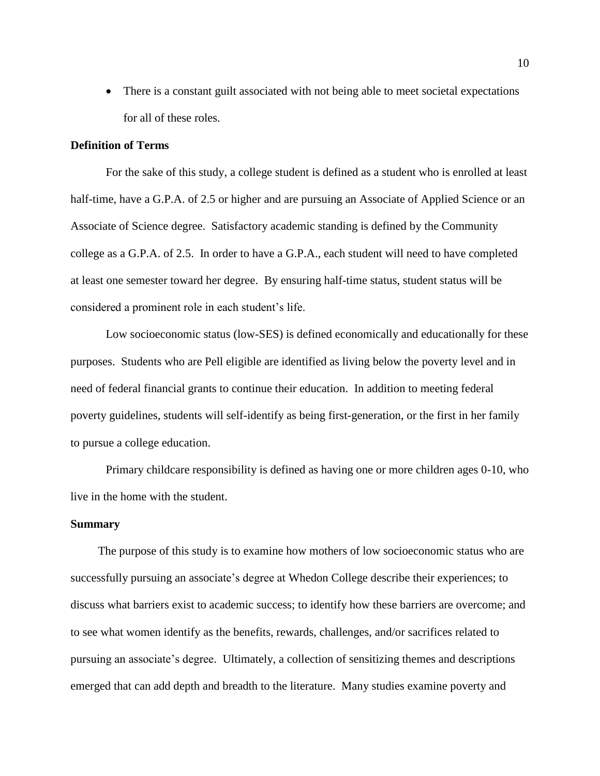• There is a constant guilt associated with not being able to meet societal expectations for all of these roles.

### **Definition of Terms**

For the sake of this study, a college student is defined as a student who is enrolled at least half-time, have a G.P.A. of 2.5 or higher and are pursuing an Associate of Applied Science or an Associate of Science degree. Satisfactory academic standing is defined by the Community college as a G.P.A. of 2.5. In order to have a G.P.A., each student will need to have completed at least one semester toward her degree. By ensuring half-time status, student status will be considered a prominent role in each student's life.

Low socioeconomic status (low-SES) is defined economically and educationally for these purposes. Students who are Pell eligible are identified as living below the poverty level and in need of federal financial grants to continue their education. In addition to meeting federal poverty guidelines, students will self-identify as being first-generation, or the first in her family to pursue a college education.

Primary childcare responsibility is defined as having one or more children ages 0-10, who live in the home with the student.

### **Summary**

The purpose of this study is to examine how mothers of low socioeconomic status who are successfully pursuing an associate's degree at Whedon College describe their experiences; to discuss what barriers exist to academic success; to identify how these barriers are overcome; and to see what women identify as the benefits, rewards, challenges, and/or sacrifices related to pursuing an associate's degree. Ultimately, a collection of sensitizing themes and descriptions emerged that can add depth and breadth to the literature. Many studies examine poverty and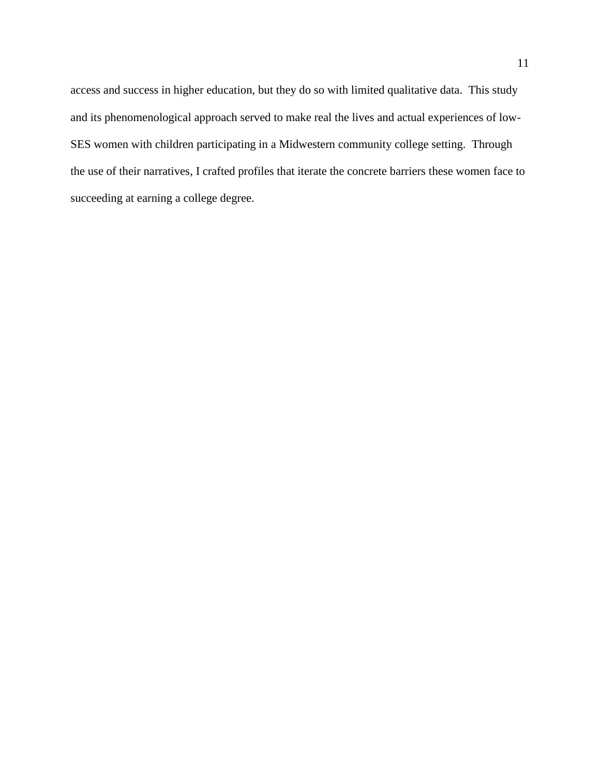access and success in higher education, but they do so with limited qualitative data. This study and its phenomenological approach served to make real the lives and actual experiences of low-SES women with children participating in a Midwestern community college setting. Through the use of their narratives, I crafted profiles that iterate the concrete barriers these women face to succeeding at earning a college degree.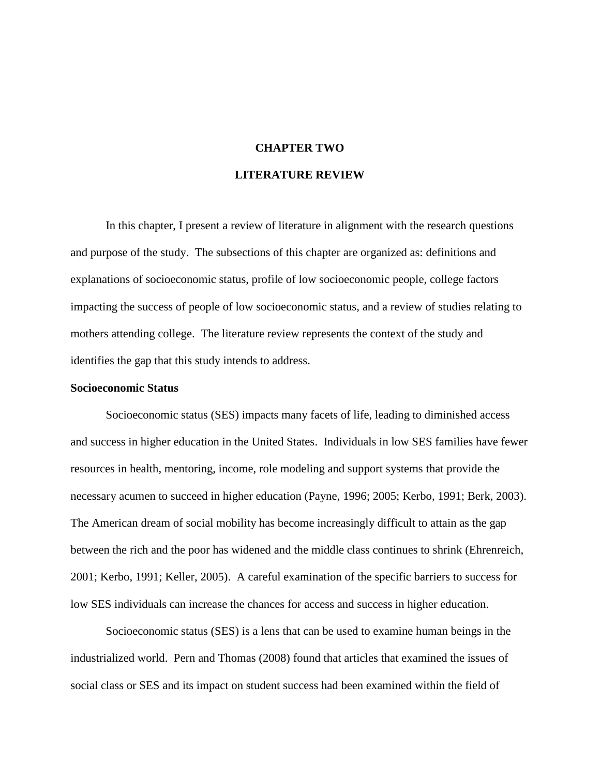### **CHAPTER TWO**

### **LITERATURE REVIEW**

In this chapter, I present a review of literature in alignment with the research questions and purpose of the study. The subsections of this chapter are organized as: definitions and explanations of socioeconomic status, profile of low socioeconomic people, college factors impacting the success of people of low socioeconomic status, and a review of studies relating to mothers attending college. The literature review represents the context of the study and identifies the gap that this study intends to address.

### **Socioeconomic Status**

Socioeconomic status (SES) impacts many facets of life, leading to diminished access and success in higher education in the United States. Individuals in low SES families have fewer resources in health, mentoring, income, role modeling and support systems that provide the necessary acumen to succeed in higher education (Payne, 1996; 2005; Kerbo, 1991; Berk, 2003). The American dream of social mobility has become increasingly difficult to attain as the gap between the rich and the poor has widened and the middle class continues to shrink (Ehrenreich, 2001; Kerbo, 1991; Keller, 2005). A careful examination of the specific barriers to success for low SES individuals can increase the chances for access and success in higher education.

Socioeconomic status (SES) is a lens that can be used to examine human beings in the industrialized world. Pern and Thomas (2008) found that articles that examined the issues of social class or SES and its impact on student success had been examined within the field of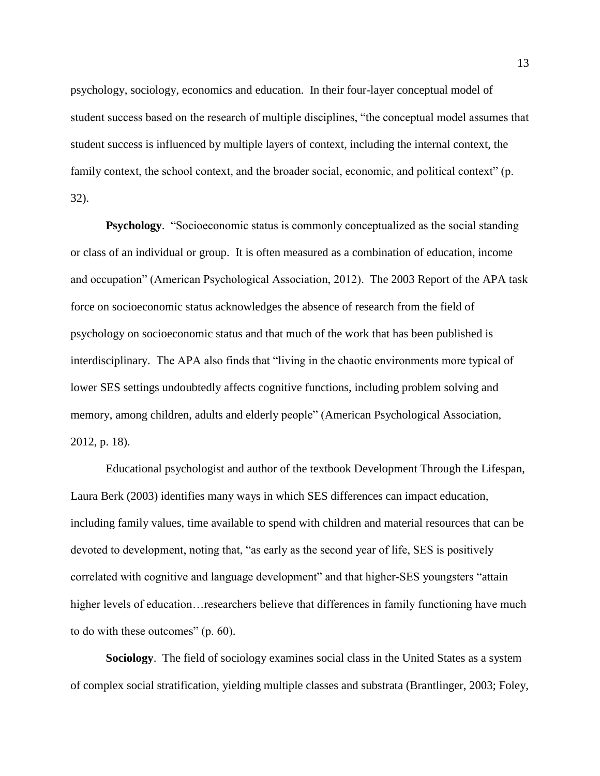psychology, sociology, economics and education. In their four-layer conceptual model of student success based on the research of multiple disciplines, "the conceptual model assumes that student success is influenced by multiple layers of context, including the internal context, the family context, the school context, and the broader social, economic, and political context" (p. 32).

**Psychology.** "Socioeconomic status is commonly conceptualized as the social standing or class of an individual or group. It is often measured as a combination of education, income and occupation" (American Psychological Association, 2012). The 2003 Report of the APA task force on socioeconomic status acknowledges the absence of research from the field of psychology on socioeconomic status and that much of the work that has been published is interdisciplinary. The APA also finds that "living in the chaotic environments more typical of lower SES settings undoubtedly affects cognitive functions, including problem solving and memory, among children, adults and elderly people" (American Psychological Association, 2012, p. 18).

Educational psychologist and author of the textbook Development Through the Lifespan, Laura Berk (2003) identifies many ways in which SES differences can impact education, including family values, time available to spend with children and material resources that can be devoted to development, noting that, "as early as the second year of life, SES is positively correlated with cognitive and language development" and that higher-SES youngsters "attain higher levels of education…researchers believe that differences in family functioning have much to do with these outcomes" (p. 60).

**Sociology**. The field of sociology examines social class in the United States as a system of complex social stratification, yielding multiple classes and substrata (Brantlinger, 2003; Foley,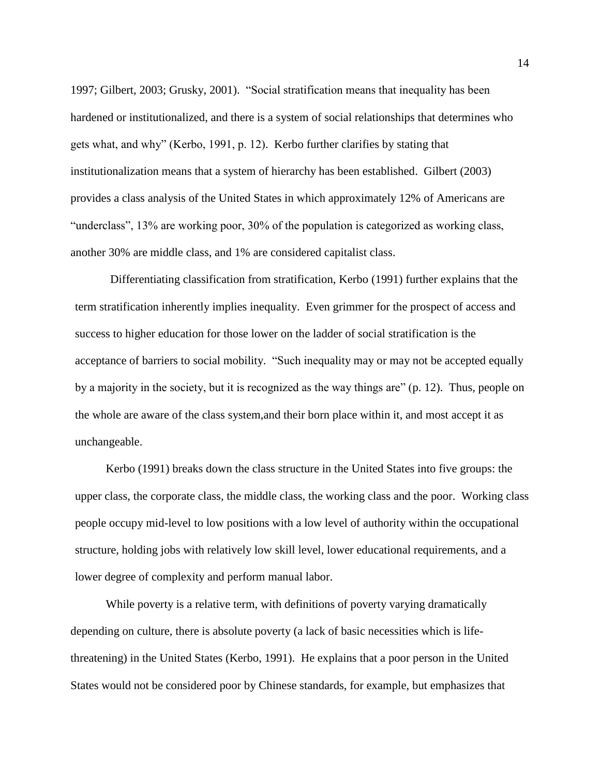1997; Gilbert, 2003; Grusky, 2001). "Social stratification means that inequality has been hardened or institutionalized, and there is a system of social relationships that determines who gets what, and why" (Kerbo, 1991, p. 12). Kerbo further clarifies by stating that institutionalization means that a system of hierarchy has been established. Gilbert (2003) provides a class analysis of the United States in which approximately 12% of Americans are "underclass", 13% are working poor, 30% of the population is categorized as working class, another 30% are middle class, and 1% are considered capitalist class.

Differentiating classification from stratification, Kerbo (1991) further explains that the term stratification inherently implies inequality. Even grimmer for the prospect of access and success to higher education for those lower on the ladder of social stratification is the acceptance of barriers to social mobility. "Such inequality may or may not be accepted equally by a majority in the society, but it is recognized as the way things are" (p. 12). Thus, people on the whole are aware of the class system,and their born place within it, and most accept it as unchangeable.

Kerbo (1991) breaks down the class structure in the United States into five groups: the upper class, the corporate class, the middle class, the working class and the poor. Working class people occupy mid-level to low positions with a low level of authority within the occupational structure, holding jobs with relatively low skill level, lower educational requirements, and a lower degree of complexity and perform manual labor.

While poverty is a relative term, with definitions of poverty varying dramatically depending on culture, there is absolute poverty (a lack of basic necessities which is lifethreatening) in the United States (Kerbo, 1991). He explains that a poor person in the United States would not be considered poor by Chinese standards, for example, but emphasizes that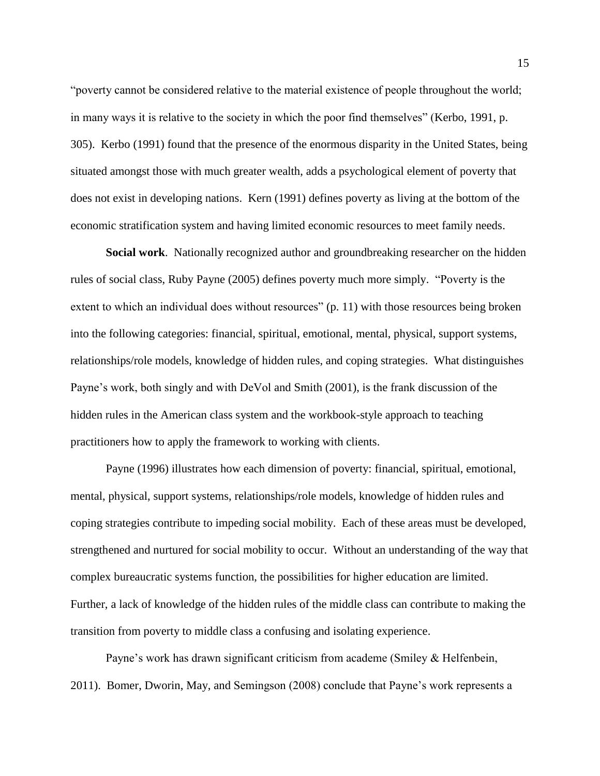"poverty cannot be considered relative to the material existence of people throughout the world; in many ways it is relative to the society in which the poor find themselves" (Kerbo, 1991, p. 305). Kerbo (1991) found that the presence of the enormous disparity in the United States, being situated amongst those with much greater wealth, adds a psychological element of poverty that does not exist in developing nations. Kern (1991) defines poverty as living at the bottom of the economic stratification system and having limited economic resources to meet family needs.

**Social work**. Nationally recognized author and groundbreaking researcher on the hidden rules of social class, Ruby Payne (2005) defines poverty much more simply. "Poverty is the extent to which an individual does without resources" (p. 11) with those resources being broken into the following categories: financial, spiritual, emotional, mental, physical, support systems, relationships/role models, knowledge of hidden rules, and coping strategies. What distinguishes Payne's work, both singly and with DeVol and Smith (2001), is the frank discussion of the hidden rules in the American class system and the workbook-style approach to teaching practitioners how to apply the framework to working with clients.

Payne (1996) illustrates how each dimension of poverty: financial, spiritual, emotional, mental, physical, support systems, relationships/role models, knowledge of hidden rules and coping strategies contribute to impeding social mobility. Each of these areas must be developed, strengthened and nurtured for social mobility to occur. Without an understanding of the way that complex bureaucratic systems function, the possibilities for higher education are limited. Further, a lack of knowledge of the hidden rules of the middle class can contribute to making the transition from poverty to middle class a confusing and isolating experience.

Payne's work has drawn significant criticism from academe (Smiley & Helfenbein, 2011). Bomer, Dworin, May, and Semingson (2008) conclude that Payne's work represents a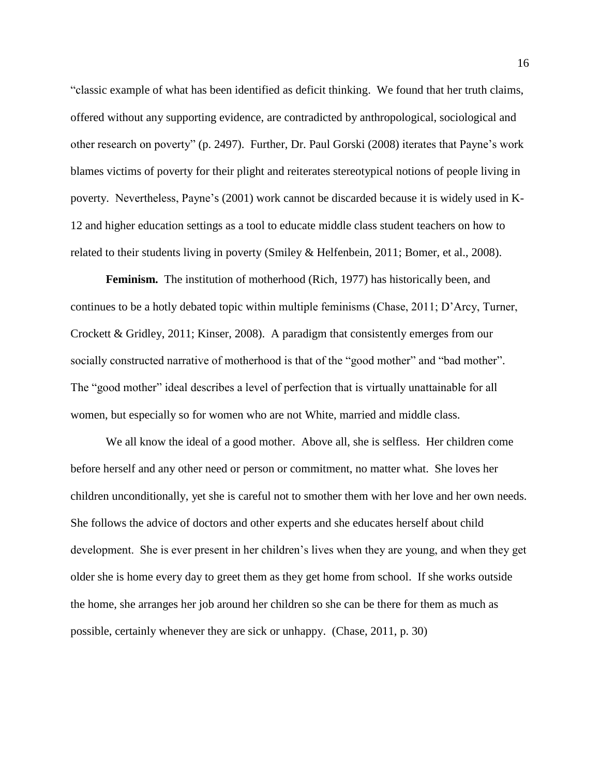"classic example of what has been identified as deficit thinking. We found that her truth claims, offered without any supporting evidence, are contradicted by anthropological, sociological and other research on poverty" (p. 2497). Further, Dr. Paul Gorski (2008) iterates that Payne's work blames victims of poverty for their plight and reiterates stereotypical notions of people living in poverty. Nevertheless, Payne's (2001) work cannot be discarded because it is widely used in K-12 and higher education settings as a tool to educate middle class student teachers on how to related to their students living in poverty (Smiley & Helfenbein, 2011; Bomer, et al., 2008).

**Feminism.** The institution of motherhood (Rich, 1977) has historically been, and continues to be a hotly debated topic within multiple feminisms (Chase, 2011; D'Arcy, Turner, Crockett & Gridley, 2011; Kinser, 2008). A paradigm that consistently emerges from our socially constructed narrative of motherhood is that of the "good mother" and "bad mother". The "good mother" ideal describes a level of perfection that is virtually unattainable for all women, but especially so for women who are not White, married and middle class.

We all know the ideal of a good mother. Above all, she is selfless. Her children come before herself and any other need or person or commitment, no matter what. She loves her children unconditionally, yet she is careful not to smother them with her love and her own needs. She follows the advice of doctors and other experts and she educates herself about child development. She is ever present in her children's lives when they are young, and when they get older she is home every day to greet them as they get home from school. If she works outside the home, she arranges her job around her children so she can be there for them as much as possible, certainly whenever they are sick or unhappy. (Chase, 2011, p. 30)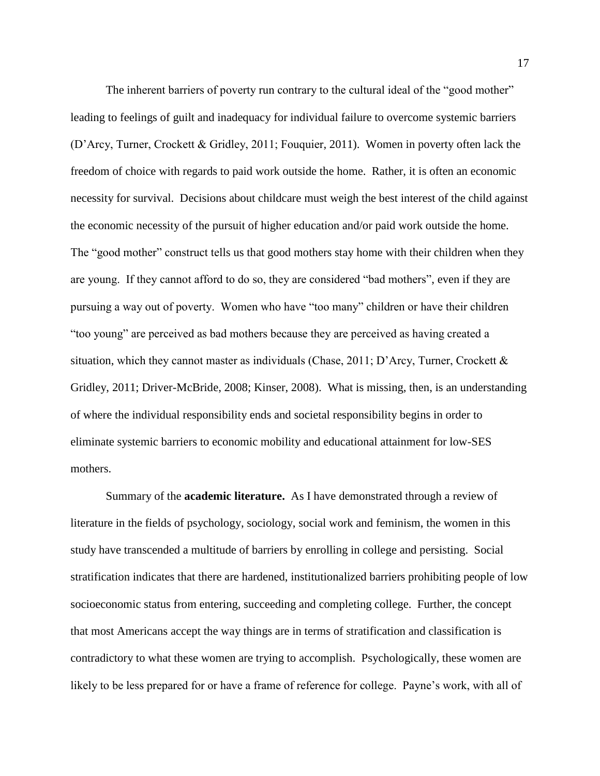The inherent barriers of poverty run contrary to the cultural ideal of the "good mother" leading to feelings of guilt and inadequacy for individual failure to overcome systemic barriers (D'Arcy, Turner, Crockett & Gridley, 2011; Fouquier, 2011). Women in poverty often lack the freedom of choice with regards to paid work outside the home. Rather, it is often an economic necessity for survival. Decisions about childcare must weigh the best interest of the child against the economic necessity of the pursuit of higher education and/or paid work outside the home. The "good mother" construct tells us that good mothers stay home with their children when they are young. If they cannot afford to do so, they are considered "bad mothers", even if they are pursuing a way out of poverty. Women who have "too many" children or have their children "too young" are perceived as bad mothers because they are perceived as having created a situation, which they cannot master as individuals (Chase, 2011; D'Arcy, Turner, Crockett & Gridley, 2011; Driver-McBride, 2008; Kinser, 2008). What is missing, then, is an understanding of where the individual responsibility ends and societal responsibility begins in order to eliminate systemic barriers to economic mobility and educational attainment for low-SES mothers.

Summary of the **academic literature.** As I have demonstrated through a review of literature in the fields of psychology, sociology, social work and feminism, the women in this study have transcended a multitude of barriers by enrolling in college and persisting. Social stratification indicates that there are hardened, institutionalized barriers prohibiting people of low socioeconomic status from entering, succeeding and completing college. Further, the concept that most Americans accept the way things are in terms of stratification and classification is contradictory to what these women are trying to accomplish. Psychologically, these women are likely to be less prepared for or have a frame of reference for college. Payne's work, with all of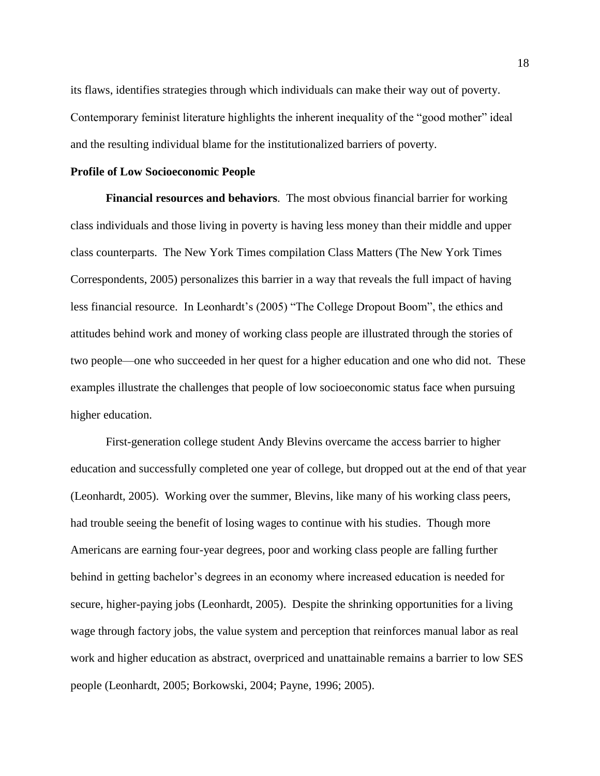its flaws, identifies strategies through which individuals can make their way out of poverty. Contemporary feminist literature highlights the inherent inequality of the "good mother" ideal and the resulting individual blame for the institutionalized barriers of poverty.

### **Profile of Low Socioeconomic People**

**Financial resources and behaviors**. The most obvious financial barrier for working class individuals and those living in poverty is having less money than their middle and upper class counterparts. The New York Times compilation Class Matters (The New York Times Correspondents, 2005) personalizes this barrier in a way that reveals the full impact of having less financial resource. In Leonhardt's (2005) "The College Dropout Boom", the ethics and attitudes behind work and money of working class people are illustrated through the stories of two people—one who succeeded in her quest for a higher education and one who did not. These examples illustrate the challenges that people of low socioeconomic status face when pursuing higher education.

First-generation college student Andy Blevins overcame the access barrier to higher education and successfully completed one year of college, but dropped out at the end of that year (Leonhardt, 2005). Working over the summer, Blevins, like many of his working class peers, had trouble seeing the benefit of losing wages to continue with his studies. Though more Americans are earning four-year degrees, poor and working class people are falling further behind in getting bachelor's degrees in an economy where increased education is needed for secure, higher-paying jobs (Leonhardt, 2005). Despite the shrinking opportunities for a living wage through factory jobs, the value system and perception that reinforces manual labor as real work and higher education as abstract, overpriced and unattainable remains a barrier to low SES people (Leonhardt, 2005; Borkowski, 2004; Payne, 1996; 2005).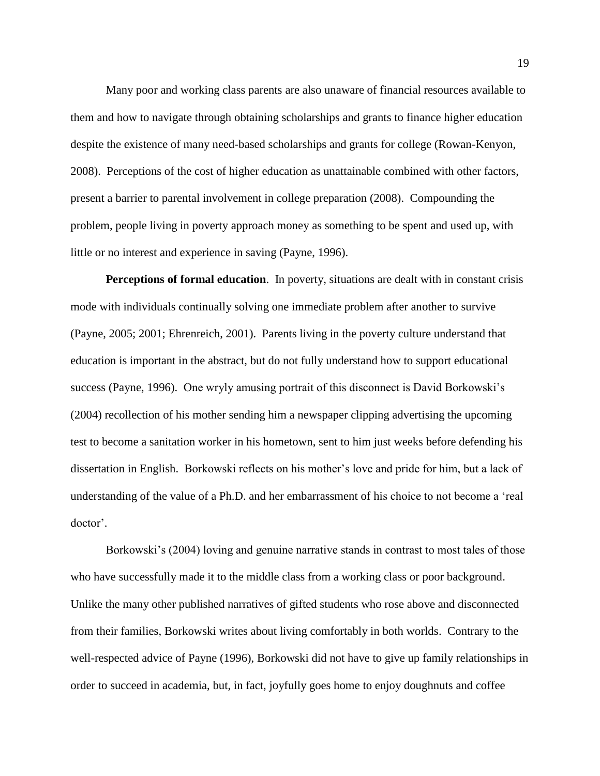Many poor and working class parents are also unaware of financial resources available to them and how to navigate through obtaining scholarships and grants to finance higher education despite the existence of many need-based scholarships and grants for college (Rowan-Kenyon, 2008). Perceptions of the cost of higher education as unattainable combined with other factors, present a barrier to parental involvement in college preparation (2008). Compounding the problem, people living in poverty approach money as something to be spent and used up, with little or no interest and experience in saving (Payne, 1996).

**Perceptions of formal education**. In poverty, situations are dealt with in constant crisis mode with individuals continually solving one immediate problem after another to survive (Payne, 2005; 2001; Ehrenreich, 2001). Parents living in the poverty culture understand that education is important in the abstract, but do not fully understand how to support educational success (Payne, 1996). One wryly amusing portrait of this disconnect is David Borkowski's (2004) recollection of his mother sending him a newspaper clipping advertising the upcoming test to become a sanitation worker in his hometown, sent to him just weeks before defending his dissertation in English. Borkowski reflects on his mother's love and pride for him, but a lack of understanding of the value of a Ph.D. and her embarrassment of his choice to not become a 'real doctor'.

Borkowski's (2004) loving and genuine narrative stands in contrast to most tales of those who have successfully made it to the middle class from a working class or poor background. Unlike the many other published narratives of gifted students who rose above and disconnected from their families, Borkowski writes about living comfortably in both worlds. Contrary to the well-respected advice of Payne (1996), Borkowski did not have to give up family relationships in order to succeed in academia, but, in fact, joyfully goes home to enjoy doughnuts and coffee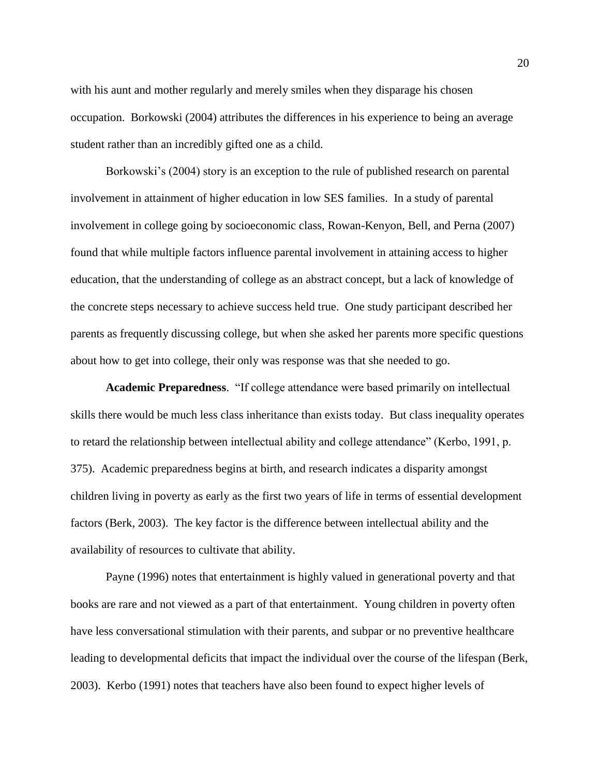with his aunt and mother regularly and merely smiles when they disparage his chosen occupation. Borkowski (2004) attributes the differences in his experience to being an average student rather than an incredibly gifted one as a child.

Borkowski's (2004) story is an exception to the rule of published research on parental involvement in attainment of higher education in low SES families. In a study of parental involvement in college going by socioeconomic class, Rowan-Kenyon, Bell, and Perna (2007) found that while multiple factors influence parental involvement in attaining access to higher education, that the understanding of college as an abstract concept, but a lack of knowledge of the concrete steps necessary to achieve success held true. One study participant described her parents as frequently discussing college, but when she asked her parents more specific questions about how to get into college, their only was response was that she needed to go.

**Academic Preparedness**. "If college attendance were based primarily on intellectual skills there would be much less class inheritance than exists today. But class inequality operates to retard the relationship between intellectual ability and college attendance" (Kerbo, 1991, p. 375). Academic preparedness begins at birth, and research indicates a disparity amongst children living in poverty as early as the first two years of life in terms of essential development factors (Berk, 2003). The key factor is the difference between intellectual ability and the availability of resources to cultivate that ability.

Payne (1996) notes that entertainment is highly valued in generational poverty and that books are rare and not viewed as a part of that entertainment. Young children in poverty often have less conversational stimulation with their parents, and subpar or no preventive healthcare leading to developmental deficits that impact the individual over the course of the lifespan (Berk, 2003). Kerbo (1991) notes that teachers have also been found to expect higher levels of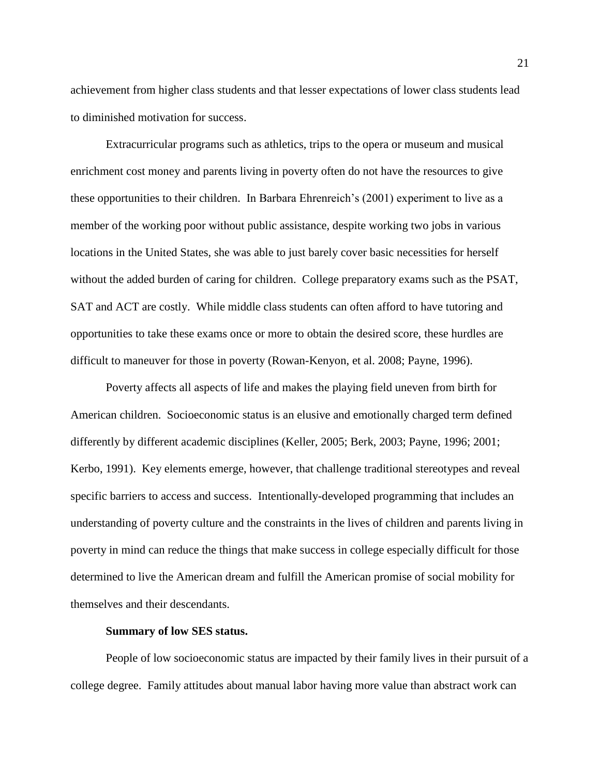achievement from higher class students and that lesser expectations of lower class students lead to diminished motivation for success.

Extracurricular programs such as athletics, trips to the opera or museum and musical enrichment cost money and parents living in poverty often do not have the resources to give these opportunities to their children. In Barbara Ehrenreich's (2001) experiment to live as a member of the working poor without public assistance, despite working two jobs in various locations in the United States, she was able to just barely cover basic necessities for herself without the added burden of caring for children. College preparatory exams such as the PSAT, SAT and ACT are costly. While middle class students can often afford to have tutoring and opportunities to take these exams once or more to obtain the desired score, these hurdles are difficult to maneuver for those in poverty (Rowan-Kenyon, et al. 2008; Payne, 1996).

Poverty affects all aspects of life and makes the playing field uneven from birth for American children. Socioeconomic status is an elusive and emotionally charged term defined differently by different academic disciplines (Keller, 2005; Berk, 2003; Payne, 1996; 2001; Kerbo, 1991). Key elements emerge, however, that challenge traditional stereotypes and reveal specific barriers to access and success. Intentionally-developed programming that includes an understanding of poverty culture and the constraints in the lives of children and parents living in poverty in mind can reduce the things that make success in college especially difficult for those determined to live the American dream and fulfill the American promise of social mobility for themselves and their descendants.

#### **Summary of low SES status.**

People of low socioeconomic status are impacted by their family lives in their pursuit of a college degree. Family attitudes about manual labor having more value than abstract work can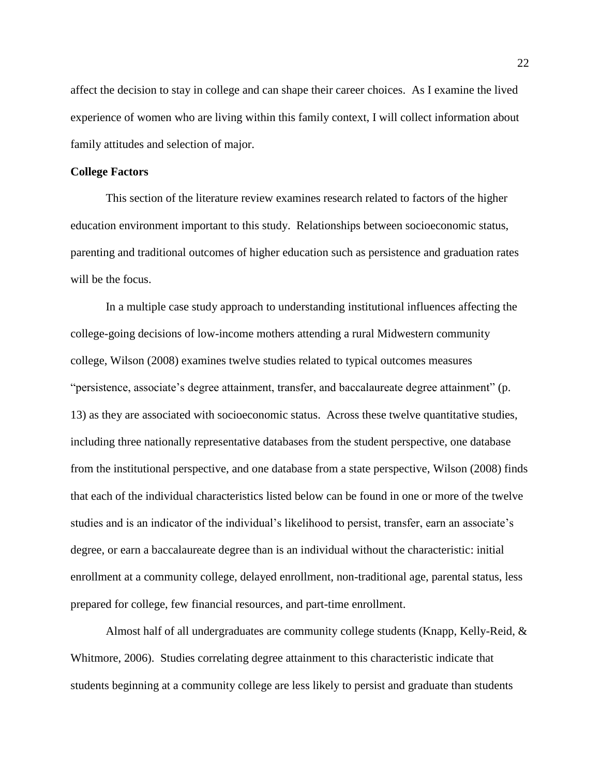affect the decision to stay in college and can shape their career choices. As I examine the lived experience of women who are living within this family context, I will collect information about family attitudes and selection of major.

### **College Factors**

This section of the literature review examines research related to factors of the higher education environment important to this study. Relationships between socioeconomic status, parenting and traditional outcomes of higher education such as persistence and graduation rates will be the focus.

In a multiple case study approach to understanding institutional influences affecting the college-going decisions of low-income mothers attending a rural Midwestern community college, Wilson (2008) examines twelve studies related to typical outcomes measures "persistence, associate's degree attainment, transfer, and baccalaureate degree attainment" (p. 13) as they are associated with socioeconomic status. Across these twelve quantitative studies, including three nationally representative databases from the student perspective, one database from the institutional perspective, and one database from a state perspective, Wilson (2008) finds that each of the individual characteristics listed below can be found in one or more of the twelve studies and is an indicator of the individual's likelihood to persist, transfer, earn an associate's degree, or earn a baccalaureate degree than is an individual without the characteristic: initial enrollment at a community college, delayed enrollment, non-traditional age, parental status, less prepared for college, few financial resources, and part-time enrollment.

Almost half of all undergraduates are community college students (Knapp, Kelly-Reid, & Whitmore, 2006). Studies correlating degree attainment to this characteristic indicate that students beginning at a community college are less likely to persist and graduate than students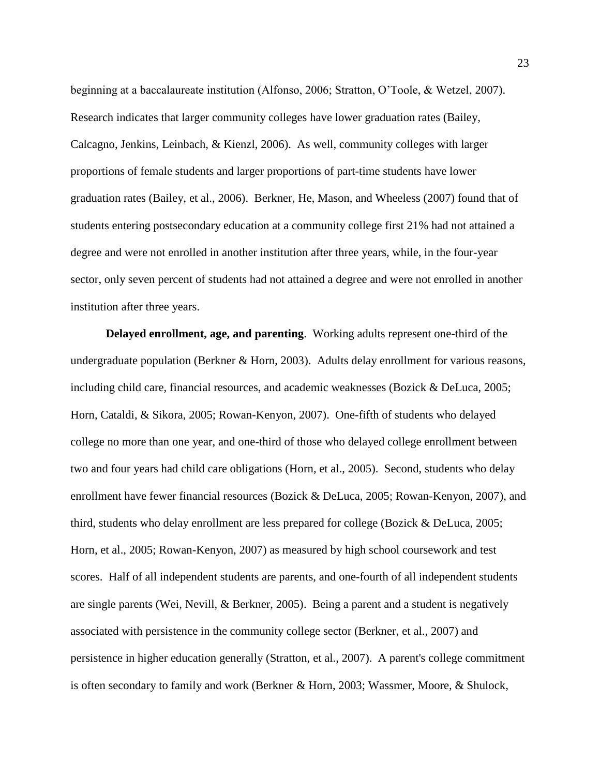beginning at a baccalaureate institution (Alfonso, 2006; Stratton, O'Toole, & Wetzel, 2007). Research indicates that larger community colleges have lower graduation rates (Bailey, Calcagno, Jenkins, Leinbach, & Kienzl, 2006). As well, community colleges with larger proportions of female students and larger proportions of part-time students have lower graduation rates (Bailey, et al., 2006). Berkner, He, Mason, and Wheeless (2007) found that of students entering postsecondary education at a community college first 21% had not attained a degree and were not enrolled in another institution after three years, while, in the four-year sector, only seven percent of students had not attained a degree and were not enrolled in another institution after three years.

**Delayed enrollment, age, and parenting**. Working adults represent one-third of the undergraduate population (Berkner & Horn, 2003). Adults delay enrollment for various reasons, including child care, financial resources, and academic weaknesses (Bozick & DeLuca, 2005; Horn, Cataldi, & Sikora, 2005; Rowan-Kenyon, 2007). One-fifth of students who delayed college no more than one year, and one-third of those who delayed college enrollment between two and four years had child care obligations (Horn, et al., 2005). Second, students who delay enrollment have fewer financial resources (Bozick & DeLuca, 2005; Rowan-Kenyon, 2007), and third, students who delay enrollment are less prepared for college (Bozick & DeLuca, 2005; Horn, et al., 2005; Rowan-Kenyon, 2007) as measured by high school coursework and test scores. Half of all independent students are parents, and one-fourth of all independent students are single parents (Wei, Nevill, & Berkner, 2005). Being a parent and a student is negatively associated with persistence in the community college sector (Berkner, et al., 2007) and persistence in higher education generally (Stratton, et al., 2007). A parent's college commitment is often secondary to family and work (Berkner & Horn, 2003; Wassmer, Moore, & Shulock,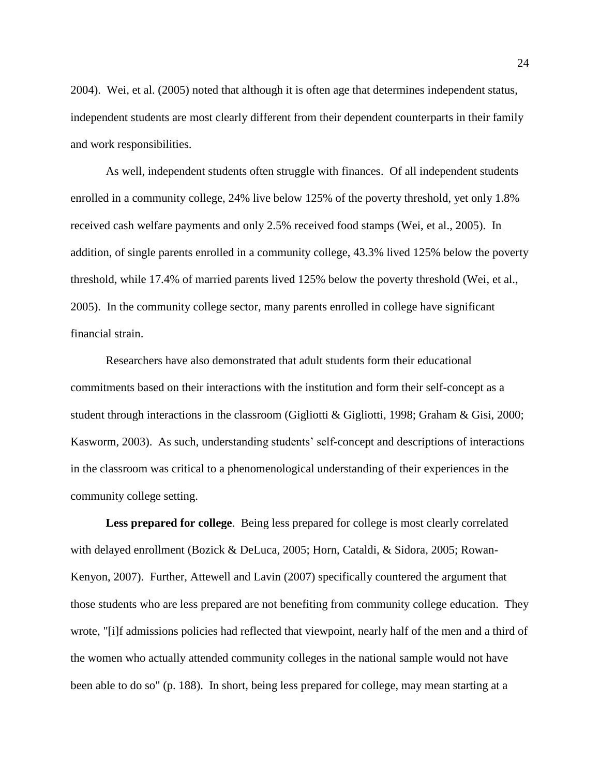2004). Wei, et al. (2005) noted that although it is often age that determines independent status, independent students are most clearly different from their dependent counterparts in their family and work responsibilities.

As well, independent students often struggle with finances. Of all independent students enrolled in a community college, 24% live below 125% of the poverty threshold, yet only 1.8% received cash welfare payments and only 2.5% received food stamps (Wei, et al., 2005). In addition, of single parents enrolled in a community college, 43.3% lived 125% below the poverty threshold, while 17.4% of married parents lived 125% below the poverty threshold (Wei, et al., 2005). In the community college sector, many parents enrolled in college have significant financial strain.

Researchers have also demonstrated that adult students form their educational commitments based on their interactions with the institution and form their self-concept as a student through interactions in the classroom (Gigliotti & Gigliotti, 1998; Graham & Gisi, 2000; Kasworm, 2003). As such, understanding students' self-concept and descriptions of interactions in the classroom was critical to a phenomenological understanding of their experiences in the community college setting.

**Less prepared for college**. Being less prepared for college is most clearly correlated with delayed enrollment (Bozick & DeLuca, 2005; Horn, Cataldi, & Sidora, 2005; Rowan-Kenyon, 2007). Further, Attewell and Lavin (2007) specifically countered the argument that those students who are less prepared are not benefiting from community college education. They wrote, "[i]f admissions policies had reflected that viewpoint, nearly half of the men and a third of the women who actually attended community colleges in the national sample would not have been able to do so" (p. 188). In short, being less prepared for college, may mean starting at a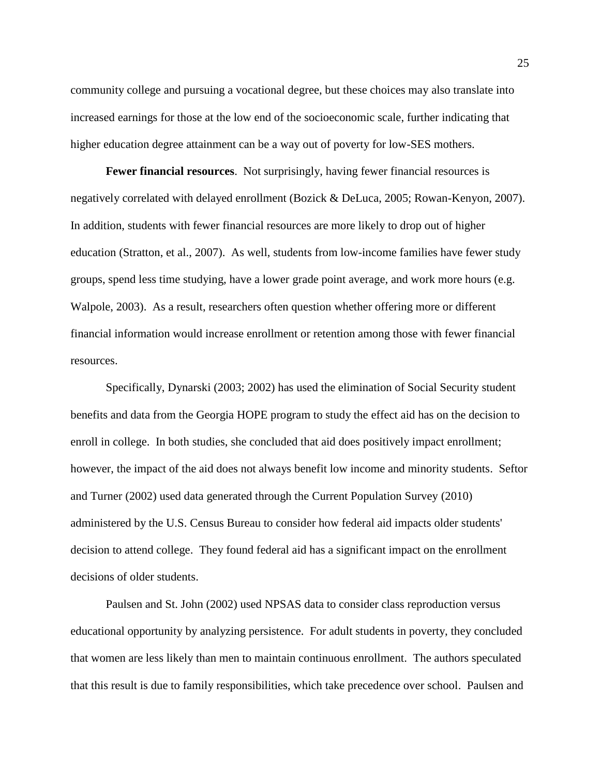community college and pursuing a vocational degree, but these choices may also translate into increased earnings for those at the low end of the socioeconomic scale, further indicating that higher education degree attainment can be a way out of poverty for low-SES mothers.

**Fewer financial resources**. Not surprisingly, having fewer financial resources is negatively correlated with delayed enrollment (Bozick & DeLuca, 2005; Rowan-Kenyon, 2007). In addition, students with fewer financial resources are more likely to drop out of higher education (Stratton, et al., 2007). As well, students from low-income families have fewer study groups, spend less time studying, have a lower grade point average, and work more hours (e.g. Walpole, 2003). As a result, researchers often question whether offering more or different financial information would increase enrollment or retention among those with fewer financial resources.

Specifically, Dynarski (2003; 2002) has used the elimination of Social Security student benefits and data from the Georgia HOPE program to study the effect aid has on the decision to enroll in college. In both studies, she concluded that aid does positively impact enrollment; however, the impact of the aid does not always benefit low income and minority students. Seftor and Turner (2002) used data generated through the Current Population Survey (2010) administered by the U.S. Census Bureau to consider how federal aid impacts older students' decision to attend college. They found federal aid has a significant impact on the enrollment decisions of older students.

Paulsen and St. John (2002) used NPSAS data to consider class reproduction versus educational opportunity by analyzing persistence. For adult students in poverty, they concluded that women are less likely than men to maintain continuous enrollment. The authors speculated that this result is due to family responsibilities, which take precedence over school. Paulsen and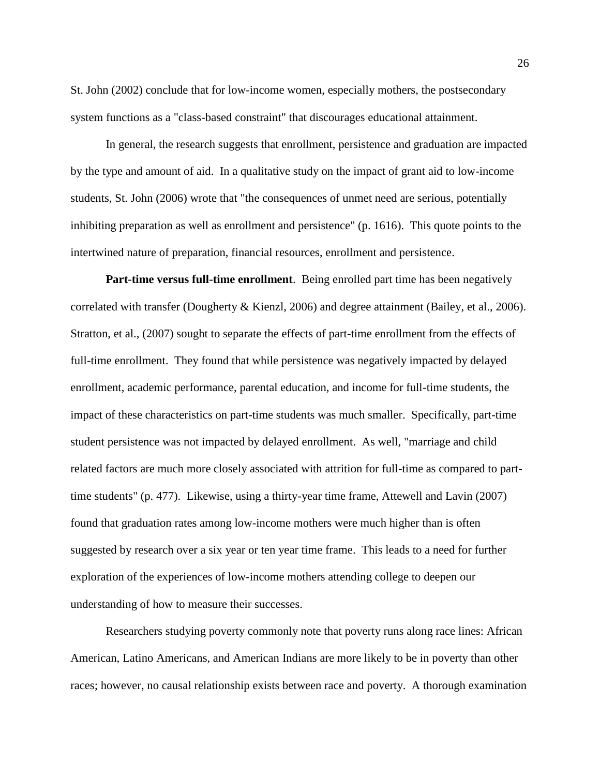St. John (2002) conclude that for low-income women, especially mothers, the postsecondary system functions as a "class-based constraint" that discourages educational attainment.

In general, the research suggests that enrollment, persistence and graduation are impacted by the type and amount of aid. In a qualitative study on the impact of grant aid to low-income students, St. John (2006) wrote that "the consequences of unmet need are serious, potentially inhibiting preparation as well as enrollment and persistence" (p. 1616). This quote points to the intertwined nature of preparation, financial resources, enrollment and persistence.

**Part-time versus full-time enrollment**. Being enrolled part time has been negatively correlated with transfer (Dougherty & Kienzl, 2006) and degree attainment (Bailey, et al., 2006). Stratton, et al., (2007) sought to separate the effects of part-time enrollment from the effects of full-time enrollment. They found that while persistence was negatively impacted by delayed enrollment, academic performance, parental education, and income for full-time students, the impact of these characteristics on part-time students was much smaller. Specifically, part-time student persistence was not impacted by delayed enrollment. As well, "marriage and child related factors are much more closely associated with attrition for full-time as compared to parttime students" (p. 477). Likewise, using a thirty-year time frame, Attewell and Lavin (2007) found that graduation rates among low-income mothers were much higher than is often suggested by research over a six year or ten year time frame. This leads to a need for further exploration of the experiences of low-income mothers attending college to deepen our understanding of how to measure their successes.

Researchers studying poverty commonly note that poverty runs along race lines: African American, Latino Americans, and American Indians are more likely to be in poverty than other races; however, no causal relationship exists between race and poverty. A thorough examination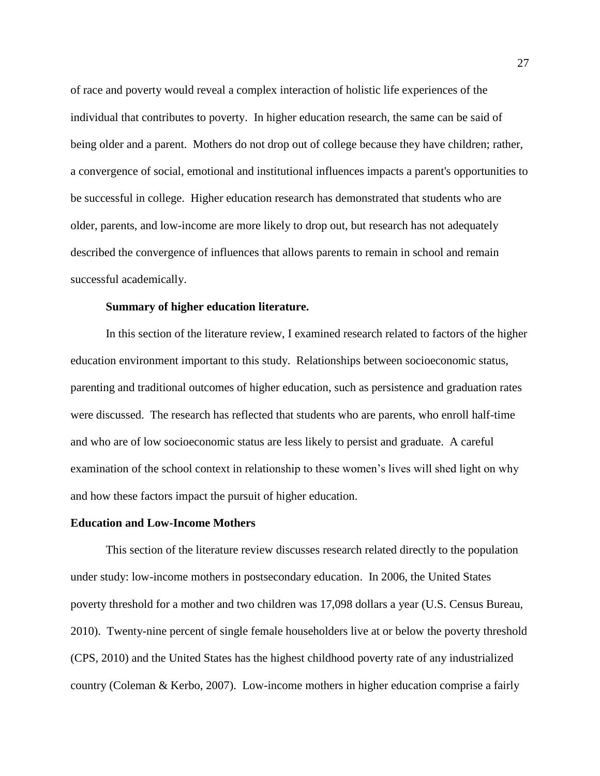of race and poverty would reveal a complex interaction of holistic life experiences of the individual that contributes to poverty. In higher education research, the same can be said of being older and a parent. Mothers do not drop out of college because they have children; rather, a convergence of social, emotional and institutional influences impacts a parent's opportunities to be successful in college. Higher education research has demonstrated that students who are older, parents, and low-income are more likely to drop out, but research has not adequately described the convergence of influences that allows parents to remain in school and remain successful academically.

## **Summary of higher education literature.**

In this section of the literature review, I examined research related to factors of the higher education environment important to this study. Relationships between socioeconomic status, parenting and traditional outcomes of higher education, such as persistence and graduation rates were discussed. The research has reflected that students who are parents, who enroll half-time and who are of low socioeconomic status are less likely to persist and graduate. A careful examination of the school context in relationship to these women's lives will shed light on why and how these factors impact the pursuit of higher education.

#### **Education and Low-Income Mothers**

This section of the literature review discusses research related directly to the population under study: low-income mothers in postsecondary education. In 2006, the United States poverty threshold for a mother and two children was 17,098 dollars a year (U.S. Census Bureau, 2010). Twenty-nine percent of single female householders live at or below the poverty threshold (CPS, 2010) and the United States has the highest childhood poverty rate of any industrialized country (Coleman & Kerbo, 2007). Low-income mothers in higher education comprise a fairly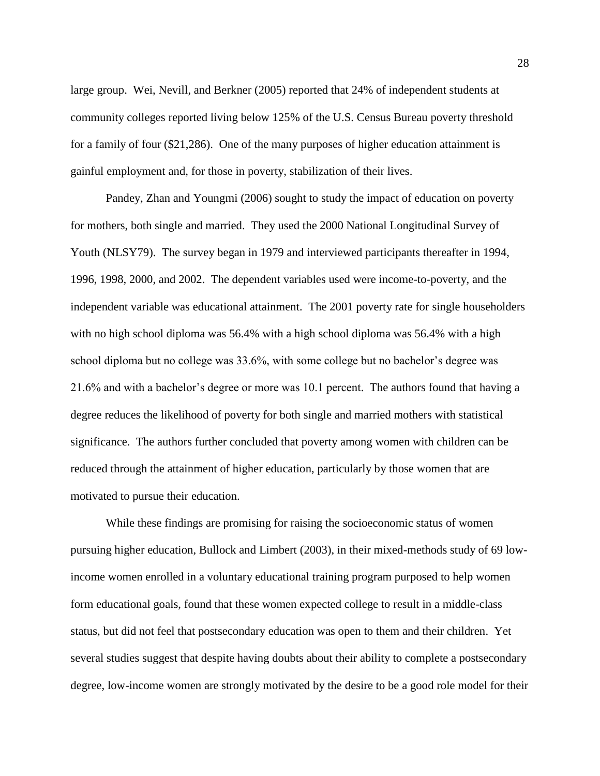large group. Wei, Nevill, and Berkner (2005) reported that 24% of independent students at community colleges reported living below 125% of the U.S. Census Bureau poverty threshold for a family of four (\$21,286). One of the many purposes of higher education attainment is gainful employment and, for those in poverty, stabilization of their lives.

Pandey, Zhan and Youngmi (2006) sought to study the impact of education on poverty for mothers, both single and married. They used the 2000 National Longitudinal Survey of Youth (NLSY79). The survey began in 1979 and interviewed participants thereafter in 1994, 1996, 1998, 2000, and 2002. The dependent variables used were income-to-poverty, and the independent variable was educational attainment. The 2001 poverty rate for single householders with no high school diploma was 56.4% with a high school diploma was 56.4% with a high school diploma but no college was 33.6%, with some college but no bachelor's degree was 21.6% and with a bachelor's degree or more was 10.1 percent. The authors found that having a degree reduces the likelihood of poverty for both single and married mothers with statistical significance. The authors further concluded that poverty among women with children can be reduced through the attainment of higher education, particularly by those women that are motivated to pursue their education.

While these findings are promising for raising the socioeconomic status of women pursuing higher education, Bullock and Limbert (2003), in their mixed-methods study of 69 lowincome women enrolled in a voluntary educational training program purposed to help women form educational goals, found that these women expected college to result in a middle-class status, but did not feel that postsecondary education was open to them and their children. Yet several studies suggest that despite having doubts about their ability to complete a postsecondary degree, low-income women are strongly motivated by the desire to be a good role model for their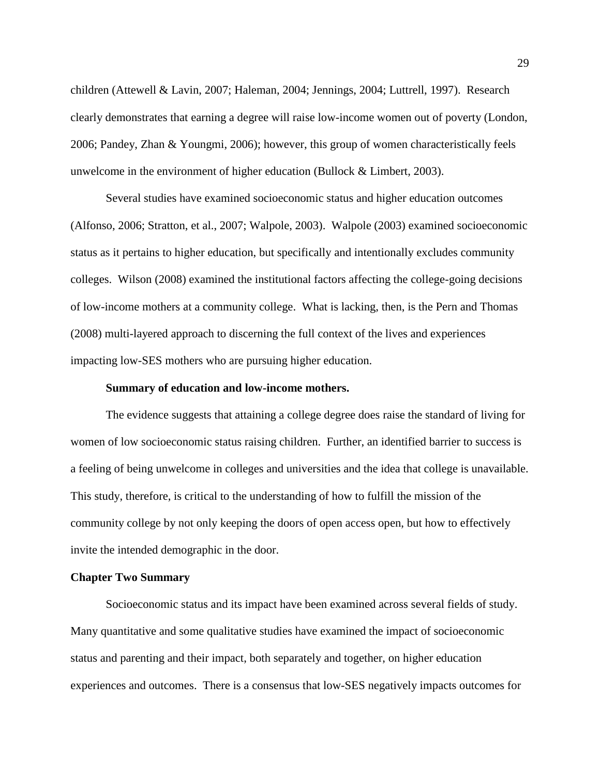children (Attewell & Lavin, 2007; Haleman, 2004; Jennings, 2004; Luttrell, 1997). Research clearly demonstrates that earning a degree will raise low-income women out of poverty (London, 2006; Pandey, Zhan & Youngmi, 2006); however, this group of women characteristically feels unwelcome in the environment of higher education (Bullock & Limbert, 2003).

Several studies have examined socioeconomic status and higher education outcomes (Alfonso, 2006; Stratton, et al., 2007; Walpole, 2003). Walpole (2003) examined socioeconomic status as it pertains to higher education, but specifically and intentionally excludes community colleges. Wilson (2008) examined the institutional factors affecting the college-going decisions of low-income mothers at a community college. What is lacking, then, is the Pern and Thomas (2008) multi-layered approach to discerning the full context of the lives and experiences impacting low-SES mothers who are pursuing higher education.

#### **Summary of education and low-income mothers.**

The evidence suggests that attaining a college degree does raise the standard of living for women of low socioeconomic status raising children. Further, an identified barrier to success is a feeling of being unwelcome in colleges and universities and the idea that college is unavailable. This study, therefore, is critical to the understanding of how to fulfill the mission of the community college by not only keeping the doors of open access open, but how to effectively invite the intended demographic in the door.

## **Chapter Two Summary**

Socioeconomic status and its impact have been examined across several fields of study. Many quantitative and some qualitative studies have examined the impact of socioeconomic status and parenting and their impact, both separately and together, on higher education experiences and outcomes. There is a consensus that low-SES negatively impacts outcomes for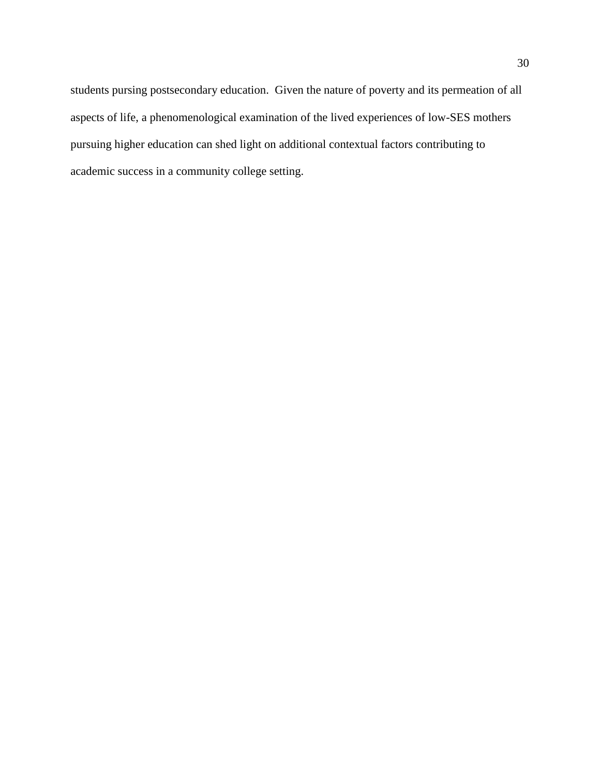students pursing postsecondary education. Given the nature of poverty and its permeation of all aspects of life, a phenomenological examination of the lived experiences of low-SES mothers pursuing higher education can shed light on additional contextual factors contributing to academic success in a community college setting.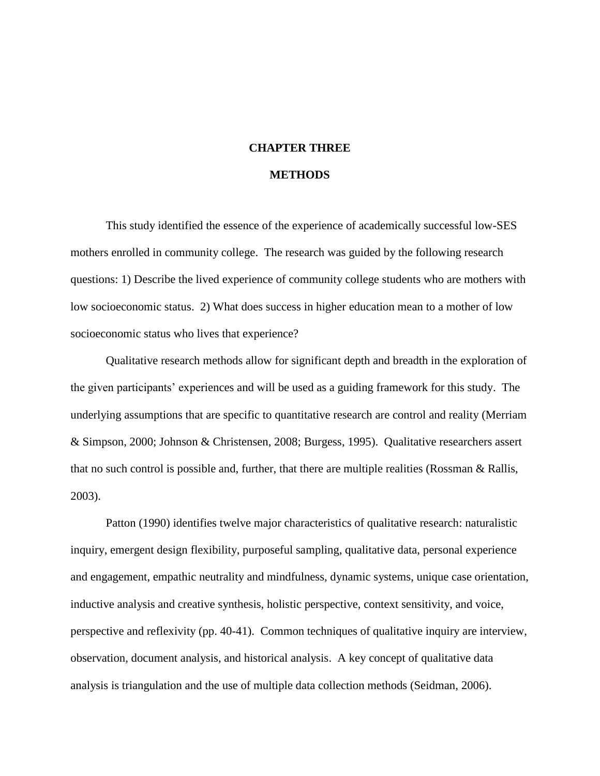# **CHAPTER THREE**

## **METHODS**

This study identified the essence of the experience of academically successful low-SES mothers enrolled in community college. The research was guided by the following research questions: 1) Describe the lived experience of community college students who are mothers with low socioeconomic status. 2) What does success in higher education mean to a mother of low socioeconomic status who lives that experience?

Qualitative research methods allow for significant depth and breadth in the exploration of the given participants' experiences and will be used as a guiding framework for this study. The underlying assumptions that are specific to quantitative research are control and reality (Merriam & Simpson, 2000; Johnson & Christensen, 2008; Burgess, 1995). Qualitative researchers assert that no such control is possible and, further, that there are multiple realities (Rossman & Rallis, 2003).

Patton (1990) identifies twelve major characteristics of qualitative research: naturalistic inquiry, emergent design flexibility, purposeful sampling, qualitative data, personal experience and engagement, empathic neutrality and mindfulness, dynamic systems, unique case orientation, inductive analysis and creative synthesis, holistic perspective, context sensitivity, and voice, perspective and reflexivity (pp. 40-41). Common techniques of qualitative inquiry are interview, observation, document analysis, and historical analysis. A key concept of qualitative data analysis is triangulation and the use of multiple data collection methods (Seidman, 2006).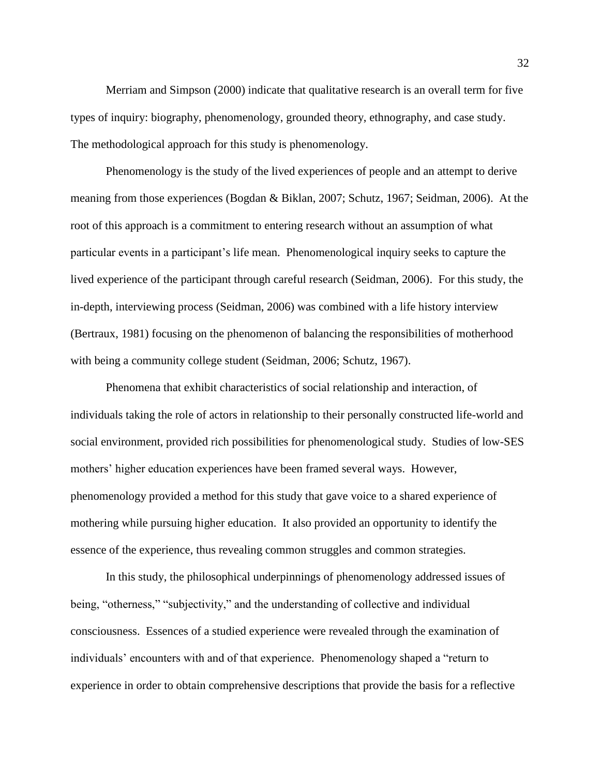Merriam and Simpson (2000) indicate that qualitative research is an overall term for five types of inquiry: biography, phenomenology, grounded theory, ethnography, and case study. The methodological approach for this study is phenomenology.

Phenomenology is the study of the lived experiences of people and an attempt to derive meaning from those experiences (Bogdan & Biklan, 2007; Schutz, 1967; Seidman, 2006). At the root of this approach is a commitment to entering research without an assumption of what particular events in a participant's life mean. Phenomenological inquiry seeks to capture the lived experience of the participant through careful research (Seidman, 2006). For this study, the in-depth, interviewing process (Seidman, 2006) was combined with a life history interview (Bertraux, 1981) focusing on the phenomenon of balancing the responsibilities of motherhood with being a community college student (Seidman, 2006; Schutz, 1967).

Phenomena that exhibit characteristics of social relationship and interaction, of individuals taking the role of actors in relationship to their personally constructed life-world and social environment, provided rich possibilities for phenomenological study. Studies of low-SES mothers' higher education experiences have been framed several ways. However, phenomenology provided a method for this study that gave voice to a shared experience of mothering while pursuing higher education. It also provided an opportunity to identify the essence of the experience, thus revealing common struggles and common strategies.

In this study, the philosophical underpinnings of phenomenology addressed issues of being, "otherness," "subjectivity," and the understanding of collective and individual consciousness. Essences of a studied experience were revealed through the examination of individuals' encounters with and of that experience. Phenomenology shaped a "return to experience in order to obtain comprehensive descriptions that provide the basis for a reflective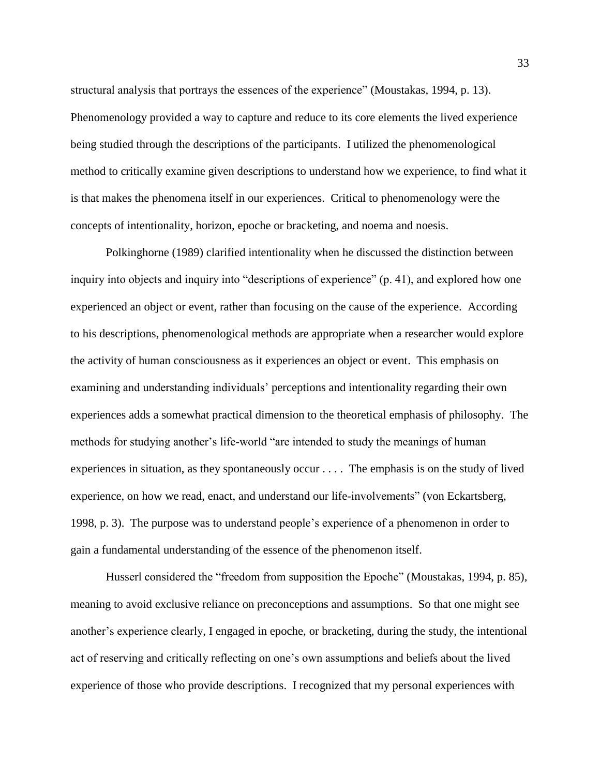structural analysis that portrays the essences of the experience" (Moustakas, 1994, p. 13). Phenomenology provided a way to capture and reduce to its core elements the lived experience being studied through the descriptions of the participants. I utilized the phenomenological method to critically examine given descriptions to understand how we experience, to find what it is that makes the phenomena itself in our experiences. Critical to phenomenology were the concepts of intentionality, horizon, epoche or bracketing, and noema and noesis.

Polkinghorne (1989) clarified intentionality when he discussed the distinction between inquiry into objects and inquiry into "descriptions of experience" (p. 41), and explored how one experienced an object or event, rather than focusing on the cause of the experience. According to his descriptions, phenomenological methods are appropriate when a researcher would explore the activity of human consciousness as it experiences an object or event. This emphasis on examining and understanding individuals' perceptions and intentionality regarding their own experiences adds a somewhat practical dimension to the theoretical emphasis of philosophy. The methods for studying another's life-world "are intended to study the meanings of human experiences in situation, as they spontaneously occur . . . . The emphasis is on the study of lived experience, on how we read, enact, and understand our life-involvements" (von Eckartsberg, 1998, p. 3). The purpose was to understand people's experience of a phenomenon in order to gain a fundamental understanding of the essence of the phenomenon itself.

Husserl considered the "freedom from supposition the Epoche" (Moustakas, 1994, p. 85), meaning to avoid exclusive reliance on preconceptions and assumptions. So that one might see another's experience clearly, I engaged in epoche, or bracketing, during the study, the intentional act of reserving and critically reflecting on one's own assumptions and beliefs about the lived experience of those who provide descriptions. I recognized that my personal experiences with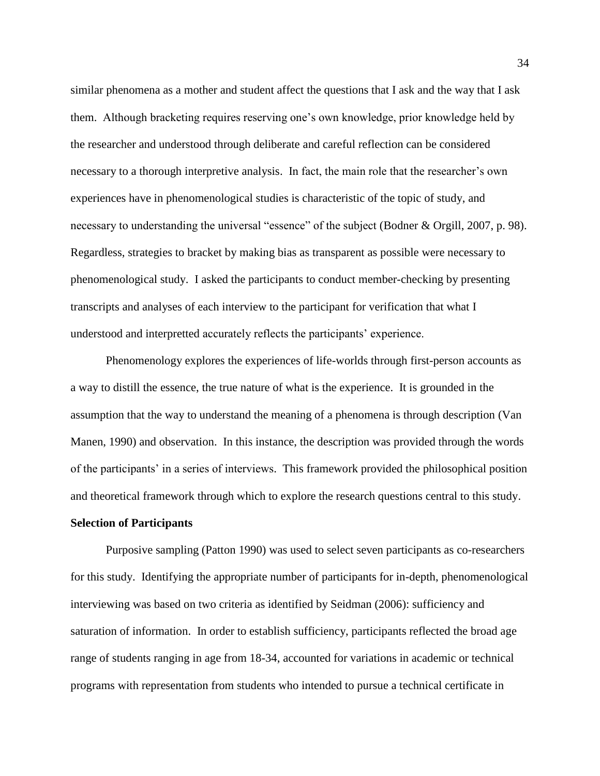similar phenomena as a mother and student affect the questions that I ask and the way that I ask them. Although bracketing requires reserving one's own knowledge, prior knowledge held by the researcher and understood through deliberate and careful reflection can be considered necessary to a thorough interpretive analysis. In fact, the main role that the researcher's own experiences have in phenomenological studies is characteristic of the topic of study, and necessary to understanding the universal "essence" of the subject (Bodner & Orgill, 2007, p. 98). Regardless, strategies to bracket by making bias as transparent as possible were necessary to phenomenological study. I asked the participants to conduct member-checking by presenting transcripts and analyses of each interview to the participant for verification that what I understood and interpretted accurately reflects the participants' experience.

Phenomenology explores the experiences of life-worlds through first-person accounts as a way to distill the essence, the true nature of what is the experience. It is grounded in the assumption that the way to understand the meaning of a phenomena is through description (Van Manen, 1990) and observation. In this instance, the description was provided through the words of the participants' in a series of interviews. This framework provided the philosophical position and theoretical framework through which to explore the research questions central to this study.

#### **Selection of Participants**

Purposive sampling (Patton 1990) was used to select seven participants as co-researchers for this study. Identifying the appropriate number of participants for in-depth, phenomenological interviewing was based on two criteria as identified by Seidman (2006): sufficiency and saturation of information. In order to establish sufficiency, participants reflected the broad age range of students ranging in age from 18-34, accounted for variations in academic or technical programs with representation from students who intended to pursue a technical certificate in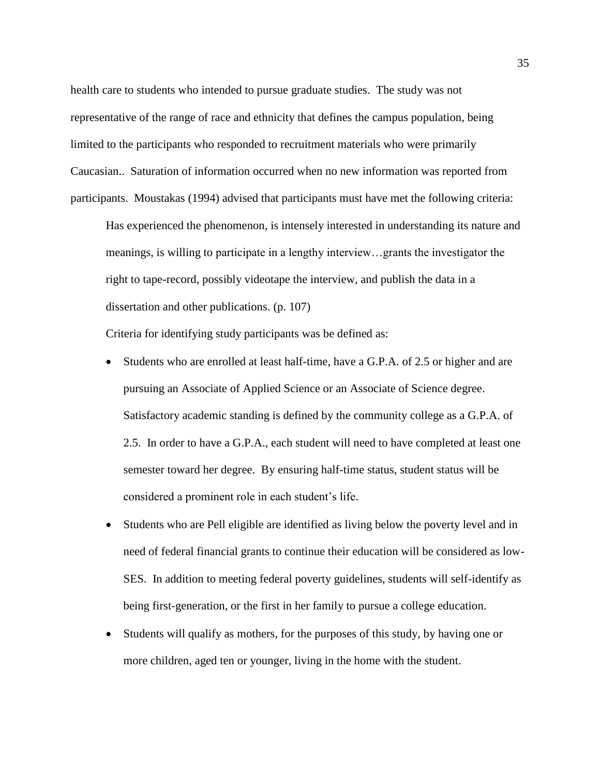health care to students who intended to pursue graduate studies. The study was not representative of the range of race and ethnicity that defines the campus population, being limited to the participants who responded to recruitment materials who were primarily Caucasian.. Saturation of information occurred when no new information was reported from participants. Moustakas (1994) advised that participants must have met the following criteria:

Has experienced the phenomenon, is intensely interested in understanding its nature and meanings, is willing to participate in a lengthy interview…grants the investigator the right to tape-record, possibly videotape the interview, and publish the data in a dissertation and other publications. (p. 107)

Criteria for identifying study participants was be defined as:

- Students who are enrolled at least half-time, have a G.P.A. of 2.5 or higher and are pursuing an Associate of Applied Science or an Associate of Science degree. Satisfactory academic standing is defined by the community college as a G.P.A. of 2.5. In order to have a G.P.A., each student will need to have completed at least one semester toward her degree. By ensuring half-time status, student status will be considered a prominent role in each student's life.
- Students who are Pell eligible are identified as living below the poverty level and in need of federal financial grants to continue their education will be considered as low-SES. In addition to meeting federal poverty guidelines, students will self-identify as being first-generation, or the first in her family to pursue a college education.
- Students will qualify as mothers, for the purposes of this study, by having one or more children, aged ten or younger, living in the home with the student.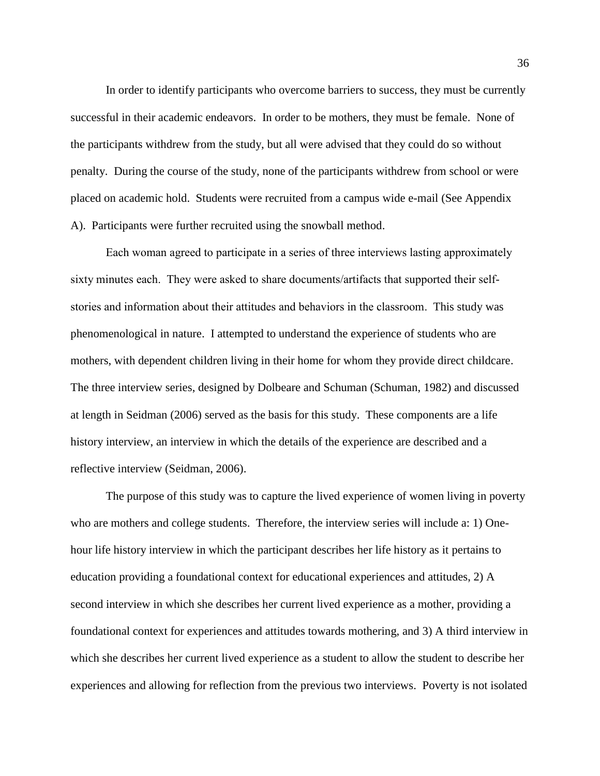In order to identify participants who overcome barriers to success, they must be currently successful in their academic endeavors. In order to be mothers, they must be female. None of the participants withdrew from the study, but all were advised that they could do so without penalty. During the course of the study, none of the participants withdrew from school or were placed on academic hold. Students were recruited from a campus wide e-mail (See Appendix A). Participants were further recruited using the snowball method.

Each woman agreed to participate in a series of three interviews lasting approximately sixty minutes each. They were asked to share documents/artifacts that supported their selfstories and information about their attitudes and behaviors in the classroom. This study was phenomenological in nature. I attempted to understand the experience of students who are mothers, with dependent children living in their home for whom they provide direct childcare. The three interview series, designed by Dolbeare and Schuman (Schuman, 1982) and discussed at length in Seidman (2006) served as the basis for this study. These components are a life history interview, an interview in which the details of the experience are described and a reflective interview (Seidman, 2006).

The purpose of this study was to capture the lived experience of women living in poverty who are mothers and college students. Therefore, the interview series will include a: 1) Onehour life history interview in which the participant describes her life history as it pertains to education providing a foundational context for educational experiences and attitudes, 2) A second interview in which she describes her current lived experience as a mother, providing a foundational context for experiences and attitudes towards mothering, and 3) A third interview in which she describes her current lived experience as a student to allow the student to describe her experiences and allowing for reflection from the previous two interviews. Poverty is not isolated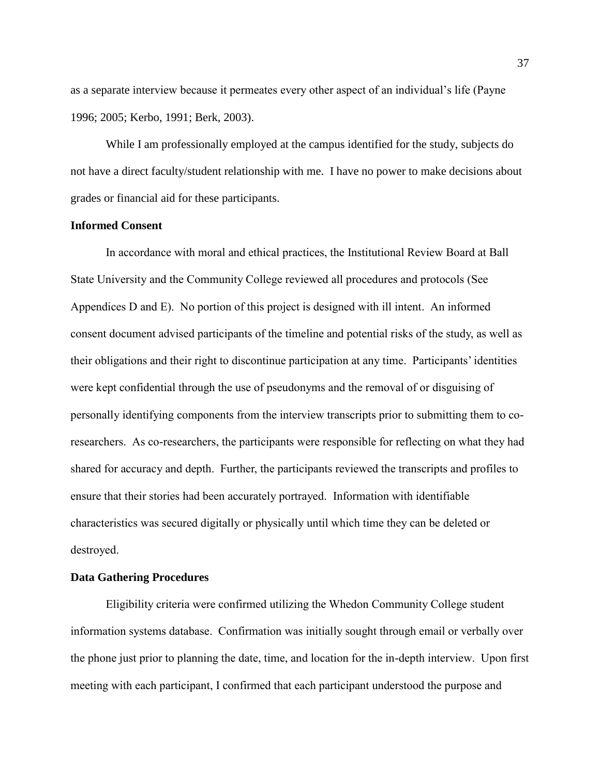as a separate interview because it permeates every other aspect of an individual's life (Payne 1996; 2005; Kerbo, 1991; Berk, 2003).

While I am professionally employed at the campus identified for the study, subjects do not have a direct faculty/student relationship with me. I have no power to make decisions about grades or financial aid for these participants.

## **Informed Consent**

In accordance with moral and ethical practices, the Institutional Review Board at Ball State University and the Community College reviewed all procedures and protocols (See Appendices D and E). No portion of this project is designed with ill intent. An informed consent document advised participants of the timeline and potential risks of the study, as well as their obligations and their right to discontinue participation at any time. Participants' identities were kept confidential through the use of pseudonyms and the removal of or disguising of personally identifying components from the interview transcripts prior to submitting them to coresearchers. As co-researchers, the participants were responsible for reflecting on what they had shared for accuracy and depth. Further, the participants reviewed the transcripts and profiles to ensure that their stories had been accurately portrayed. Information with identifiable characteristics was secured digitally or physically until which time they can be deleted or destroyed.

## **Data Gathering Procedures**

Eligibility criteria were confirmed utilizing the Whedon Community College student information systems database. Confirmation was initially sought through email or verbally over the phone just prior to planning the date, time, and location for the in-depth interview. Upon first meeting with each participant, I confirmed that each participant understood the purpose and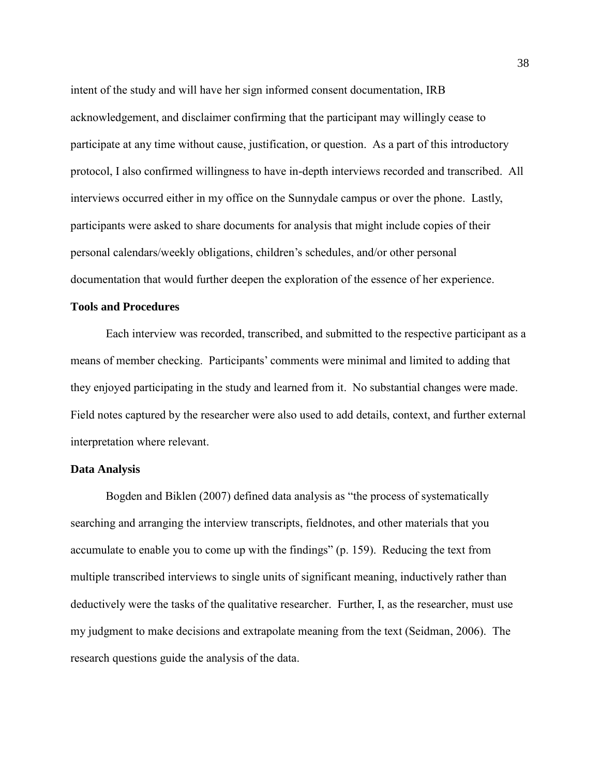intent of the study and will have her sign informed consent documentation, IRB acknowledgement, and disclaimer confirming that the participant may willingly cease to participate at any time without cause, justification, or question. As a part of this introductory protocol, I also confirmed willingness to have in-depth interviews recorded and transcribed. All interviews occurred either in my office on the Sunnydale campus or over the phone. Lastly, participants were asked to share documents for analysis that might include copies of their personal calendars/weekly obligations, children's schedules, and/or other personal documentation that would further deepen the exploration of the essence of her experience.

## **Tools and Procedures**

Each interview was recorded, transcribed, and submitted to the respective participant as a means of member checking. Participants' comments were minimal and limited to adding that they enjoyed participating in the study and learned from it. No substantial changes were made. Field notes captured by the researcher were also used to add details, context, and further external interpretation where relevant.

#### **Data Analysis**

Bogden and Biklen (2007) defined data analysis as "the process of systematically searching and arranging the interview transcripts, fieldnotes, and other materials that you accumulate to enable you to come up with the findings" (p. 159). Reducing the text from multiple transcribed interviews to single units of significant meaning, inductively rather than deductively were the tasks of the qualitative researcher. Further, I, as the researcher, must use my judgment to make decisions and extrapolate meaning from the text (Seidman, 2006). The research questions guide the analysis of the data.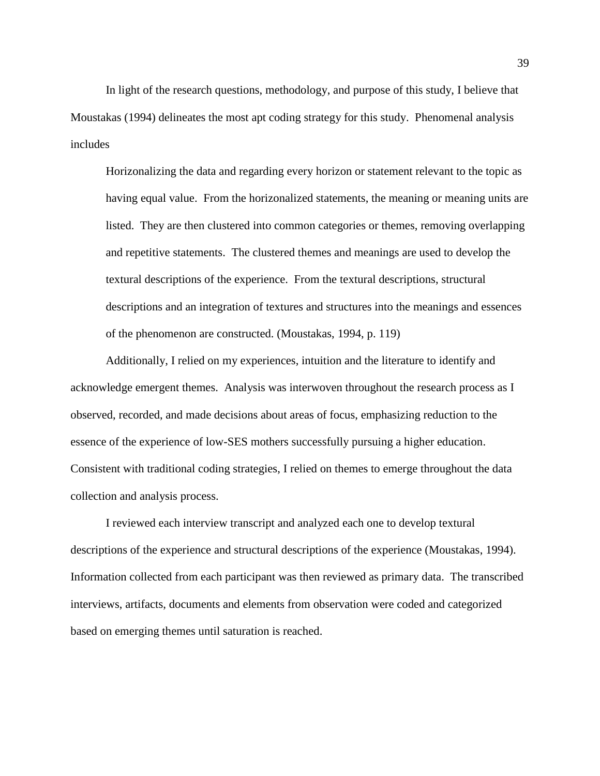In light of the research questions, methodology, and purpose of this study, I believe that Moustakas (1994) delineates the most apt coding strategy for this study. Phenomenal analysis includes

Horizonalizing the data and regarding every horizon or statement relevant to the topic as having equal value. From the horizonalized statements, the meaning or meaning units are listed. They are then clustered into common categories or themes, removing overlapping and repetitive statements. The clustered themes and meanings are used to develop the textural descriptions of the experience. From the textural descriptions, structural descriptions and an integration of textures and structures into the meanings and essences of the phenomenon are constructed. (Moustakas, 1994, p. 119)

Additionally, I relied on my experiences, intuition and the literature to identify and acknowledge emergent themes. Analysis was interwoven throughout the research process as I observed, recorded, and made decisions about areas of focus, emphasizing reduction to the essence of the experience of low-SES mothers successfully pursuing a higher education. Consistent with traditional coding strategies, I relied on themes to emerge throughout the data collection and analysis process.

I reviewed each interview transcript and analyzed each one to develop textural descriptions of the experience and structural descriptions of the experience (Moustakas, 1994). Information collected from each participant was then reviewed as primary data. The transcribed interviews, artifacts, documents and elements from observation were coded and categorized based on emerging themes until saturation is reached.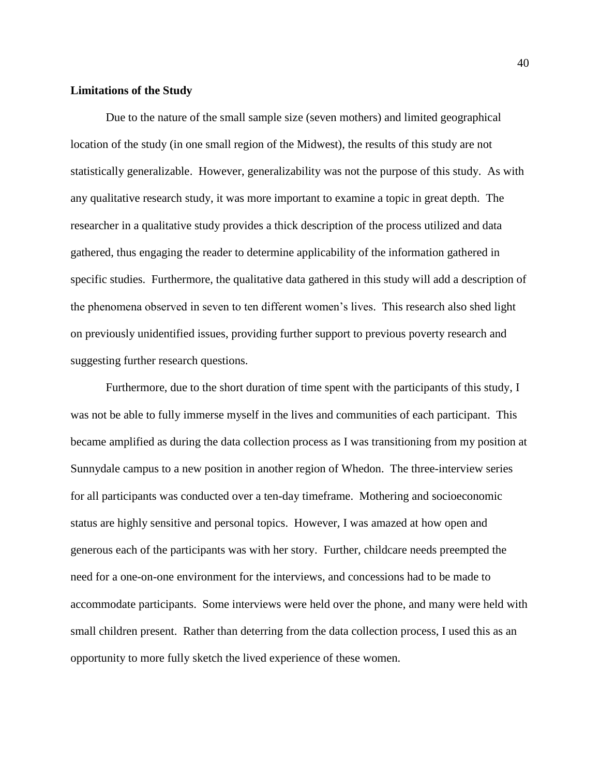### **Limitations of the Study**

Due to the nature of the small sample size (seven mothers) and limited geographical location of the study (in one small region of the Midwest), the results of this study are not statistically generalizable. However, generalizability was not the purpose of this study. As with any qualitative research study, it was more important to examine a topic in great depth. The researcher in a qualitative study provides a thick description of the process utilized and data gathered, thus engaging the reader to determine applicability of the information gathered in specific studies. Furthermore, the qualitative data gathered in this study will add a description of the phenomena observed in seven to ten different women's lives. This research also shed light on previously unidentified issues, providing further support to previous poverty research and suggesting further research questions.

Furthermore, due to the short duration of time spent with the participants of this study, I was not be able to fully immerse myself in the lives and communities of each participant. This became amplified as during the data collection process as I was transitioning from my position at Sunnydale campus to a new position in another region of Whedon. The three-interview series for all participants was conducted over a ten-day timeframe. Mothering and socioeconomic status are highly sensitive and personal topics. However, I was amazed at how open and generous each of the participants was with her story. Further, childcare needs preempted the need for a one-on-one environment for the interviews, and concessions had to be made to accommodate participants. Some interviews were held over the phone, and many were held with small children present. Rather than deterring from the data collection process, I used this as an opportunity to more fully sketch the lived experience of these women.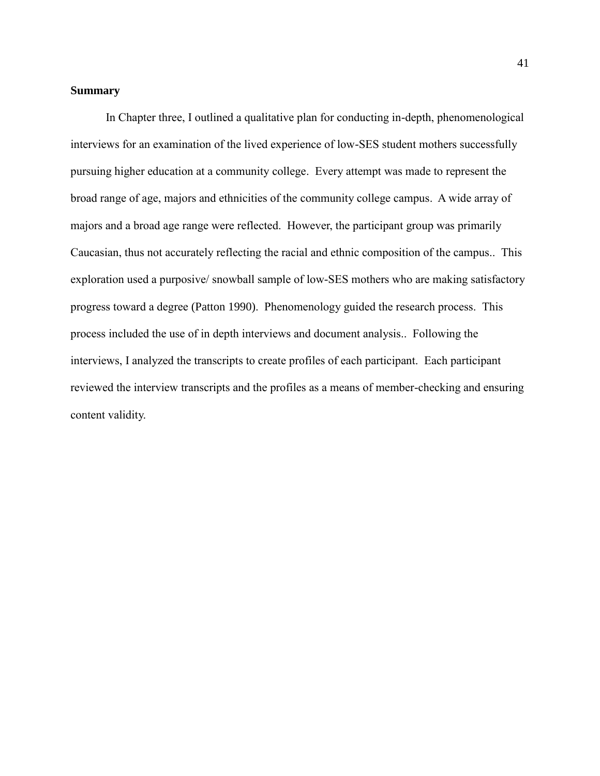#### **Summary**

In Chapter three, I outlined a qualitative plan for conducting in-depth, phenomenological interviews for an examination of the lived experience of low-SES student mothers successfully pursuing higher education at a community college. Every attempt was made to represent the broad range of age, majors and ethnicities of the community college campus. A wide array of majors and a broad age range were reflected. However, the participant group was primarily Caucasian, thus not accurately reflecting the racial and ethnic composition of the campus.. This exploration used a purposive/ snowball sample of low-SES mothers who are making satisfactory progress toward a degree (Patton 1990). Phenomenology guided the research process. This process included the use of in depth interviews and document analysis.. Following the interviews, I analyzed the transcripts to create profiles of each participant. Each participant reviewed the interview transcripts and the profiles as a means of member-checking and ensuring content validity.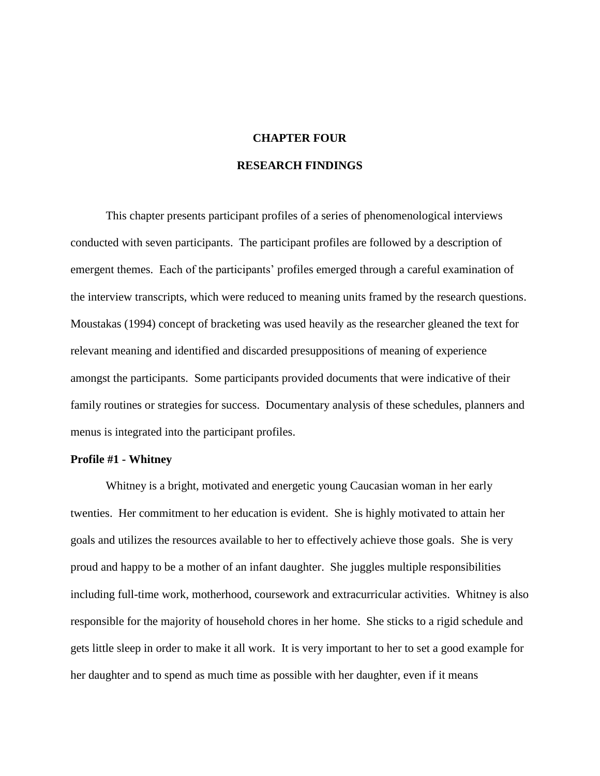## **CHAPTER FOUR**

#### **RESEARCH FINDINGS**

This chapter presents participant profiles of a series of phenomenological interviews conducted with seven participants. The participant profiles are followed by a description of emergent themes. Each of the participants' profiles emerged through a careful examination of the interview transcripts, which were reduced to meaning units framed by the research questions. Moustakas (1994) concept of bracketing was used heavily as the researcher gleaned the text for relevant meaning and identified and discarded presuppositions of meaning of experience amongst the participants. Some participants provided documents that were indicative of their family routines or strategies for success. Documentary analysis of these schedules, planners and menus is integrated into the participant profiles.

## **Profile #1 - Whitney**

Whitney is a bright, motivated and energetic young Caucasian woman in her early twenties. Her commitment to her education is evident. She is highly motivated to attain her goals and utilizes the resources available to her to effectively achieve those goals. She is very proud and happy to be a mother of an infant daughter. She juggles multiple responsibilities including full-time work, motherhood, coursework and extracurricular activities. Whitney is also responsible for the majority of household chores in her home. She sticks to a rigid schedule and gets little sleep in order to make it all work. It is very important to her to set a good example for her daughter and to spend as much time as possible with her daughter, even if it means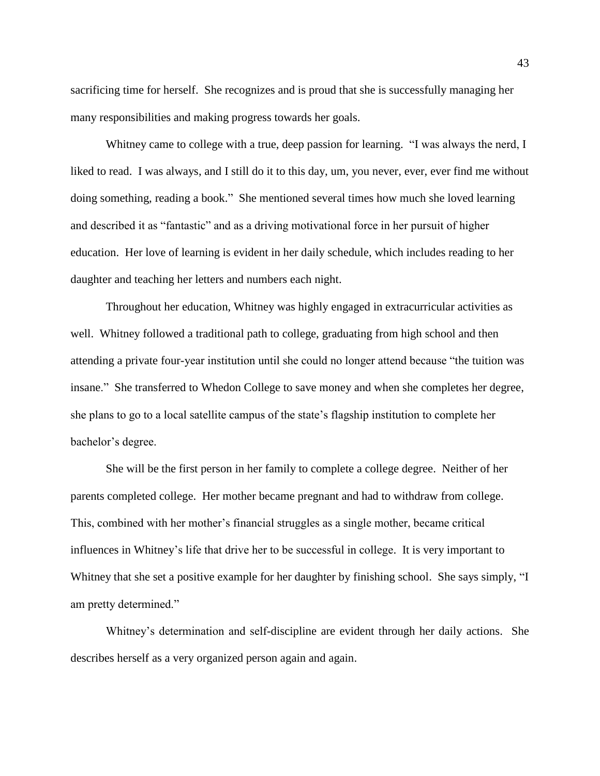sacrificing time for herself. She recognizes and is proud that she is successfully managing her many responsibilities and making progress towards her goals.

Whitney came to college with a true, deep passion for learning. "I was always the nerd, I liked to read. I was always, and I still do it to this day, um, you never, ever, ever find me without doing something, reading a book." She mentioned several times how much she loved learning and described it as "fantastic" and as a driving motivational force in her pursuit of higher education. Her love of learning is evident in her daily schedule, which includes reading to her daughter and teaching her letters and numbers each night.

Throughout her education, Whitney was highly engaged in extracurricular activities as well. Whitney followed a traditional path to college, graduating from high school and then attending a private four-year institution until she could no longer attend because "the tuition was insane." She transferred to Whedon College to save money and when she completes her degree, she plans to go to a local satellite campus of the state's flagship institution to complete her bachelor's degree.

She will be the first person in her family to complete a college degree. Neither of her parents completed college. Her mother became pregnant and had to withdraw from college. This, combined with her mother's financial struggles as a single mother, became critical influences in Whitney's life that drive her to be successful in college. It is very important to Whitney that she set a positive example for her daughter by finishing school. She says simply, "I am pretty determined."

Whitney's determination and self-discipline are evident through her daily actions. She describes herself as a very organized person again and again.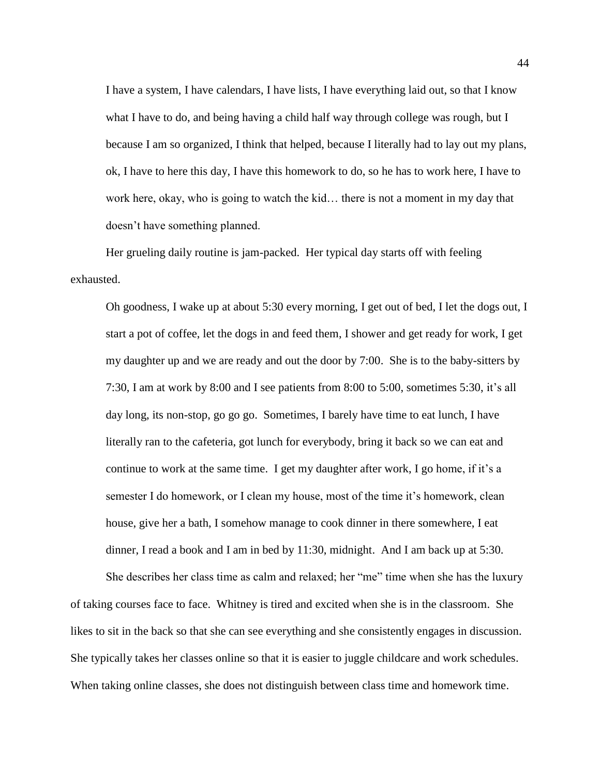I have a system, I have calendars, I have lists, I have everything laid out, so that I know what I have to do, and being having a child half way through college was rough, but I because I am so organized, I think that helped, because I literally had to lay out my plans, ok, I have to here this day, I have this homework to do, so he has to work here, I have to work here, okay, who is going to watch the kid… there is not a moment in my day that doesn't have something planned.

Her grueling daily routine is jam-packed. Her typical day starts off with feeling exhausted.

Oh goodness, I wake up at about 5:30 every morning, I get out of bed, I let the dogs out, I start a pot of coffee, let the dogs in and feed them, I shower and get ready for work, I get my daughter up and we are ready and out the door by 7:00. She is to the baby-sitters by 7:30, I am at work by 8:00 and I see patients from 8:00 to 5:00, sometimes 5:30, it's all day long, its non-stop, go go go. Sometimes, I barely have time to eat lunch, I have literally ran to the cafeteria, got lunch for everybody, bring it back so we can eat and continue to work at the same time. I get my daughter after work, I go home, if it's a semester I do homework, or I clean my house, most of the time it's homework, clean house, give her a bath, I somehow manage to cook dinner in there somewhere, I eat dinner, I read a book and I am in bed by 11:30, midnight. And I am back up at 5:30.

She describes her class time as calm and relaxed; her "me" time when she has the luxury of taking courses face to face. Whitney is tired and excited when she is in the classroom. She likes to sit in the back so that she can see everything and she consistently engages in discussion. She typically takes her classes online so that it is easier to juggle childcare and work schedules. When taking online classes, she does not distinguish between class time and homework time.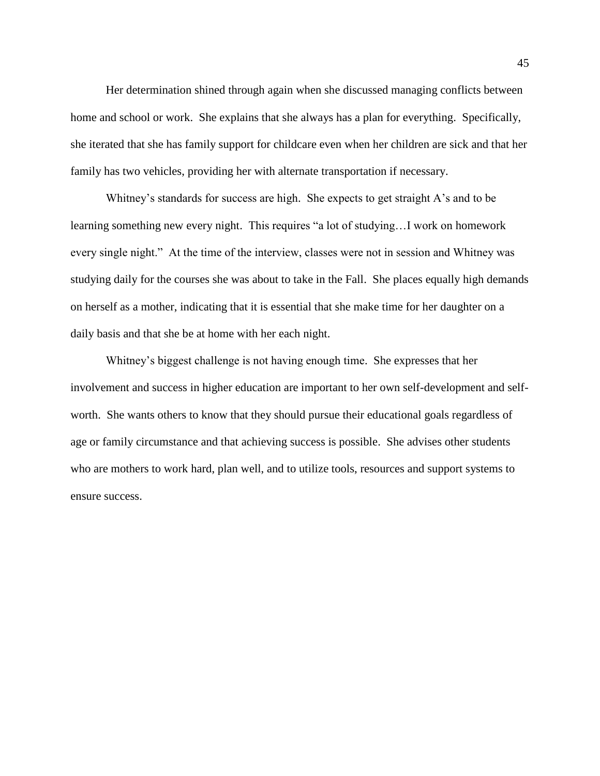Her determination shined through again when she discussed managing conflicts between home and school or work. She explains that she always has a plan for everything. Specifically, she iterated that she has family support for childcare even when her children are sick and that her family has two vehicles, providing her with alternate transportation if necessary.

Whitney's standards for success are high. She expects to get straight A's and to be learning something new every night. This requires "a lot of studying…I work on homework every single night." At the time of the interview, classes were not in session and Whitney was studying daily for the courses she was about to take in the Fall. She places equally high demands on herself as a mother, indicating that it is essential that she make time for her daughter on a daily basis and that she be at home with her each night.

Whitney's biggest challenge is not having enough time. She expresses that her involvement and success in higher education are important to her own self-development and selfworth. She wants others to know that they should pursue their educational goals regardless of age or family circumstance and that achieving success is possible. She advises other students who are mothers to work hard, plan well, and to utilize tools, resources and support systems to ensure success.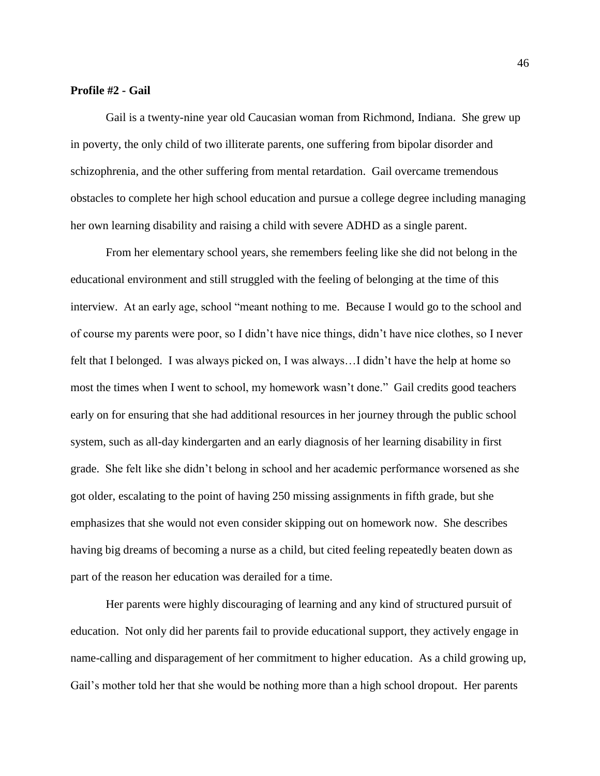#### **Profile #2 - Gail**

Gail is a twenty-nine year old Caucasian woman from Richmond, Indiana. She grew up in poverty, the only child of two illiterate parents, one suffering from bipolar disorder and schizophrenia, and the other suffering from mental retardation. Gail overcame tremendous obstacles to complete her high school education and pursue a college degree including managing her own learning disability and raising a child with severe ADHD as a single parent.

From her elementary school years, she remembers feeling like she did not belong in the educational environment and still struggled with the feeling of belonging at the time of this interview. At an early age, school "meant nothing to me. Because I would go to the school and of course my parents were poor, so I didn't have nice things, didn't have nice clothes, so I never felt that I belonged. I was always picked on, I was always…I didn't have the help at home so most the times when I went to school, my homework wasn't done." Gail credits good teachers early on for ensuring that she had additional resources in her journey through the public school system, such as all-day kindergarten and an early diagnosis of her learning disability in first grade. She felt like she didn't belong in school and her academic performance worsened as she got older, escalating to the point of having 250 missing assignments in fifth grade, but she emphasizes that she would not even consider skipping out on homework now. She describes having big dreams of becoming a nurse as a child, but cited feeling repeatedly beaten down as part of the reason her education was derailed for a time.

Her parents were highly discouraging of learning and any kind of structured pursuit of education. Not only did her parents fail to provide educational support, they actively engage in name-calling and disparagement of her commitment to higher education. As a child growing up, Gail's mother told her that she would be nothing more than a high school dropout. Her parents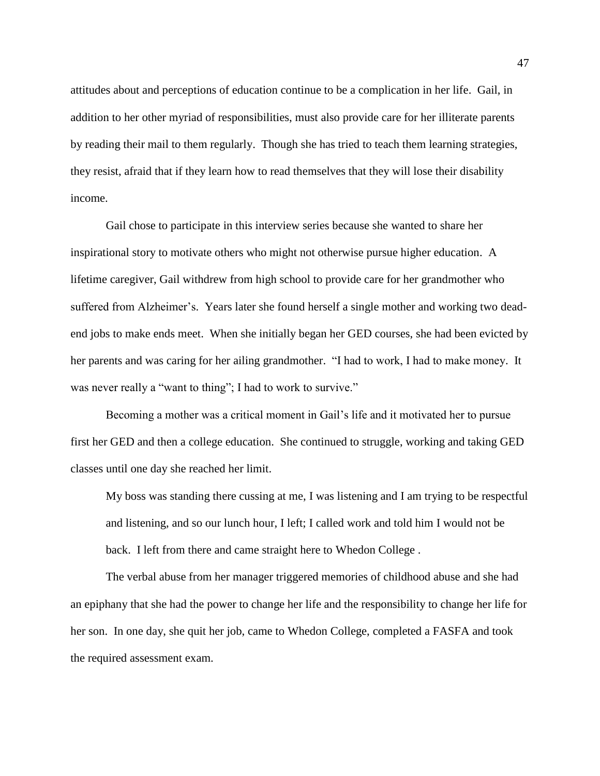attitudes about and perceptions of education continue to be a complication in her life. Gail, in addition to her other myriad of responsibilities, must also provide care for her illiterate parents by reading their mail to them regularly. Though she has tried to teach them learning strategies, they resist, afraid that if they learn how to read themselves that they will lose their disability income.

Gail chose to participate in this interview series because she wanted to share her inspirational story to motivate others who might not otherwise pursue higher education. A lifetime caregiver, Gail withdrew from high school to provide care for her grandmother who suffered from Alzheimer's. Years later she found herself a single mother and working two deadend jobs to make ends meet. When she initially began her GED courses, she had been evicted by her parents and was caring for her ailing grandmother. "I had to work, I had to make money. It was never really a "want to thing"; I had to work to survive."

Becoming a mother was a critical moment in Gail's life and it motivated her to pursue first her GED and then a college education. She continued to struggle, working and taking GED classes until one day she reached her limit.

My boss was standing there cussing at me, I was listening and I am trying to be respectful and listening, and so our lunch hour, I left; I called work and told him I would not be back. I left from there and came straight here to Whedon College .

The verbal abuse from her manager triggered memories of childhood abuse and she had an epiphany that she had the power to change her life and the responsibility to change her life for her son. In one day, she quit her job, came to Whedon College, completed a FASFA and took the required assessment exam.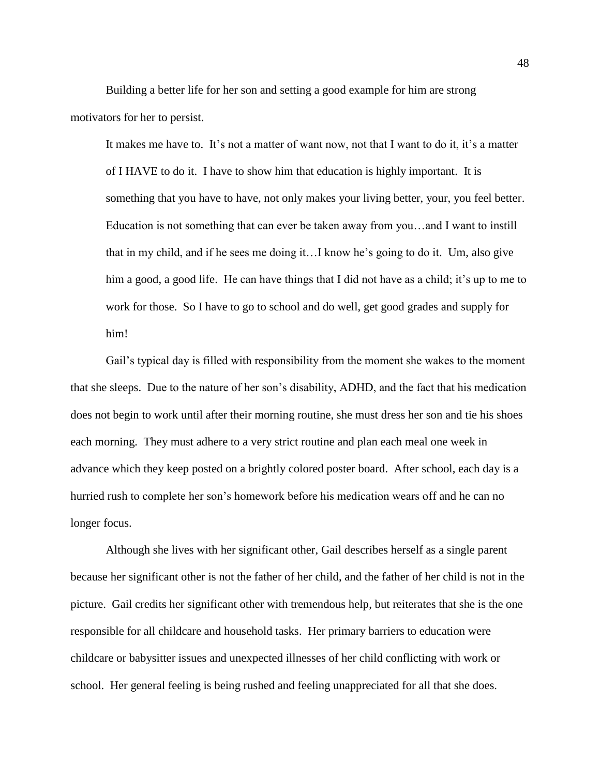Building a better life for her son and setting a good example for him are strong motivators for her to persist.

It makes me have to. It's not a matter of want now, not that I want to do it, it's a matter of I HAVE to do it. I have to show him that education is highly important. It is something that you have to have, not only makes your living better, your, you feel better. Education is not something that can ever be taken away from you…and I want to instill that in my child, and if he sees me doing it…I know he's going to do it. Um, also give him a good, a good life. He can have things that I did not have as a child; it's up to me to work for those. So I have to go to school and do well, get good grades and supply for him!

Gail's typical day is filled with responsibility from the moment she wakes to the moment that she sleeps. Due to the nature of her son's disability, ADHD, and the fact that his medication does not begin to work until after their morning routine, she must dress her son and tie his shoes each morning. They must adhere to a very strict routine and plan each meal one week in advance which they keep posted on a brightly colored poster board. After school, each day is a hurried rush to complete her son's homework before his medication wears off and he can no longer focus.

Although she lives with her significant other, Gail describes herself as a single parent because her significant other is not the father of her child, and the father of her child is not in the picture. Gail credits her significant other with tremendous help, but reiterates that she is the one responsible for all childcare and household tasks. Her primary barriers to education were childcare or babysitter issues and unexpected illnesses of her child conflicting with work or school. Her general feeling is being rushed and feeling unappreciated for all that she does.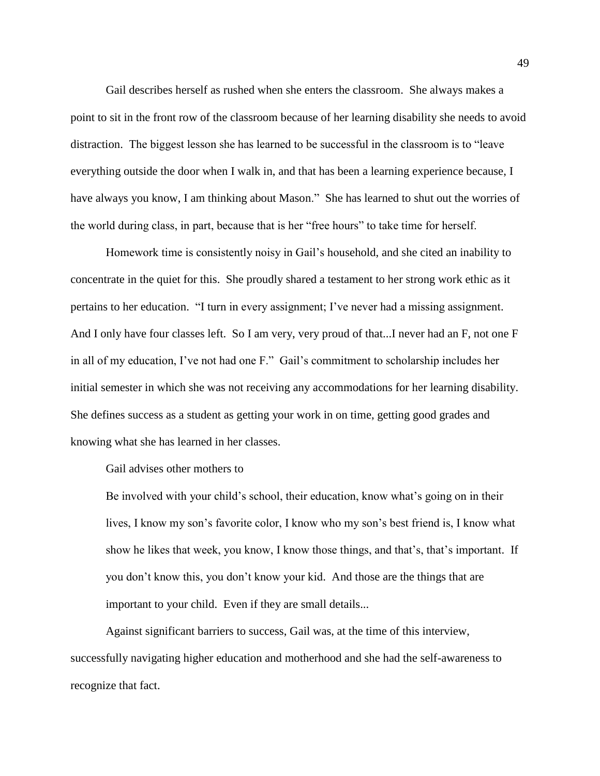Gail describes herself as rushed when she enters the classroom. She always makes a point to sit in the front row of the classroom because of her learning disability she needs to avoid distraction. The biggest lesson she has learned to be successful in the classroom is to "leave everything outside the door when I walk in, and that has been a learning experience because, I have always you know, I am thinking about Mason." She has learned to shut out the worries of the world during class, in part, because that is her "free hours" to take time for herself.

Homework time is consistently noisy in Gail's household, and she cited an inability to concentrate in the quiet for this. She proudly shared a testament to her strong work ethic as it pertains to her education. "I turn in every assignment; I've never had a missing assignment. And I only have four classes left. So I am very, very proud of that...I never had an F, not one F in all of my education, I've not had one F." Gail's commitment to scholarship includes her initial semester in which she was not receiving any accommodations for her learning disability. She defines success as a student as getting your work in on time, getting good grades and knowing what she has learned in her classes.

Gail advises other mothers to

Be involved with your child's school, their education, know what's going on in their lives, I know my son's favorite color, I know who my son's best friend is, I know what show he likes that week, you know, I know those things, and that's, that's important. If you don't know this, you don't know your kid. And those are the things that are important to your child. Even if they are small details...

Against significant barriers to success, Gail was, at the time of this interview, successfully navigating higher education and motherhood and she had the self-awareness to recognize that fact.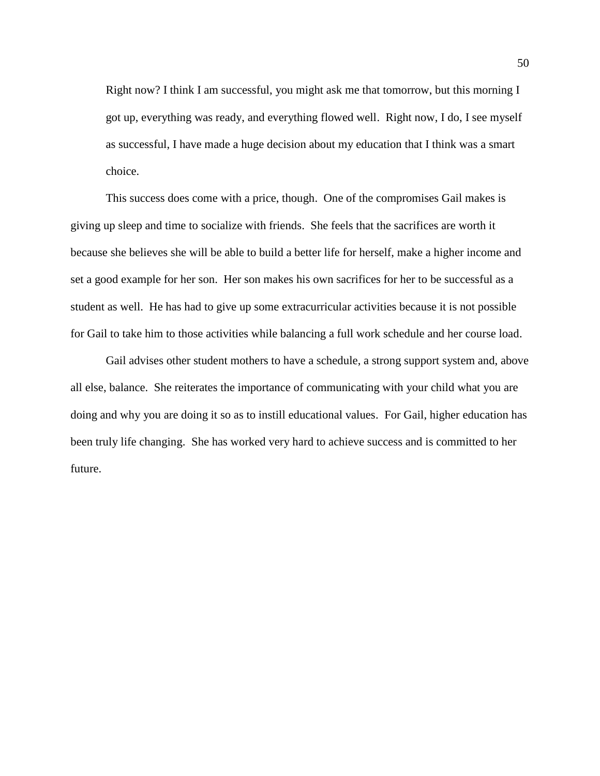Right now? I think I am successful, you might ask me that tomorrow, but this morning I got up, everything was ready, and everything flowed well. Right now, I do, I see myself as successful, I have made a huge decision about my education that I think was a smart choice.

This success does come with a price, though. One of the compromises Gail makes is giving up sleep and time to socialize with friends. She feels that the sacrifices are worth it because she believes she will be able to build a better life for herself, make a higher income and set a good example for her son. Her son makes his own sacrifices for her to be successful as a student as well. He has had to give up some extracurricular activities because it is not possible for Gail to take him to those activities while balancing a full work schedule and her course load.

Gail advises other student mothers to have a schedule, a strong support system and, above all else, balance. She reiterates the importance of communicating with your child what you are doing and why you are doing it so as to instill educational values. For Gail, higher education has been truly life changing. She has worked very hard to achieve success and is committed to her future.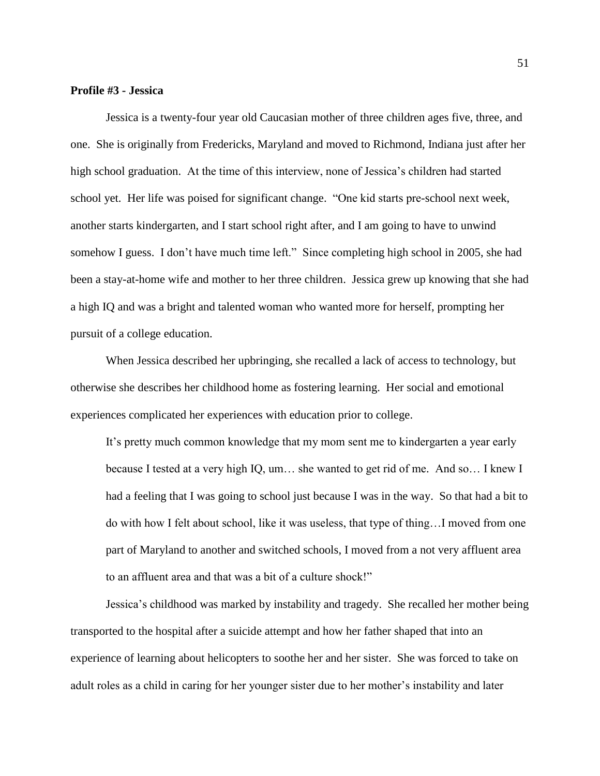#### **Profile #3 - Jessica**

Jessica is a twenty-four year old Caucasian mother of three children ages five, three, and one. She is originally from Fredericks, Maryland and moved to Richmond, Indiana just after her high school graduation. At the time of this interview, none of Jessica's children had started school yet. Her life was poised for significant change. "One kid starts pre-school next week, another starts kindergarten, and I start school right after, and I am going to have to unwind somehow I guess. I don't have much time left." Since completing high school in 2005, she had been a stay-at-home wife and mother to her three children. Jessica grew up knowing that she had a high IQ and was a bright and talented woman who wanted more for herself, prompting her pursuit of a college education.

When Jessica described her upbringing, she recalled a lack of access to technology, but otherwise she describes her childhood home as fostering learning. Her social and emotional experiences complicated her experiences with education prior to college.

It's pretty much common knowledge that my mom sent me to kindergarten a year early because I tested at a very high IQ, um… she wanted to get rid of me. And so… I knew I had a feeling that I was going to school just because I was in the way. So that had a bit to do with how I felt about school, like it was useless, that type of thing…I moved from one part of Maryland to another and switched schools, I moved from a not very affluent area to an affluent area and that was a bit of a culture shock!"

Jessica's childhood was marked by instability and tragedy. She recalled her mother being transported to the hospital after a suicide attempt and how her father shaped that into an experience of learning about helicopters to soothe her and her sister. She was forced to take on adult roles as a child in caring for her younger sister due to her mother's instability and later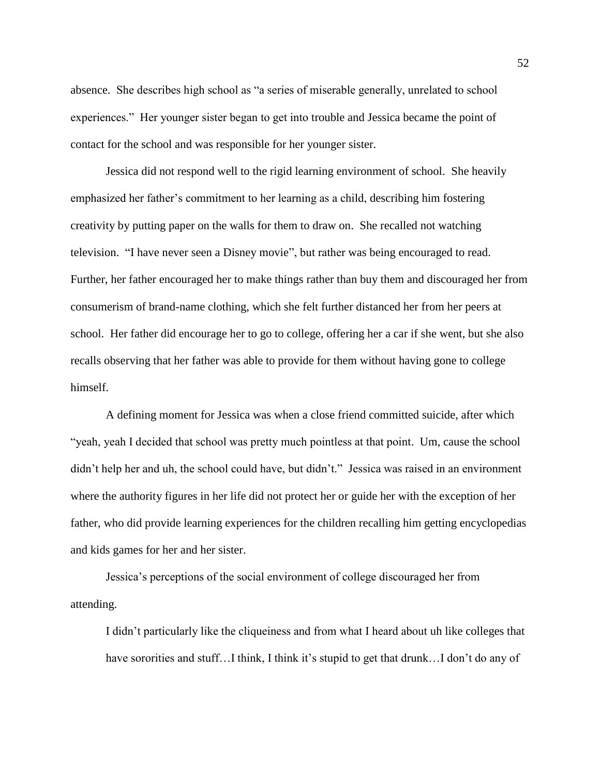absence. She describes high school as "a series of miserable generally, unrelated to school experiences." Her younger sister began to get into trouble and Jessica became the point of contact for the school and was responsible for her younger sister.

Jessica did not respond well to the rigid learning environment of school. She heavily emphasized her father's commitment to her learning as a child, describing him fostering creativity by putting paper on the walls for them to draw on. She recalled not watching television. "I have never seen a Disney movie", but rather was being encouraged to read. Further, her father encouraged her to make things rather than buy them and discouraged her from consumerism of brand-name clothing, which she felt further distanced her from her peers at school. Her father did encourage her to go to college, offering her a car if she went, but she also recalls observing that her father was able to provide for them without having gone to college himself.

A defining moment for Jessica was when a close friend committed suicide, after which "yeah, yeah I decided that school was pretty much pointless at that point. Um, cause the school didn't help her and uh, the school could have, but didn't." Jessica was raised in an environment where the authority figures in her life did not protect her or guide her with the exception of her father, who did provide learning experiences for the children recalling him getting encyclopedias and kids games for her and her sister.

Jessica's perceptions of the social environment of college discouraged her from attending.

I didn't particularly like the cliqueiness and from what I heard about uh like colleges that have sororities and stuff…I think, I think it's stupid to get that drunk…I don't do any of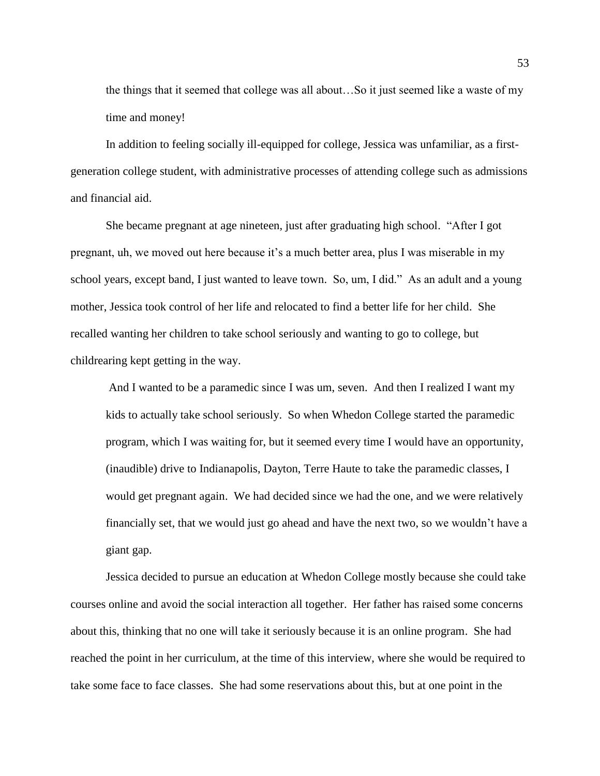the things that it seemed that college was all about…So it just seemed like a waste of my time and money!

In addition to feeling socially ill-equipped for college, Jessica was unfamiliar, as a firstgeneration college student, with administrative processes of attending college such as admissions and financial aid.

She became pregnant at age nineteen, just after graduating high school. "After I got pregnant, uh, we moved out here because it's a much better area, plus I was miserable in my school years, except band, I just wanted to leave town. So, um, I did." As an adult and a young mother, Jessica took control of her life and relocated to find a better life for her child. She recalled wanting her children to take school seriously and wanting to go to college, but childrearing kept getting in the way.

And I wanted to be a paramedic since I was um, seven. And then I realized I want my kids to actually take school seriously. So when Whedon College started the paramedic program, which I was waiting for, but it seemed every time I would have an opportunity, (inaudible) drive to Indianapolis, Dayton, Terre Haute to take the paramedic classes, I would get pregnant again. We had decided since we had the one, and we were relatively financially set, that we would just go ahead and have the next two, so we wouldn't have a giant gap.

Jessica decided to pursue an education at Whedon College mostly because she could take courses online and avoid the social interaction all together. Her father has raised some concerns about this, thinking that no one will take it seriously because it is an online program. She had reached the point in her curriculum, at the time of this interview, where she would be required to take some face to face classes. She had some reservations about this, but at one point in the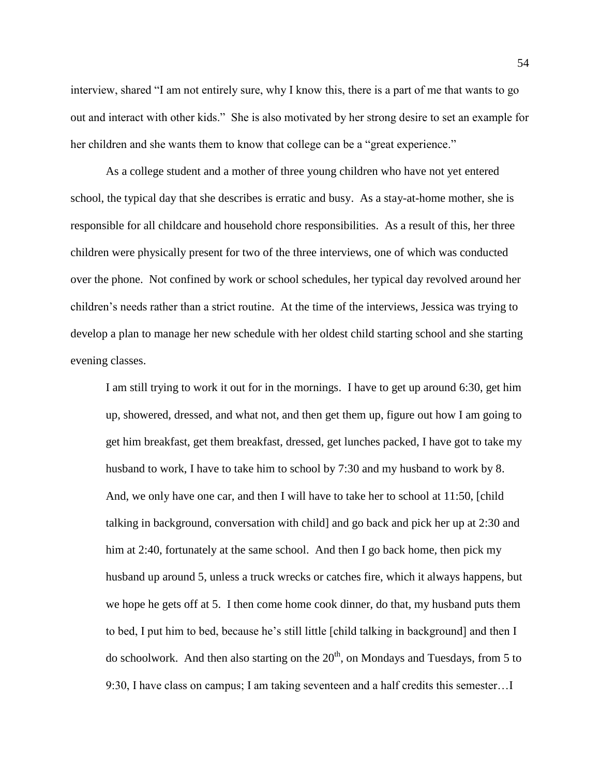interview, shared "I am not entirely sure, why I know this, there is a part of me that wants to go out and interact with other kids." She is also motivated by her strong desire to set an example for her children and she wants them to know that college can be a "great experience."

As a college student and a mother of three young children who have not yet entered school, the typical day that she describes is erratic and busy. As a stay-at-home mother, she is responsible for all childcare and household chore responsibilities. As a result of this, her three children were physically present for two of the three interviews, one of which was conducted over the phone. Not confined by work or school schedules, her typical day revolved around her children's needs rather than a strict routine. At the time of the interviews, Jessica was trying to develop a plan to manage her new schedule with her oldest child starting school and she starting evening classes.

I am still trying to work it out for in the mornings. I have to get up around 6:30, get him up, showered, dressed, and what not, and then get them up, figure out how I am going to get him breakfast, get them breakfast, dressed, get lunches packed, I have got to take my husband to work, I have to take him to school by 7:30 and my husband to work by 8. And, we only have one car, and then I will have to take her to school at 11:50, [child talking in background, conversation with child] and go back and pick her up at 2:30 and him at 2:40, fortunately at the same school. And then I go back home, then pick my husband up around 5, unless a truck wrecks or catches fire, which it always happens, but we hope he gets off at 5. I then come home cook dinner, do that, my husband puts them to bed, I put him to bed, because he's still little [child talking in background] and then I do schoolwork. And then also starting on the  $20<sup>th</sup>$ , on Mondays and Tuesdays, from 5 to 9:30, I have class on campus; I am taking seventeen and a half credits this semester…I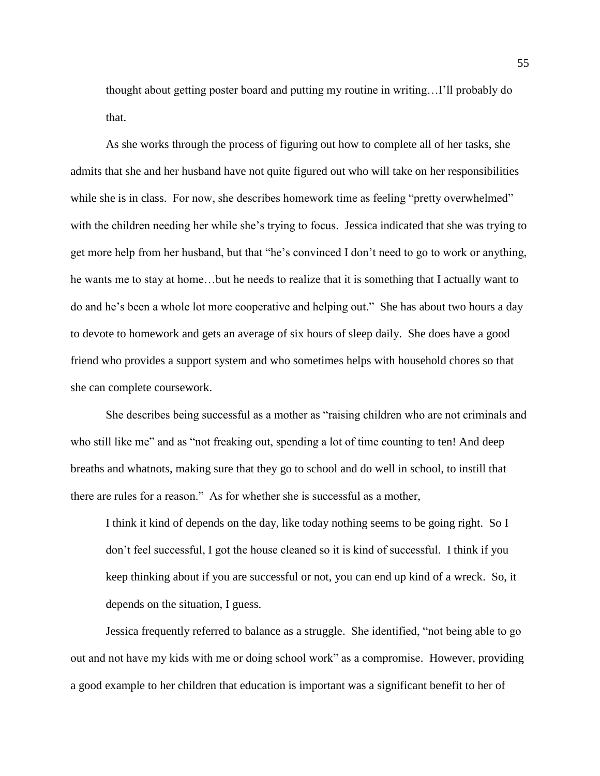thought about getting poster board and putting my routine in writing…I'll probably do that.

As she works through the process of figuring out how to complete all of her tasks, she admits that she and her husband have not quite figured out who will take on her responsibilities while she is in class. For now, she describes homework time as feeling "pretty overwhelmed" with the children needing her while she's trying to focus. Jessica indicated that she was trying to get more help from her husband, but that "he's convinced I don't need to go to work or anything, he wants me to stay at home…but he needs to realize that it is something that I actually want to do and he's been a whole lot more cooperative and helping out." She has about two hours a day to devote to homework and gets an average of six hours of sleep daily. She does have a good friend who provides a support system and who sometimes helps with household chores so that she can complete coursework.

She describes being successful as a mother as "raising children who are not criminals and who still like me" and as "not freaking out, spending a lot of time counting to ten! And deep breaths and whatnots, making sure that they go to school and do well in school, to instill that there are rules for a reason." As for whether she is successful as a mother,

I think it kind of depends on the day, like today nothing seems to be going right. So I don't feel successful, I got the house cleaned so it is kind of successful. I think if you keep thinking about if you are successful or not, you can end up kind of a wreck. So, it depends on the situation, I guess.

Jessica frequently referred to balance as a struggle. She identified, "not being able to go out and not have my kids with me or doing school work" as a compromise. However, providing a good example to her children that education is important was a significant benefit to her of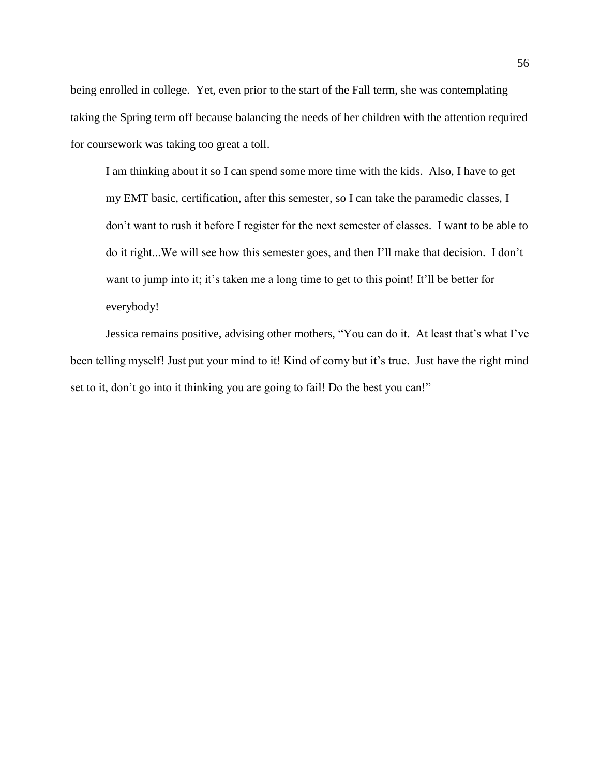being enrolled in college. Yet, even prior to the start of the Fall term, she was contemplating taking the Spring term off because balancing the needs of her children with the attention required for coursework was taking too great a toll.

I am thinking about it so I can spend some more time with the kids. Also, I have to get my EMT basic, certification, after this semester, so I can take the paramedic classes, I don't want to rush it before I register for the next semester of classes. I want to be able to do it right...We will see how this semester goes, and then I'll make that decision. I don't want to jump into it; it's taken me a long time to get to this point! It'll be better for everybody!

Jessica remains positive, advising other mothers, "You can do it. At least that's what I've been telling myself! Just put your mind to it! Kind of corny but it's true. Just have the right mind set to it, don't go into it thinking you are going to fail! Do the best you can!"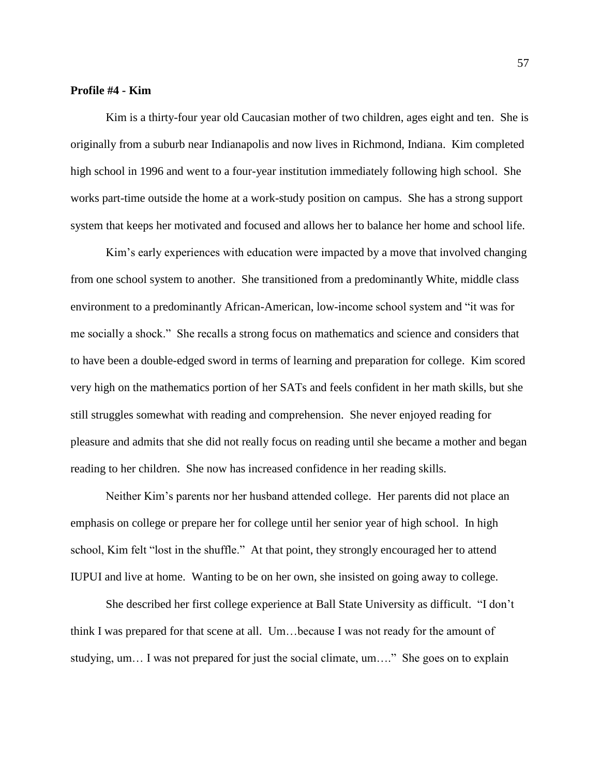#### **Profile #4 - Kim**

Kim is a thirty-four year old Caucasian mother of two children, ages eight and ten. She is originally from a suburb near Indianapolis and now lives in Richmond, Indiana. Kim completed high school in 1996 and went to a four-year institution immediately following high school. She works part-time outside the home at a work-study position on campus. She has a strong support system that keeps her motivated and focused and allows her to balance her home and school life.

Kim's early experiences with education were impacted by a move that involved changing from one school system to another. She transitioned from a predominantly White, middle class environment to a predominantly African-American, low-income school system and "it was for me socially a shock." She recalls a strong focus on mathematics and science and considers that to have been a double-edged sword in terms of learning and preparation for college. Kim scored very high on the mathematics portion of her SATs and feels confident in her math skills, but she still struggles somewhat with reading and comprehension. She never enjoyed reading for pleasure and admits that she did not really focus on reading until she became a mother and began reading to her children. She now has increased confidence in her reading skills.

Neither Kim's parents nor her husband attended college. Her parents did not place an emphasis on college or prepare her for college until her senior year of high school. In high school, Kim felt "lost in the shuffle." At that point, they strongly encouraged her to attend IUPUI and live at home. Wanting to be on her own, she insisted on going away to college.

She described her first college experience at Ball State University as difficult. "I don't think I was prepared for that scene at all. Um…because I was not ready for the amount of studying, um… I was not prepared for just the social climate, um…." She goes on to explain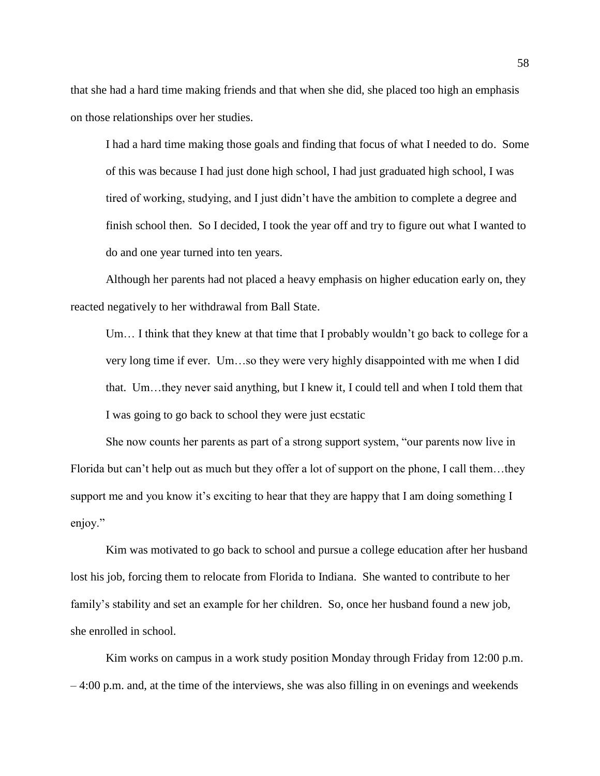that she had a hard time making friends and that when she did, she placed too high an emphasis on those relationships over her studies.

I had a hard time making those goals and finding that focus of what I needed to do. Some of this was because I had just done high school, I had just graduated high school, I was tired of working, studying, and I just didn't have the ambition to complete a degree and finish school then. So I decided, I took the year off and try to figure out what I wanted to do and one year turned into ten years.

Although her parents had not placed a heavy emphasis on higher education early on, they reacted negatively to her withdrawal from Ball State.

Um… I think that they knew at that time that I probably wouldn't go back to college for a very long time if ever. Um…so they were very highly disappointed with me when I did that. Um…they never said anything, but I knew it, I could tell and when I told them that I was going to go back to school they were just ecstatic

She now counts her parents as part of a strong support system, "our parents now live in Florida but can't help out as much but they offer a lot of support on the phone, I call them…they support me and you know it's exciting to hear that they are happy that I am doing something I enjoy."

Kim was motivated to go back to school and pursue a college education after her husband lost his job, forcing them to relocate from Florida to Indiana. She wanted to contribute to her family's stability and set an example for her children. So, once her husband found a new job, she enrolled in school.

Kim works on campus in a work study position Monday through Friday from 12:00 p.m. – 4:00 p.m. and, at the time of the interviews, she was also filling in on evenings and weekends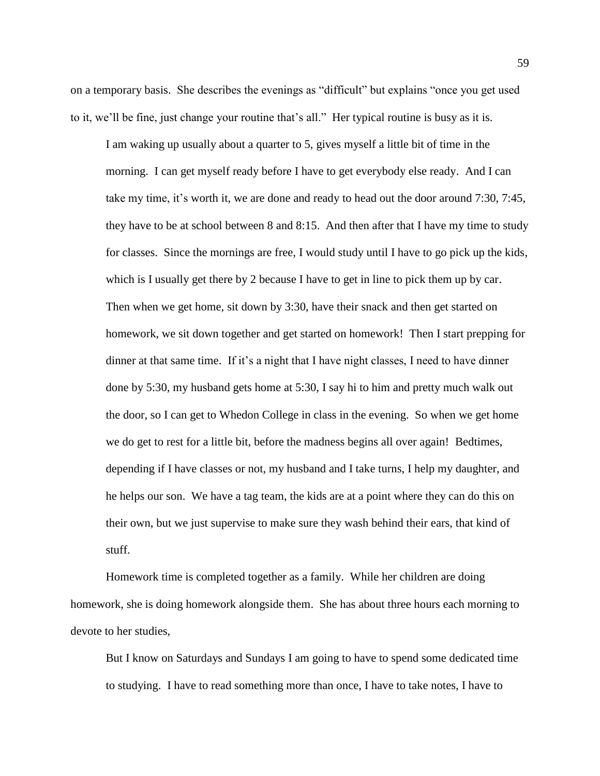on a temporary basis. She describes the evenings as "difficult" but explains "once you get used to it, we'll be fine, just change your routine that's all." Her typical routine is busy as it is.

I am waking up usually about a quarter to 5, gives myself a little bit of time in the morning. I can get myself ready before I have to get everybody else ready. And I can take my time, it's worth it, we are done and ready to head out the door around 7:30, 7:45, they have to be at school between 8 and 8:15. And then after that I have my time to study for classes. Since the mornings are free, I would study until I have to go pick up the kids, which is I usually get there by 2 because I have to get in line to pick them up by car. Then when we get home, sit down by 3:30, have their snack and then get started on homework, we sit down together and get started on homework! Then I start prepping for dinner at that same time. If it's a night that I have night classes, I need to have dinner done by 5:30, my husband gets home at 5:30, I say hi to him and pretty much walk out the door, so I can get to Whedon College in class in the evening. So when we get home we do get to rest for a little bit, before the madness begins all over again! Bedtimes, depending if I have classes or not, my husband and I take turns, I help my daughter, and he helps our son. We have a tag team, the kids are at a point where they can do this on their own, but we just supervise to make sure they wash behind their ears, that kind of stuff.

Homework time is completed together as a family. While her children are doing homework, she is doing homework alongside them. She has about three hours each morning to devote to her studies,

But I know on Saturdays and Sundays I am going to have to spend some dedicated time to studying. I have to read something more than once, I have to take notes, I have to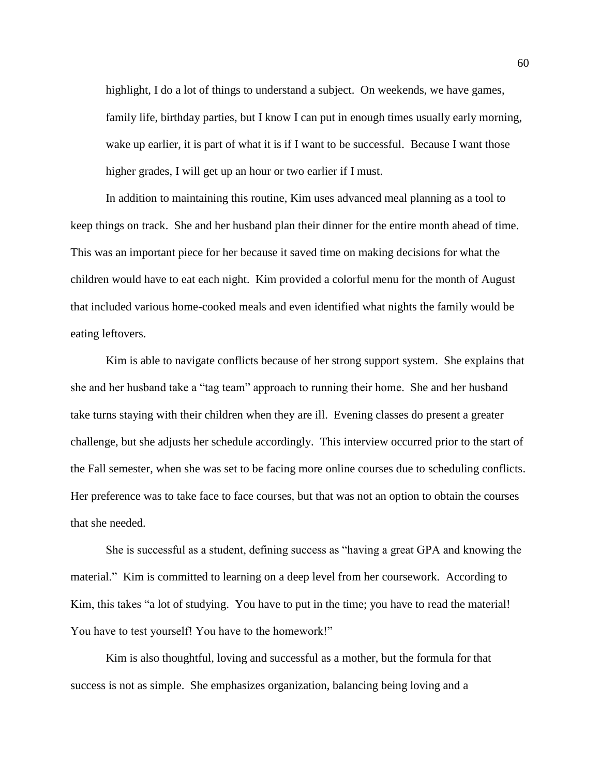highlight, I do a lot of things to understand a subject. On weekends, we have games, family life, birthday parties, but I know I can put in enough times usually early morning, wake up earlier, it is part of what it is if I want to be successful. Because I want those higher grades, I will get up an hour or two earlier if I must.

In addition to maintaining this routine, Kim uses advanced meal planning as a tool to keep things on track. She and her husband plan their dinner for the entire month ahead of time. This was an important piece for her because it saved time on making decisions for what the children would have to eat each night. Kim provided a colorful menu for the month of August that included various home-cooked meals and even identified what nights the family would be eating leftovers.

Kim is able to navigate conflicts because of her strong support system. She explains that she and her husband take a "tag team" approach to running their home. She and her husband take turns staying with their children when they are ill. Evening classes do present a greater challenge, but she adjusts her schedule accordingly. This interview occurred prior to the start of the Fall semester, when she was set to be facing more online courses due to scheduling conflicts. Her preference was to take face to face courses, but that was not an option to obtain the courses that she needed.

She is successful as a student, defining success as "having a great GPA and knowing the material." Kim is committed to learning on a deep level from her coursework. According to Kim, this takes "a lot of studying. You have to put in the time; you have to read the material! You have to test yourself! You have to the homework!"

Kim is also thoughtful, loving and successful as a mother, but the formula for that success is not as simple. She emphasizes organization, balancing being loving and a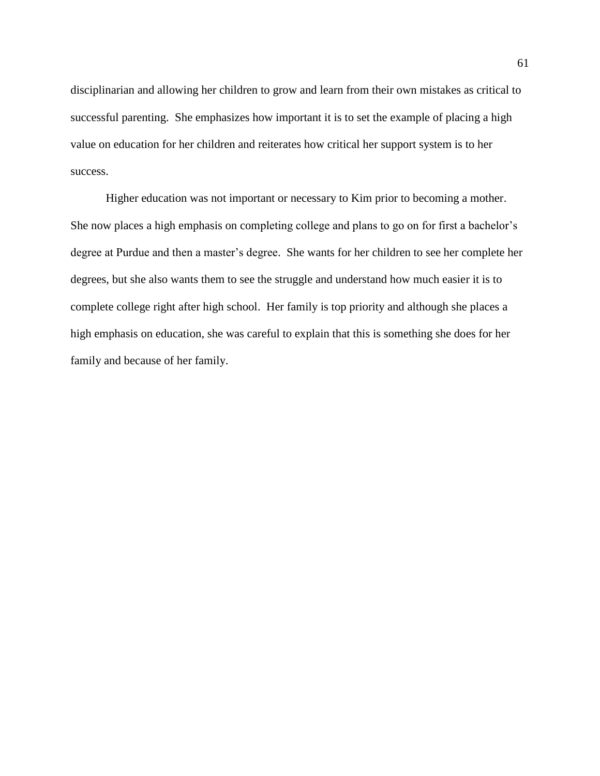disciplinarian and allowing her children to grow and learn from their own mistakes as critical to successful parenting. She emphasizes how important it is to set the example of placing a high value on education for her children and reiterates how critical her support system is to her success.

Higher education was not important or necessary to Kim prior to becoming a mother. She now places a high emphasis on completing college and plans to go on for first a bachelor's degree at Purdue and then a master's degree. She wants for her children to see her complete her degrees, but she also wants them to see the struggle and understand how much easier it is to complete college right after high school. Her family is top priority and although she places a high emphasis on education, she was careful to explain that this is something she does for her family and because of her family.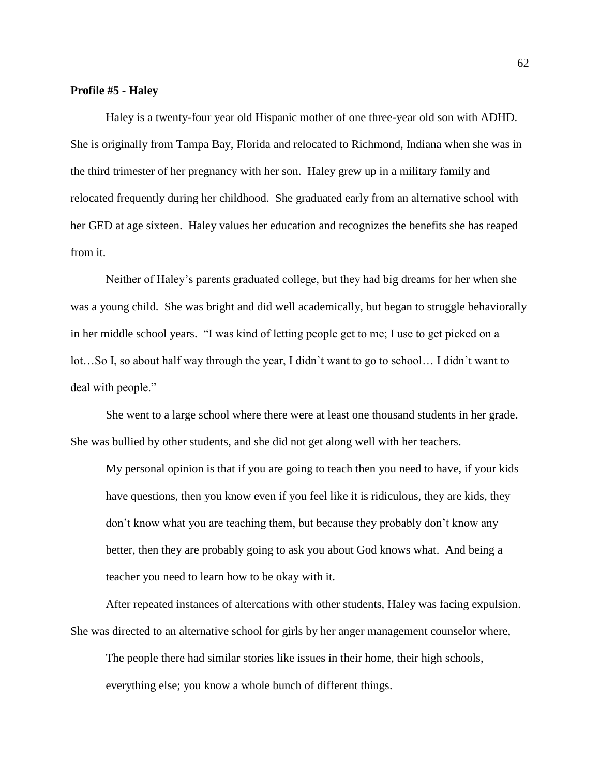## **Profile #5 - Haley**

Haley is a twenty-four year old Hispanic mother of one three-year old son with ADHD. She is originally from Tampa Bay, Florida and relocated to Richmond, Indiana when she was in the third trimester of her pregnancy with her son. Haley grew up in a military family and relocated frequently during her childhood. She graduated early from an alternative school with her GED at age sixteen. Haley values her education and recognizes the benefits she has reaped from it.

Neither of Haley's parents graduated college, but they had big dreams for her when she was a young child. She was bright and did well academically, but began to struggle behaviorally in her middle school years. "I was kind of letting people get to me; I use to get picked on a lot…So I, so about half way through the year, I didn't want to go to school… I didn't want to deal with people."

She went to a large school where there were at least one thousand students in her grade. She was bullied by other students, and she did not get along well with her teachers.

My personal opinion is that if you are going to teach then you need to have, if your kids have questions, then you know even if you feel like it is ridiculous, they are kids, they don't know what you are teaching them, but because they probably don't know any better, then they are probably going to ask you about God knows what. And being a teacher you need to learn how to be okay with it.

After repeated instances of altercations with other students, Haley was facing expulsion. She was directed to an alternative school for girls by her anger management counselor where,

The people there had similar stories like issues in their home, their high schools, everything else; you know a whole bunch of different things.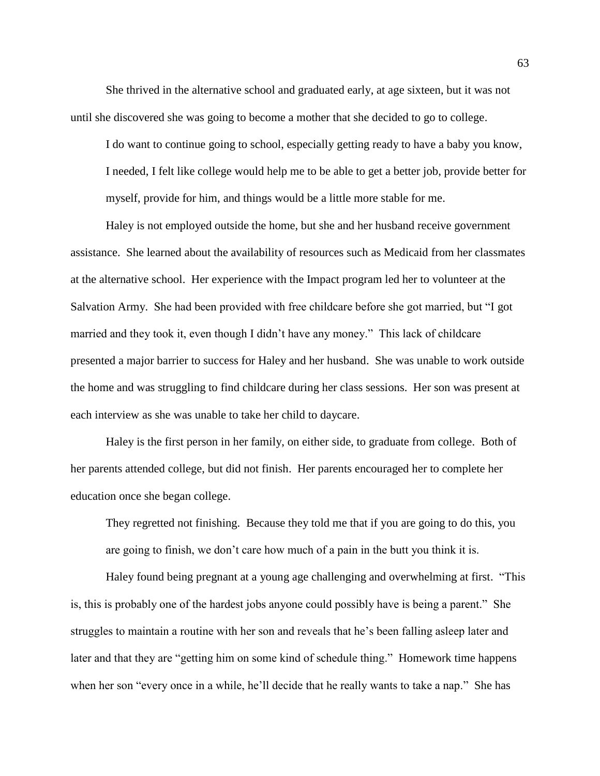She thrived in the alternative school and graduated early, at age sixteen, but it was not until she discovered she was going to become a mother that she decided to go to college.

I do want to continue going to school, especially getting ready to have a baby you know, I needed, I felt like college would help me to be able to get a better job, provide better for myself, provide for him, and things would be a little more stable for me.

Haley is not employed outside the home, but she and her husband receive government assistance. She learned about the availability of resources such as Medicaid from her classmates at the alternative school. Her experience with the Impact program led her to volunteer at the Salvation Army. She had been provided with free childcare before she got married, but "I got married and they took it, even though I didn't have any money." This lack of childcare presented a major barrier to success for Haley and her husband. She was unable to work outside the home and was struggling to find childcare during her class sessions. Her son was present at each interview as she was unable to take her child to daycare.

Haley is the first person in her family, on either side, to graduate from college. Both of her parents attended college, but did not finish. Her parents encouraged her to complete her education once she began college.

They regretted not finishing. Because they told me that if you are going to do this, you are going to finish, we don't care how much of a pain in the butt you think it is.

Haley found being pregnant at a young age challenging and overwhelming at first. "This is, this is probably one of the hardest jobs anyone could possibly have is being a parent." She struggles to maintain a routine with her son and reveals that he's been falling asleep later and later and that they are "getting him on some kind of schedule thing." Homework time happens when her son "every once in a while, he'll decide that he really wants to take a nap." She has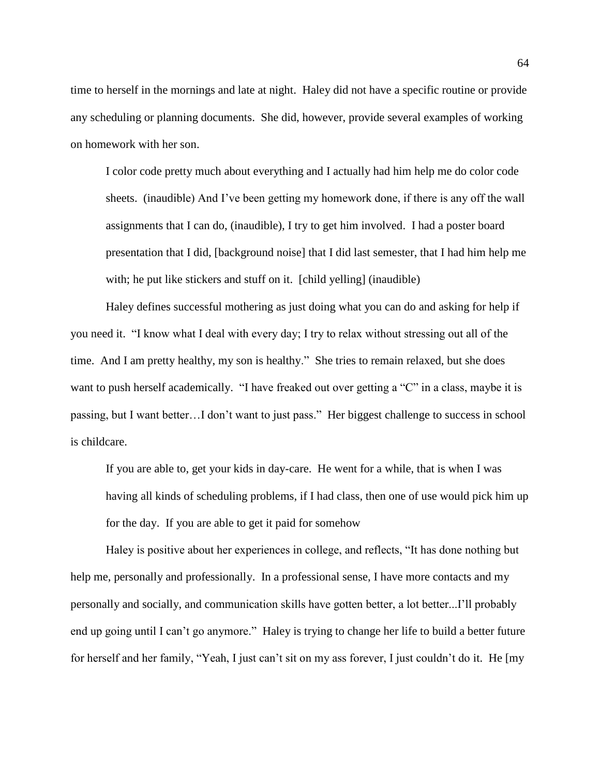time to herself in the mornings and late at night. Haley did not have a specific routine or provide any scheduling or planning documents. She did, however, provide several examples of working on homework with her son.

I color code pretty much about everything and I actually had him help me do color code sheets. (inaudible) And I've been getting my homework done, if there is any off the wall assignments that I can do, (inaudible), I try to get him involved. I had a poster board presentation that I did, [background noise] that I did last semester, that I had him help me with; he put like stickers and stuff on it. [child yelling] (inaudible)

Haley defines successful mothering as just doing what you can do and asking for help if you need it. "I know what I deal with every day; I try to relax without stressing out all of the time. And I am pretty healthy, my son is healthy." She tries to remain relaxed, but she does want to push herself academically. "I have freaked out over getting a "C" in a class, maybe it is passing, but I want better…I don't want to just pass." Her biggest challenge to success in school is childcare.

If you are able to, get your kids in day-care. He went for a while, that is when I was having all kinds of scheduling problems, if I had class, then one of use would pick him up for the day. If you are able to get it paid for somehow

Haley is positive about her experiences in college, and reflects, "It has done nothing but help me, personally and professionally. In a professional sense, I have more contacts and my personally and socially, and communication skills have gotten better, a lot better...I'll probably end up going until I can't go anymore." Haley is trying to change her life to build a better future for herself and her family, "Yeah, I just can't sit on my ass forever, I just couldn't do it. He [my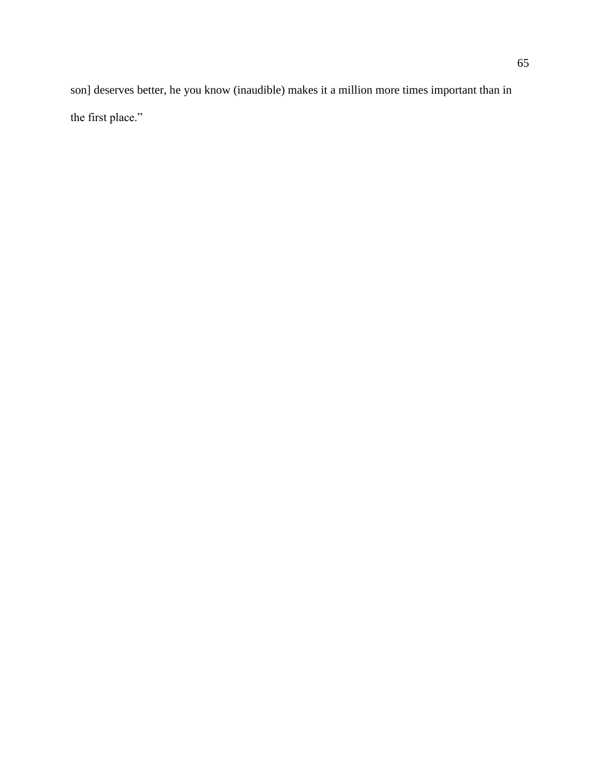son] deserves better, he you know (inaudible) makes it a million more times important than in the first place."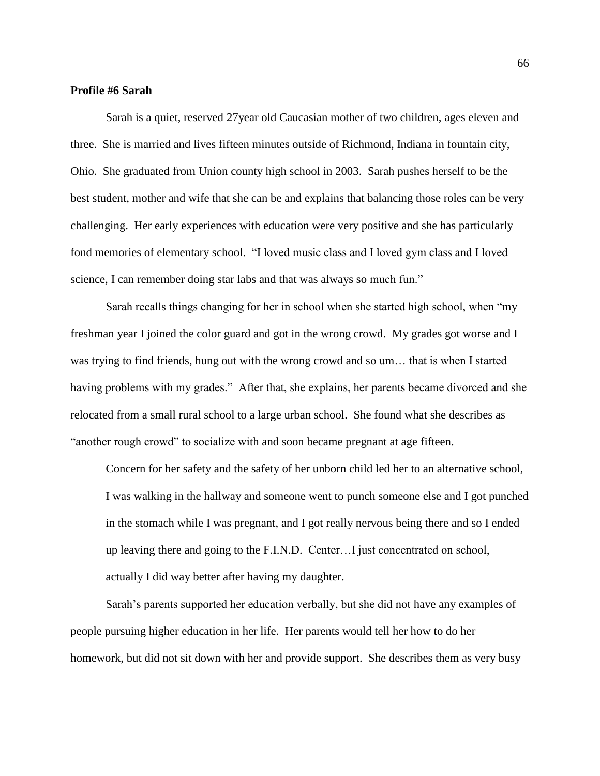#### **Profile #6 Sarah**

Sarah is a quiet, reserved 27year old Caucasian mother of two children, ages eleven and three. She is married and lives fifteen minutes outside of Richmond, Indiana in fountain city, Ohio. She graduated from Union county high school in 2003. Sarah pushes herself to be the best student, mother and wife that she can be and explains that balancing those roles can be very challenging. Her early experiences with education were very positive and she has particularly fond memories of elementary school. "I loved music class and I loved gym class and I loved science, I can remember doing star labs and that was always so much fun."

Sarah recalls things changing for her in school when she started high school, when "my freshman year I joined the color guard and got in the wrong crowd. My grades got worse and I was trying to find friends, hung out with the wrong crowd and so um… that is when I started having problems with my grades." After that, she explains, her parents became divorced and she relocated from a small rural school to a large urban school. She found what she describes as "another rough crowd" to socialize with and soon became pregnant at age fifteen.

Concern for her safety and the safety of her unborn child led her to an alternative school, I was walking in the hallway and someone went to punch someone else and I got punched in the stomach while I was pregnant, and I got really nervous being there and so I ended up leaving there and going to the F.I.N.D. Center…I just concentrated on school, actually I did way better after having my daughter.

Sarah's parents supported her education verbally, but she did not have any examples of people pursuing higher education in her life. Her parents would tell her how to do her homework, but did not sit down with her and provide support. She describes them as very busy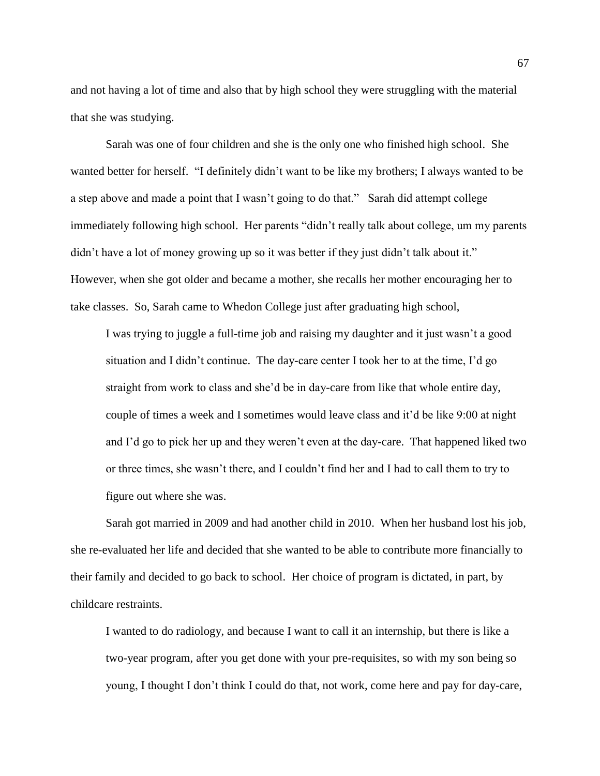and not having a lot of time and also that by high school they were struggling with the material that she was studying.

Sarah was one of four children and she is the only one who finished high school. She wanted better for herself. "I definitely didn't want to be like my brothers; I always wanted to be a step above and made a point that I wasn't going to do that." Sarah did attempt college immediately following high school. Her parents "didn't really talk about college, um my parents didn't have a lot of money growing up so it was better if they just didn't talk about it." However, when she got older and became a mother, she recalls her mother encouraging her to take classes. So, Sarah came to Whedon College just after graduating high school,

I was trying to juggle a full-time job and raising my daughter and it just wasn't a good situation and I didn't continue. The day-care center I took her to at the time, I'd go straight from work to class and she'd be in day-care from like that whole entire day, couple of times a week and I sometimes would leave class and it'd be like 9:00 at night and I'd go to pick her up and they weren't even at the day-care. That happened liked two or three times, she wasn't there, and I couldn't find her and I had to call them to try to figure out where she was.

Sarah got married in 2009 and had another child in 2010. When her husband lost his job, she re-evaluated her life and decided that she wanted to be able to contribute more financially to their family and decided to go back to school. Her choice of program is dictated, in part, by childcare restraints.

I wanted to do radiology, and because I want to call it an internship, but there is like a two-year program, after you get done with your pre-requisites, so with my son being so young, I thought I don't think I could do that, not work, come here and pay for day-care,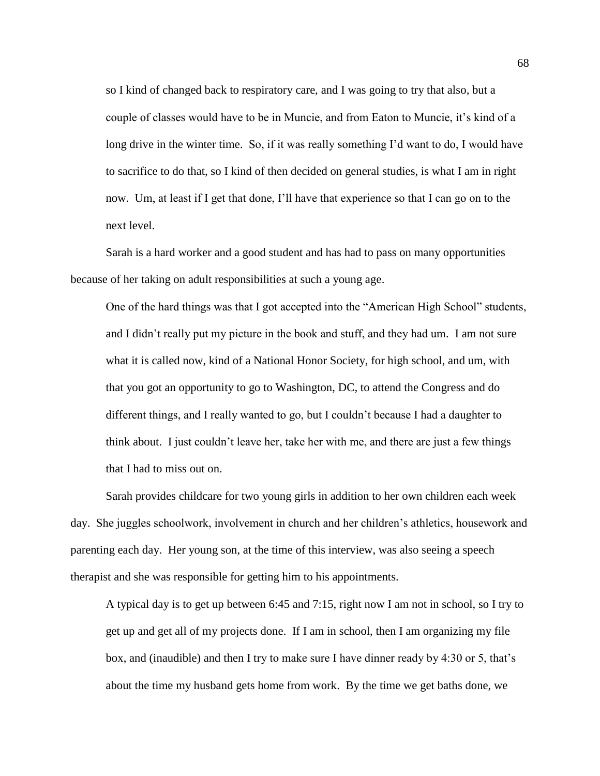so I kind of changed back to respiratory care, and I was going to try that also, but a couple of classes would have to be in Muncie, and from Eaton to Muncie, it's kind of a long drive in the winter time. So, if it was really something I'd want to do, I would have to sacrifice to do that, so I kind of then decided on general studies, is what I am in right now. Um, at least if I get that done, I'll have that experience so that I can go on to the next level.

Sarah is a hard worker and a good student and has had to pass on many opportunities because of her taking on adult responsibilities at such a young age.

One of the hard things was that I got accepted into the "American High School" students, and I didn't really put my picture in the book and stuff, and they had um. I am not sure what it is called now, kind of a National Honor Society, for high school, and um, with that you got an opportunity to go to Washington, DC, to attend the Congress and do different things, and I really wanted to go, but I couldn't because I had a daughter to think about. I just couldn't leave her, take her with me, and there are just a few things that I had to miss out on.

Sarah provides childcare for two young girls in addition to her own children each week day. She juggles schoolwork, involvement in church and her children's athletics, housework and parenting each day. Her young son, at the time of this interview, was also seeing a speech therapist and she was responsible for getting him to his appointments.

A typical day is to get up between 6:45 and 7:15, right now I am not in school, so I try to get up and get all of my projects done. If I am in school, then I am organizing my file box, and (inaudible) and then I try to make sure I have dinner ready by 4:30 or 5, that's about the time my husband gets home from work. By the time we get baths done, we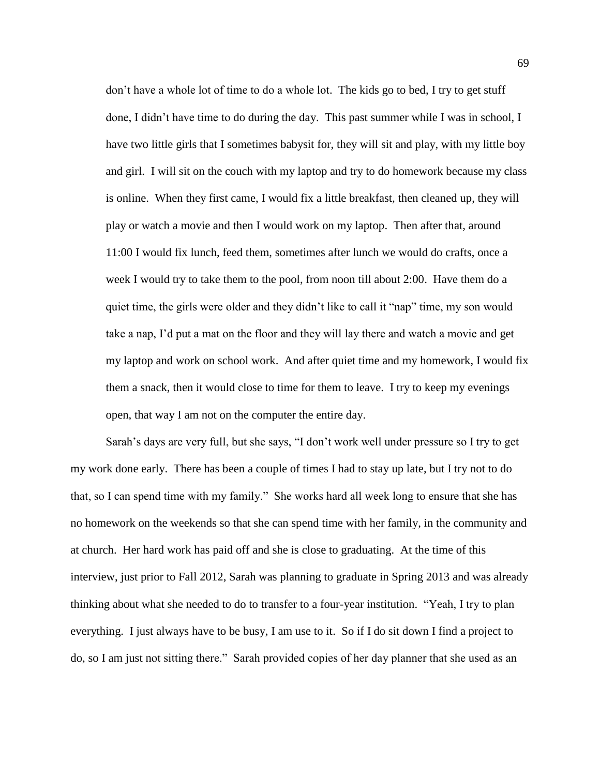don't have a whole lot of time to do a whole lot. The kids go to bed, I try to get stuff done, I didn't have time to do during the day. This past summer while I was in school, I have two little girls that I sometimes babysit for, they will sit and play, with my little boy and girl. I will sit on the couch with my laptop and try to do homework because my class is online. When they first came, I would fix a little breakfast, then cleaned up, they will play or watch a movie and then I would work on my laptop. Then after that, around 11:00 I would fix lunch, feed them, sometimes after lunch we would do crafts, once a week I would try to take them to the pool, from noon till about 2:00. Have them do a quiet time, the girls were older and they didn't like to call it "nap" time, my son would take a nap, I'd put a mat on the floor and they will lay there and watch a movie and get my laptop and work on school work. And after quiet time and my homework, I would fix them a snack, then it would close to time for them to leave. I try to keep my evenings open, that way I am not on the computer the entire day.

Sarah's days are very full, but she says, "I don't work well under pressure so I try to get my work done early. There has been a couple of times I had to stay up late, but I try not to do that, so I can spend time with my family." She works hard all week long to ensure that she has no homework on the weekends so that she can spend time with her family, in the community and at church. Her hard work has paid off and she is close to graduating. At the time of this interview, just prior to Fall 2012, Sarah was planning to graduate in Spring 2013 and was already thinking about what she needed to do to transfer to a four-year institution. "Yeah, I try to plan everything. I just always have to be busy, I am use to it. So if I do sit down I find a project to do, so I am just not sitting there." Sarah provided copies of her day planner that she used as an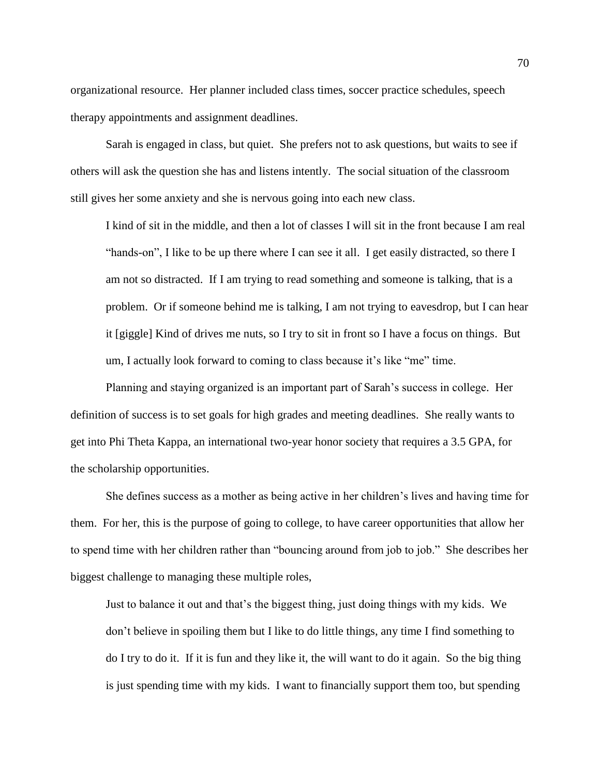organizational resource. Her planner included class times, soccer practice schedules, speech therapy appointments and assignment deadlines.

Sarah is engaged in class, but quiet. She prefers not to ask questions, but waits to see if others will ask the question she has and listens intently. The social situation of the classroom still gives her some anxiety and she is nervous going into each new class.

I kind of sit in the middle, and then a lot of classes I will sit in the front because I am real "hands-on", I like to be up there where I can see it all. I get easily distracted, so there I am not so distracted. If I am trying to read something and someone is talking, that is a problem. Or if someone behind me is talking, I am not trying to eavesdrop, but I can hear it [giggle] Kind of drives me nuts, so I try to sit in front so I have a focus on things. But um, I actually look forward to coming to class because it's like "me" time.

Planning and staying organized is an important part of Sarah's success in college. Her definition of success is to set goals for high grades and meeting deadlines. She really wants to get into Phi Theta Kappa, an international two-year honor society that requires a 3.5 GPA, for the scholarship opportunities.

She defines success as a mother as being active in her children's lives and having time for them. For her, this is the purpose of going to college, to have career opportunities that allow her to spend time with her children rather than "bouncing around from job to job." She describes her biggest challenge to managing these multiple roles,

Just to balance it out and that's the biggest thing, just doing things with my kids. We don't believe in spoiling them but I like to do little things, any time I find something to do I try to do it. If it is fun and they like it, the will want to do it again. So the big thing is just spending time with my kids. I want to financially support them too, but spending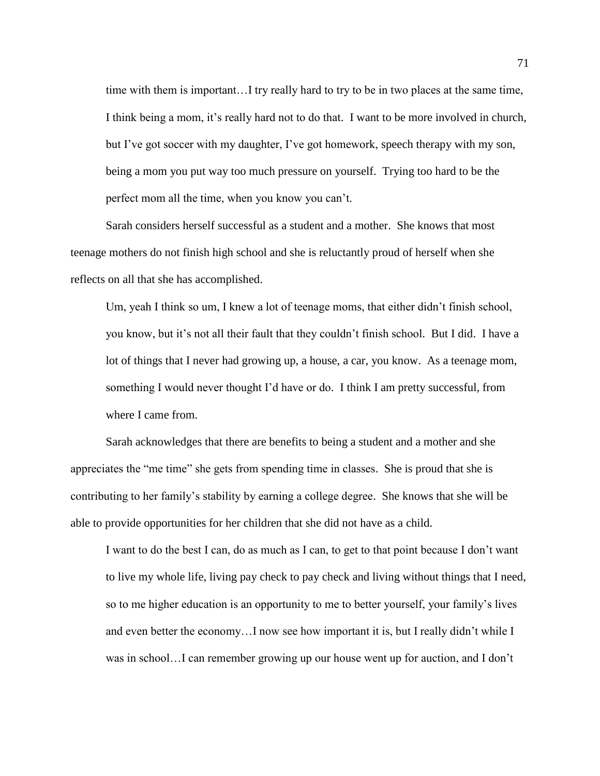time with them is important…I try really hard to try to be in two places at the same time, I think being a mom, it's really hard not to do that. I want to be more involved in church, but I've got soccer with my daughter, I've got homework, speech therapy with my son, being a mom you put way too much pressure on yourself. Trying too hard to be the perfect mom all the time, when you know you can't.

Sarah considers herself successful as a student and a mother. She knows that most teenage mothers do not finish high school and she is reluctantly proud of herself when she reflects on all that she has accomplished.

Um, yeah I think so um, I knew a lot of teenage moms, that either didn't finish school, you know, but it's not all their fault that they couldn't finish school. But I did. I have a lot of things that I never had growing up, a house, a car, you know. As a teenage mom, something I would never thought I'd have or do. I think I am pretty successful, from where I came from.

Sarah acknowledges that there are benefits to being a student and a mother and she appreciates the "me time" she gets from spending time in classes. She is proud that she is contributing to her family's stability by earning a college degree. She knows that she will be able to provide opportunities for her children that she did not have as a child.

I want to do the best I can, do as much as I can, to get to that point because I don't want to live my whole life, living pay check to pay check and living without things that I need, so to me higher education is an opportunity to me to better yourself, your family's lives and even better the economy…I now see how important it is, but I really didn't while I was in school…I can remember growing up our house went up for auction, and I don't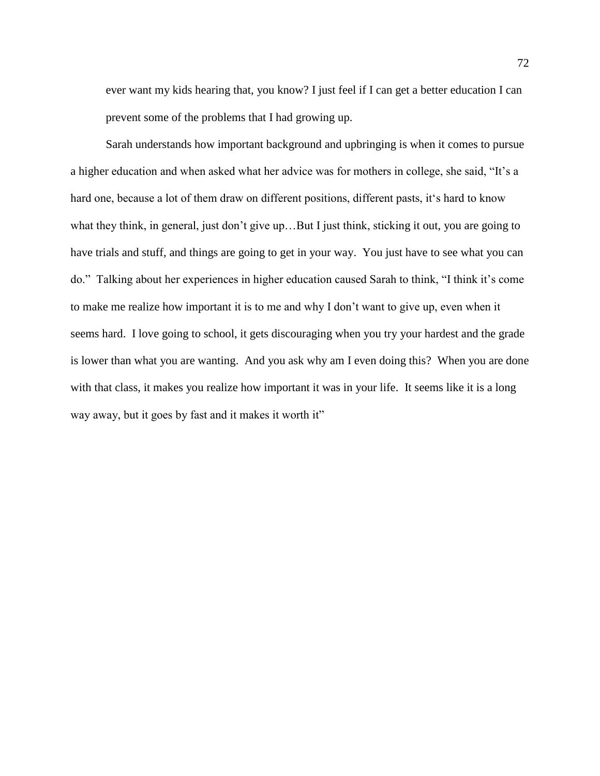ever want my kids hearing that, you know? I just feel if I can get a better education I can prevent some of the problems that I had growing up.

Sarah understands how important background and upbringing is when it comes to pursue a higher education and when asked what her advice was for mothers in college, she said, "It's a hard one, because a lot of them draw on different positions, different pasts, it's hard to know what they think, in general, just don't give up…But I just think, sticking it out, you are going to have trials and stuff, and things are going to get in your way. You just have to see what you can do." Talking about her experiences in higher education caused Sarah to think, "I think it's come to make me realize how important it is to me and why I don't want to give up, even when it seems hard. I love going to school, it gets discouraging when you try your hardest and the grade is lower than what you are wanting. And you ask why am I even doing this? When you are done with that class, it makes you realize how important it was in your life. It seems like it is a long way away, but it goes by fast and it makes it worth it"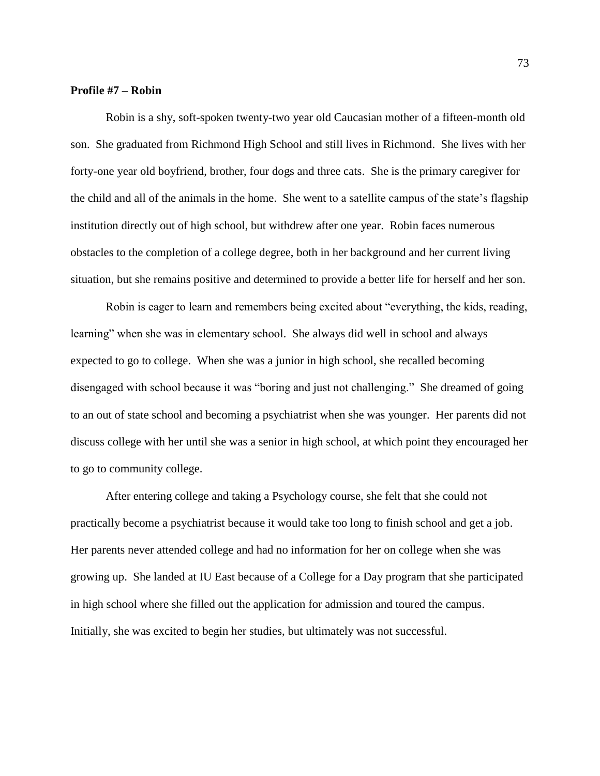# **Profile #7 – Robin**

Robin is a shy, soft-spoken twenty-two year old Caucasian mother of a fifteen-month old son. She graduated from Richmond High School and still lives in Richmond. She lives with her forty-one year old boyfriend, brother, four dogs and three cats. She is the primary caregiver for the child and all of the animals in the home. She went to a satellite campus of the state's flagship institution directly out of high school, but withdrew after one year. Robin faces numerous obstacles to the completion of a college degree, both in her background and her current living situation, but she remains positive and determined to provide a better life for herself and her son.

Robin is eager to learn and remembers being excited about "everything, the kids, reading, learning" when she was in elementary school. She always did well in school and always expected to go to college. When she was a junior in high school, she recalled becoming disengaged with school because it was "boring and just not challenging." She dreamed of going to an out of state school and becoming a psychiatrist when she was younger. Her parents did not discuss college with her until she was a senior in high school, at which point they encouraged her to go to community college.

After entering college and taking a Psychology course, she felt that she could not practically become a psychiatrist because it would take too long to finish school and get a job. Her parents never attended college and had no information for her on college when she was growing up. She landed at IU East because of a College for a Day program that she participated in high school where she filled out the application for admission and toured the campus. Initially, she was excited to begin her studies, but ultimately was not successful.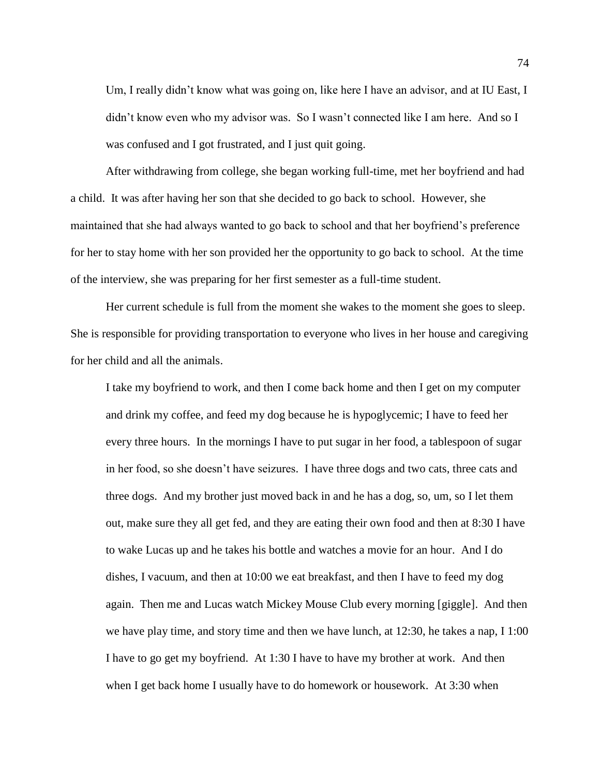Um, I really didn't know what was going on, like here I have an advisor, and at IU East, I didn't know even who my advisor was. So I wasn't connected like I am here. And so I was confused and I got frustrated, and I just quit going.

After withdrawing from college, she began working full-time, met her boyfriend and had a child. It was after having her son that she decided to go back to school. However, she maintained that she had always wanted to go back to school and that her boyfriend's preference for her to stay home with her son provided her the opportunity to go back to school. At the time of the interview, she was preparing for her first semester as a full-time student.

Her current schedule is full from the moment she wakes to the moment she goes to sleep. She is responsible for providing transportation to everyone who lives in her house and caregiving for her child and all the animals.

I take my boyfriend to work, and then I come back home and then I get on my computer and drink my coffee, and feed my dog because he is hypoglycemic; I have to feed her every three hours. In the mornings I have to put sugar in her food, a tablespoon of sugar in her food, so she doesn't have seizures. I have three dogs and two cats, three cats and three dogs. And my brother just moved back in and he has a dog, so, um, so I let them out, make sure they all get fed, and they are eating their own food and then at 8:30 I have to wake Lucas up and he takes his bottle and watches a movie for an hour. And I do dishes, I vacuum, and then at 10:00 we eat breakfast, and then I have to feed my dog again. Then me and Lucas watch Mickey Mouse Club every morning [giggle]. And then we have play time, and story time and then we have lunch, at 12:30, he takes a nap, I 1:00 I have to go get my boyfriend. At 1:30 I have to have my brother at work. And then when I get back home I usually have to do homework or housework. At 3:30 when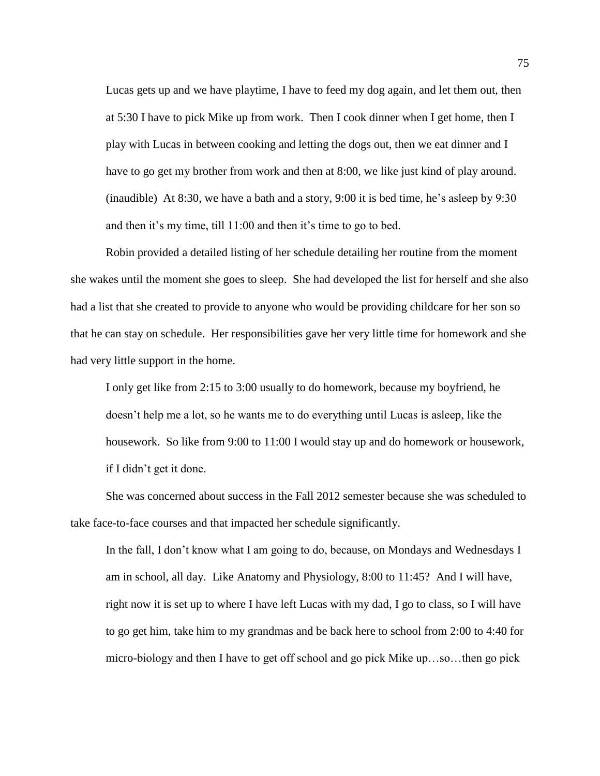Lucas gets up and we have playtime, I have to feed my dog again, and let them out, then at 5:30 I have to pick Mike up from work. Then I cook dinner when I get home, then I play with Lucas in between cooking and letting the dogs out, then we eat dinner and I have to go get my brother from work and then at 8:00, we like just kind of play around. (inaudible) At 8:30, we have a bath and a story, 9:00 it is bed time, he's asleep by 9:30 and then it's my time, till 11:00 and then it's time to go to bed.

Robin provided a detailed listing of her schedule detailing her routine from the moment she wakes until the moment she goes to sleep. She had developed the list for herself and she also had a list that she created to provide to anyone who would be providing childcare for her son so that he can stay on schedule. Her responsibilities gave her very little time for homework and she had very little support in the home.

I only get like from 2:15 to 3:00 usually to do homework, because my boyfriend, he doesn't help me a lot, so he wants me to do everything until Lucas is asleep, like the housework. So like from 9:00 to 11:00 I would stay up and do homework or housework, if I didn't get it done.

She was concerned about success in the Fall 2012 semester because she was scheduled to take face-to-face courses and that impacted her schedule significantly.

In the fall, I don't know what I am going to do, because, on Mondays and Wednesdays I am in school, all day. Like Anatomy and Physiology, 8:00 to 11:45? And I will have, right now it is set up to where I have left Lucas with my dad, I go to class, so I will have to go get him, take him to my grandmas and be back here to school from 2:00 to 4:40 for micro-biology and then I have to get off school and go pick Mike up…so…then go pick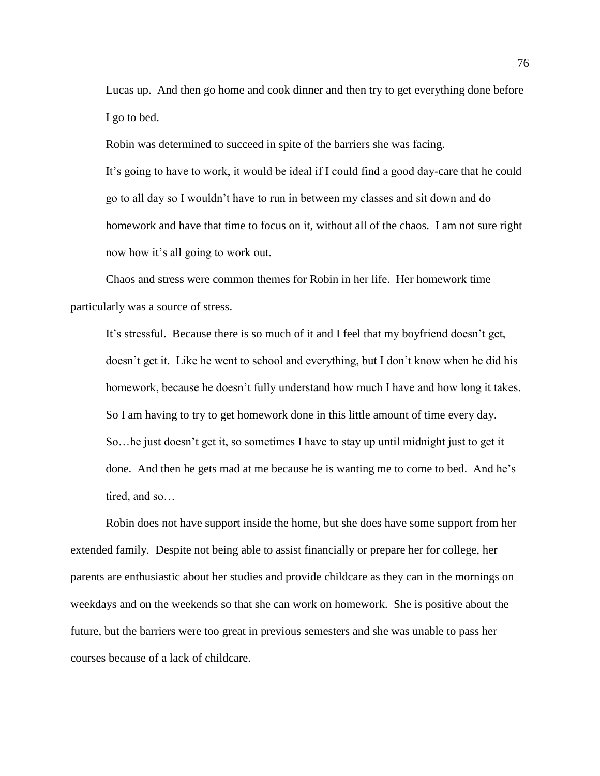Lucas up. And then go home and cook dinner and then try to get everything done before I go to bed.

Robin was determined to succeed in spite of the barriers she was facing. It's going to have to work, it would be ideal if I could find a good day-care that he could go to all day so I wouldn't have to run in between my classes and sit down and do homework and have that time to focus on it, without all of the chaos. I am not sure right now how it's all going to work out.

Chaos and stress were common themes for Robin in her life. Her homework time particularly was a source of stress.

It's stressful. Because there is so much of it and I feel that my boyfriend doesn't get, doesn't get it. Like he went to school and everything, but I don't know when he did his homework, because he doesn't fully understand how much I have and how long it takes. So I am having to try to get homework done in this little amount of time every day. So…he just doesn't get it, so sometimes I have to stay up until midnight just to get it done. And then he gets mad at me because he is wanting me to come to bed. And he's tired, and so…

Robin does not have support inside the home, but she does have some support from her extended family. Despite not being able to assist financially or prepare her for college, her parents are enthusiastic about her studies and provide childcare as they can in the mornings on weekdays and on the weekends so that she can work on homework. She is positive about the future, but the barriers were too great in previous semesters and she was unable to pass her courses because of a lack of childcare.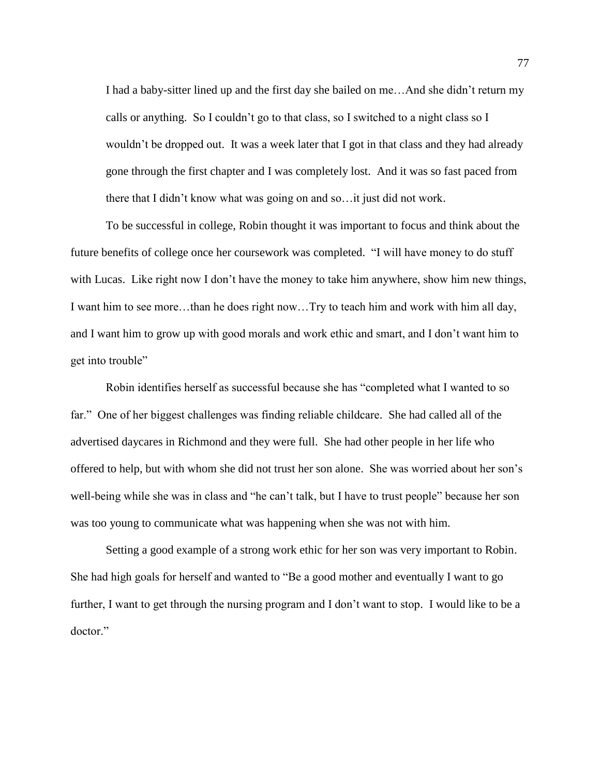I had a baby-sitter lined up and the first day she bailed on me…And she didn't return my calls or anything. So I couldn't go to that class, so I switched to a night class so I wouldn't be dropped out. It was a week later that I got in that class and they had already gone through the first chapter and I was completely lost. And it was so fast paced from there that I didn't know what was going on and so…it just did not work.

To be successful in college, Robin thought it was important to focus and think about the future benefits of college once her coursework was completed. "I will have money to do stuff with Lucas. Like right now I don't have the money to take him anywhere, show him new things, I want him to see more…than he does right now…Try to teach him and work with him all day, and I want him to grow up with good morals and work ethic and smart, and I don't want him to get into trouble"

Robin identifies herself as successful because she has "completed what I wanted to so far." One of her biggest challenges was finding reliable childcare. She had called all of the advertised daycares in Richmond and they were full. She had other people in her life who offered to help, but with whom she did not trust her son alone. She was worried about her son's well-being while she was in class and "he can't talk, but I have to trust people" because her son was too young to communicate what was happening when she was not with him.

Setting a good example of a strong work ethic for her son was very important to Robin. She had high goals for herself and wanted to "Be a good mother and eventually I want to go further, I want to get through the nursing program and I don't want to stop. I would like to be a doctor."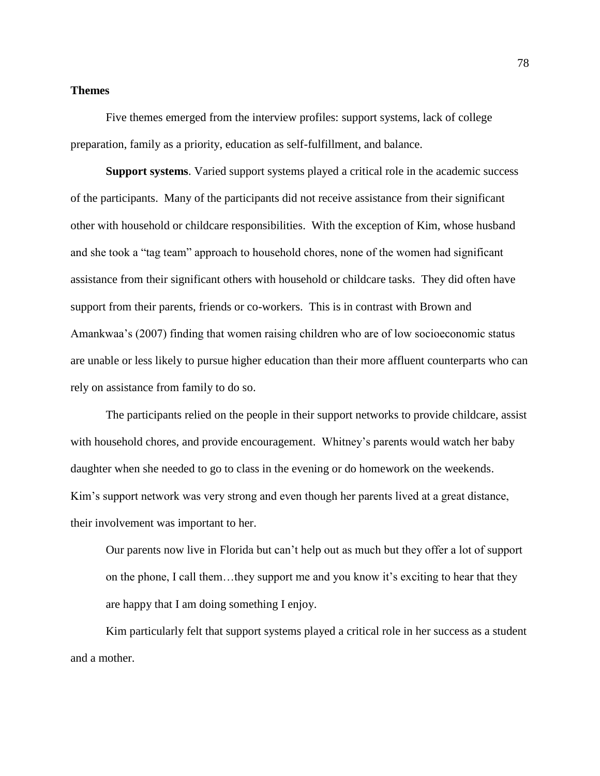### **Themes**

Five themes emerged from the interview profiles: support systems, lack of college preparation, family as a priority, education as self-fulfillment, and balance.

**Support systems**. Varied support systems played a critical role in the academic success of the participants. Many of the participants did not receive assistance from their significant other with household or childcare responsibilities. With the exception of Kim, whose husband and she took a "tag team" approach to household chores, none of the women had significant assistance from their significant others with household or childcare tasks. They did often have support from their parents, friends or co-workers. This is in contrast with Brown and Amankwaa's (2007) finding that women raising children who are of low socioeconomic status are unable or less likely to pursue higher education than their more affluent counterparts who can rely on assistance from family to do so.

The participants relied on the people in their support networks to provide childcare, assist with household chores, and provide encouragement. Whitney's parents would watch her baby daughter when she needed to go to class in the evening or do homework on the weekends. Kim's support network was very strong and even though her parents lived at a great distance, their involvement was important to her.

Our parents now live in Florida but can't help out as much but they offer a lot of support on the phone, I call them…they support me and you know it's exciting to hear that they are happy that I am doing something I enjoy.

Kim particularly felt that support systems played a critical role in her success as a student and a mother.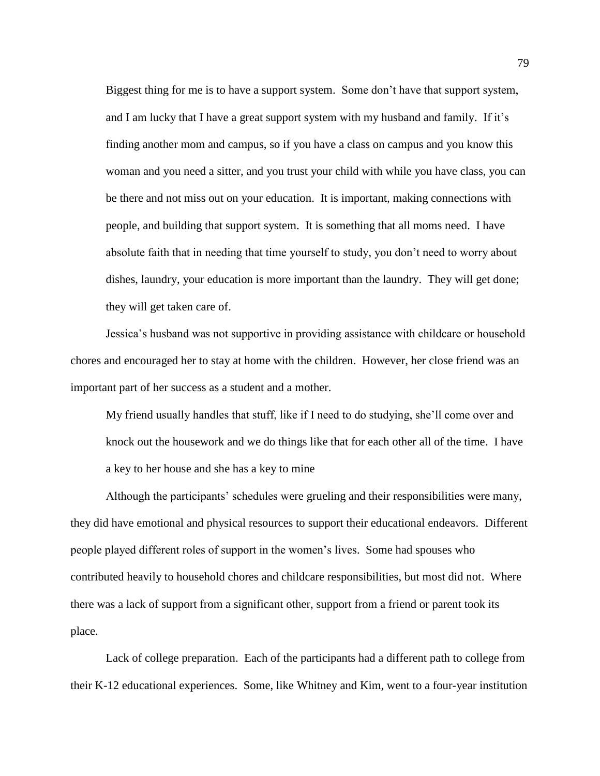Biggest thing for me is to have a support system. Some don't have that support system, and I am lucky that I have a great support system with my husband and family. If it's finding another mom and campus, so if you have a class on campus and you know this woman and you need a sitter, and you trust your child with while you have class, you can be there and not miss out on your education. It is important, making connections with people, and building that support system. It is something that all moms need. I have absolute faith that in needing that time yourself to study, you don't need to worry about dishes, laundry, your education is more important than the laundry. They will get done; they will get taken care of.

Jessica's husband was not supportive in providing assistance with childcare or household chores and encouraged her to stay at home with the children. However, her close friend was an important part of her success as a student and a mother.

My friend usually handles that stuff, like if I need to do studying, she'll come over and knock out the housework and we do things like that for each other all of the time. I have a key to her house and she has a key to mine

Although the participants' schedules were grueling and their responsibilities were many, they did have emotional and physical resources to support their educational endeavors. Different people played different roles of support in the women's lives. Some had spouses who contributed heavily to household chores and childcare responsibilities, but most did not. Where there was a lack of support from a significant other, support from a friend or parent took its place.

Lack of college preparation. Each of the participants had a different path to college from their K-12 educational experiences. Some, like Whitney and Kim, went to a four-year institution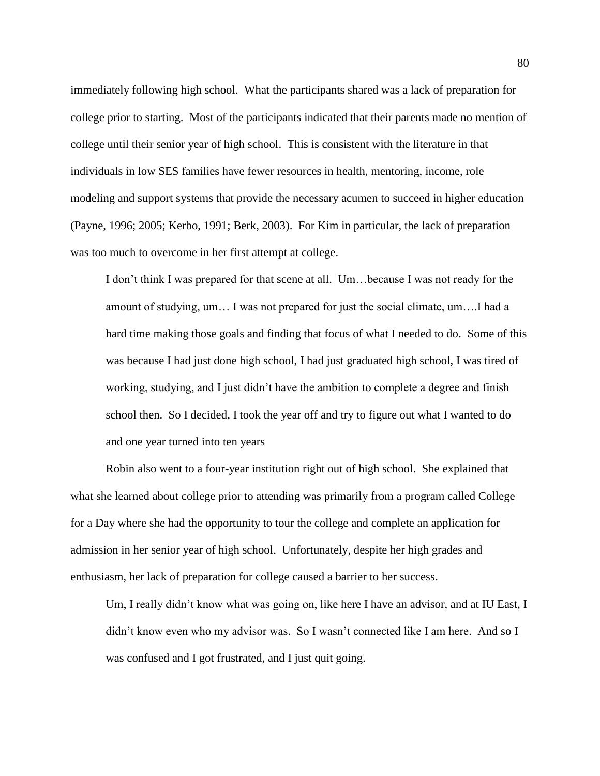immediately following high school. What the participants shared was a lack of preparation for college prior to starting. Most of the participants indicated that their parents made no mention of college until their senior year of high school. This is consistent with the literature in that individuals in low SES families have fewer resources in health, mentoring, income, role modeling and support systems that provide the necessary acumen to succeed in higher education (Payne, 1996; 2005; Kerbo, 1991; Berk, 2003). For Kim in particular, the lack of preparation was too much to overcome in her first attempt at college.

I don't think I was prepared for that scene at all. Um…because I was not ready for the amount of studying, um… I was not prepared for just the social climate, um….I had a hard time making those goals and finding that focus of what I needed to do. Some of this was because I had just done high school, I had just graduated high school, I was tired of working, studying, and I just didn't have the ambition to complete a degree and finish school then. So I decided, I took the year off and try to figure out what I wanted to do and one year turned into ten years

Robin also went to a four-year institution right out of high school. She explained that what she learned about college prior to attending was primarily from a program called College for a Day where she had the opportunity to tour the college and complete an application for admission in her senior year of high school. Unfortunately, despite her high grades and enthusiasm, her lack of preparation for college caused a barrier to her success.

Um, I really didn't know what was going on, like here I have an advisor, and at IU East, I didn't know even who my advisor was. So I wasn't connected like I am here. And so I was confused and I got frustrated, and I just quit going.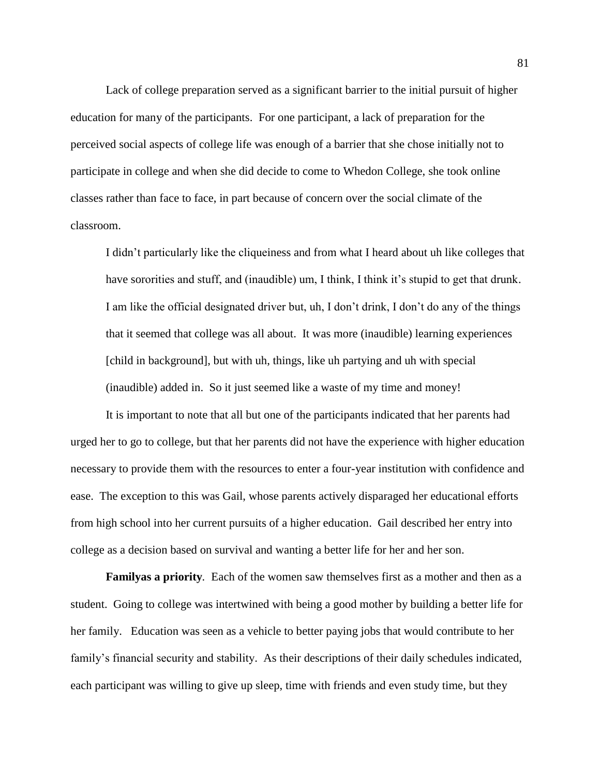Lack of college preparation served as a significant barrier to the initial pursuit of higher education for many of the participants. For one participant, a lack of preparation for the perceived social aspects of college life was enough of a barrier that she chose initially not to participate in college and when she did decide to come to Whedon College, she took online classes rather than face to face, in part because of concern over the social climate of the classroom.

I didn't particularly like the cliqueiness and from what I heard about uh like colleges that have sororities and stuff, and (inaudible) um, I think, I think it's stupid to get that drunk. I am like the official designated driver but, uh, I don't drink, I don't do any of the things that it seemed that college was all about. It was more (inaudible) learning experiences [child in background], but with uh, things, like uh partying and uh with special (inaudible) added in. So it just seemed like a waste of my time and money!

It is important to note that all but one of the participants indicated that her parents had urged her to go to college, but that her parents did not have the experience with higher education necessary to provide them with the resources to enter a four-year institution with confidence and ease. The exception to this was Gail, whose parents actively disparaged her educational efforts from high school into her current pursuits of a higher education. Gail described her entry into college as a decision based on survival and wanting a better life for her and her son.

**Familyas a priority***.* Each of the women saw themselves first as a mother and then as a student. Going to college was intertwined with being a good mother by building a better life for her family. Education was seen as a vehicle to better paying jobs that would contribute to her family's financial security and stability. As their descriptions of their daily schedules indicated, each participant was willing to give up sleep, time with friends and even study time, but they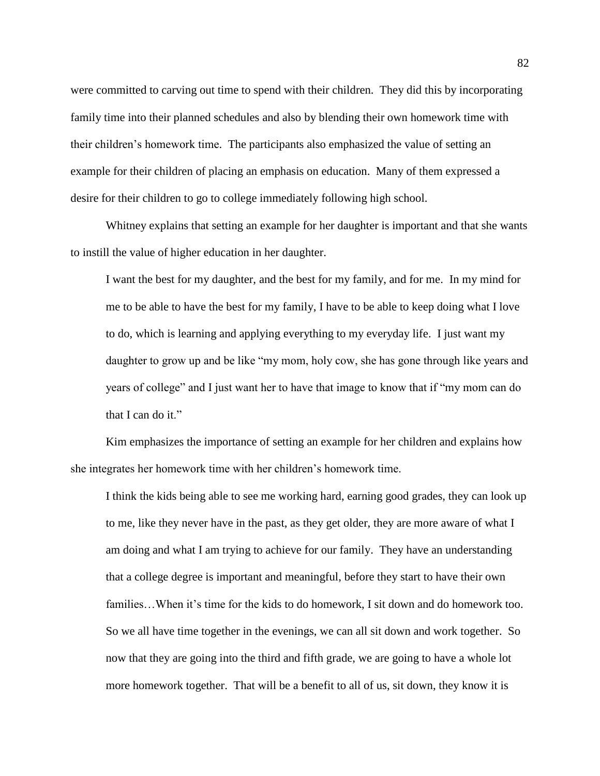were committed to carving out time to spend with their children. They did this by incorporating family time into their planned schedules and also by blending their own homework time with their children's homework time. The participants also emphasized the value of setting an example for their children of placing an emphasis on education. Many of them expressed a desire for their children to go to college immediately following high school.

Whitney explains that setting an example for her daughter is important and that she wants to instill the value of higher education in her daughter.

I want the best for my daughter, and the best for my family, and for me. In my mind for me to be able to have the best for my family, I have to be able to keep doing what I love to do, which is learning and applying everything to my everyday life. I just want my daughter to grow up and be like "my mom, holy cow, she has gone through like years and years of college" and I just want her to have that image to know that if "my mom can do that I can do it."

Kim emphasizes the importance of setting an example for her children and explains how she integrates her homework time with her children's homework time.

I think the kids being able to see me working hard, earning good grades, they can look up to me, like they never have in the past, as they get older, they are more aware of what I am doing and what I am trying to achieve for our family. They have an understanding that a college degree is important and meaningful, before they start to have their own families…When it's time for the kids to do homework, I sit down and do homework too. So we all have time together in the evenings, we can all sit down and work together. So now that they are going into the third and fifth grade, we are going to have a whole lot more homework together. That will be a benefit to all of us, sit down, they know it is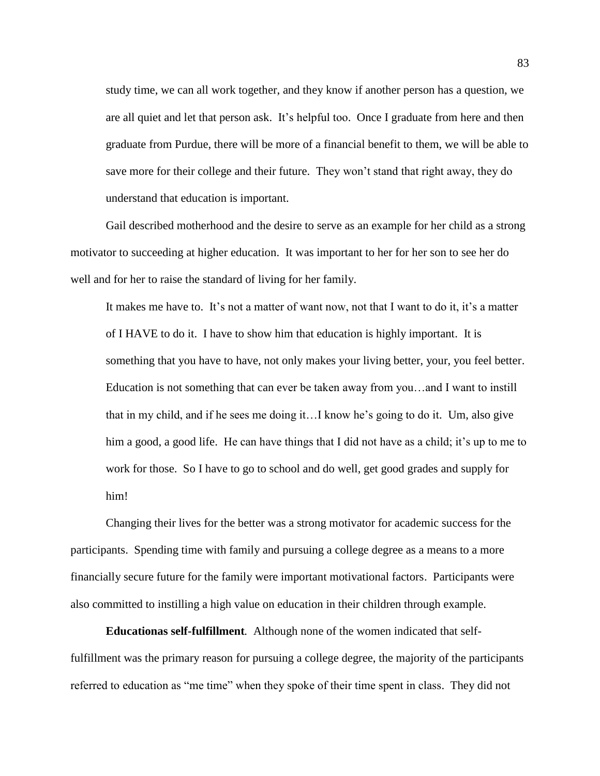study time, we can all work together, and they know if another person has a question, we are all quiet and let that person ask. It's helpful too. Once I graduate from here and then graduate from Purdue, there will be more of a financial benefit to them, we will be able to save more for their college and their future. They won't stand that right away, they do understand that education is important.

Gail described motherhood and the desire to serve as an example for her child as a strong motivator to succeeding at higher education. It was important to her for her son to see her do well and for her to raise the standard of living for her family.

It makes me have to. It's not a matter of want now, not that I want to do it, it's a matter of I HAVE to do it. I have to show him that education is highly important. It is something that you have to have, not only makes your living better, your, you feel better. Education is not something that can ever be taken away from you…and I want to instill that in my child, and if he sees me doing it…I know he's going to do it. Um, also give him a good, a good life. He can have things that I did not have as a child; it's up to me to work for those. So I have to go to school and do well, get good grades and supply for him!

Changing their lives for the better was a strong motivator for academic success for the participants. Spending time with family and pursuing a college degree as a means to a more financially secure future for the family were important motivational factors. Participants were also committed to instilling a high value on education in their children through example.

**Educationas self-fulfillment***.* Although none of the women indicated that selffulfillment was the primary reason for pursuing a college degree, the majority of the participants referred to education as "me time" when they spoke of their time spent in class. They did not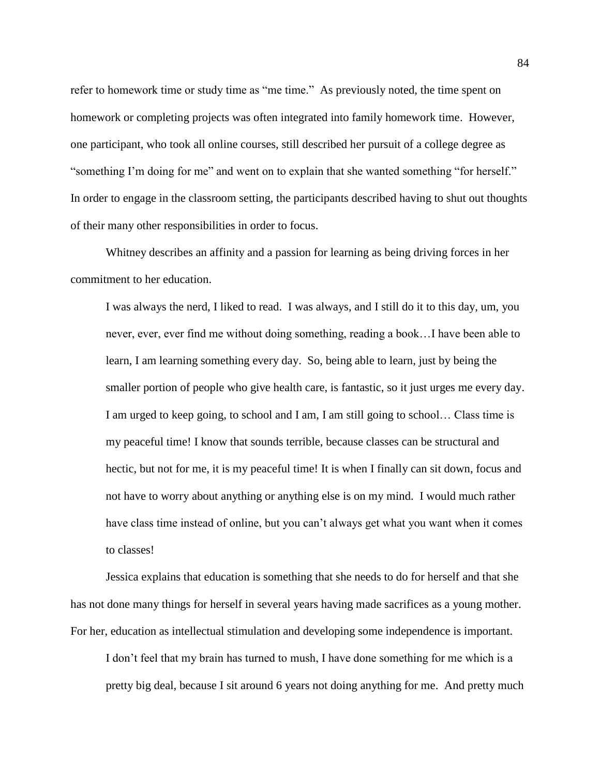refer to homework time or study time as "me time." As previously noted, the time spent on homework or completing projects was often integrated into family homework time. However, one participant, who took all online courses, still described her pursuit of a college degree as "something I'm doing for me" and went on to explain that she wanted something "for herself." In order to engage in the classroom setting, the participants described having to shut out thoughts of their many other responsibilities in order to focus.

Whitney describes an affinity and a passion for learning as being driving forces in her commitment to her education.

I was always the nerd, I liked to read. I was always, and I still do it to this day, um, you never, ever, ever find me without doing something, reading a book…I have been able to learn, I am learning something every day. So, being able to learn, just by being the smaller portion of people who give health care, is fantastic, so it just urges me every day. I am urged to keep going, to school and I am, I am still going to school… Class time is my peaceful time! I know that sounds terrible, because classes can be structural and hectic, but not for me, it is my peaceful time! It is when I finally can sit down, focus and not have to worry about anything or anything else is on my mind. I would much rather have class time instead of online, but you can't always get what you want when it comes to classes!

Jessica explains that education is something that she needs to do for herself and that she has not done many things for herself in several years having made sacrifices as a young mother. For her, education as intellectual stimulation and developing some independence is important.

I don't feel that my brain has turned to mush, I have done something for me which is a pretty big deal, because I sit around 6 years not doing anything for me. And pretty much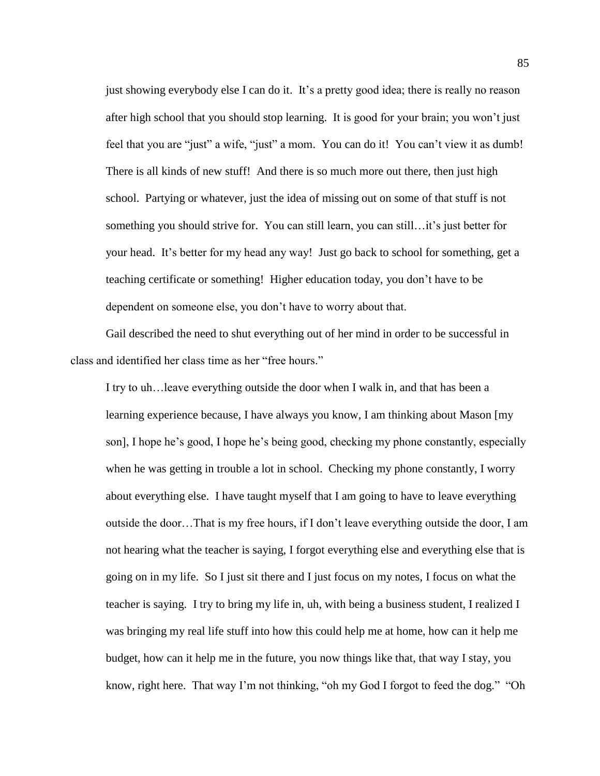just showing everybody else I can do it. It's a pretty good idea; there is really no reason after high school that you should stop learning. It is good for your brain; you won't just feel that you are "just" a wife, "just" a mom. You can do it! You can't view it as dumb! There is all kinds of new stuff! And there is so much more out there, then just high school. Partying or whatever, just the idea of missing out on some of that stuff is not something you should strive for. You can still learn, you can still…it's just better for your head. It's better for my head any way! Just go back to school for something, get a teaching certificate or something! Higher education today, you don't have to be dependent on someone else, you don't have to worry about that.

Gail described the need to shut everything out of her mind in order to be successful in class and identified her class time as her "free hours."

I try to uh…leave everything outside the door when I walk in, and that has been a learning experience because, I have always you know, I am thinking about Mason [my son], I hope he's good, I hope he's being good, checking my phone constantly, especially when he was getting in trouble a lot in school. Checking my phone constantly, I worry about everything else. I have taught myself that I am going to have to leave everything outside the door…That is my free hours, if I don't leave everything outside the door, I am not hearing what the teacher is saying, I forgot everything else and everything else that is going on in my life. So I just sit there and I just focus on my notes, I focus on what the teacher is saying. I try to bring my life in, uh, with being a business student, I realized I was bringing my real life stuff into how this could help me at home, how can it help me budget, how can it help me in the future, you now things like that, that way I stay, you know, right here. That way I'm not thinking, "oh my God I forgot to feed the dog." "Oh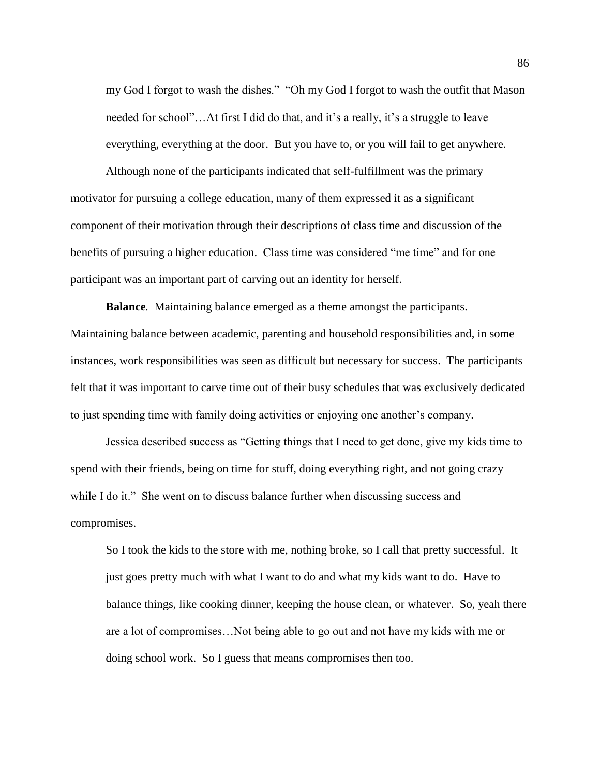my God I forgot to wash the dishes." "Oh my God I forgot to wash the outfit that Mason needed for school"…At first I did do that, and it's a really, it's a struggle to leave everything, everything at the door. But you have to, or you will fail to get anywhere.

Although none of the participants indicated that self-fulfillment was the primary motivator for pursuing a college education, many of them expressed it as a significant component of their motivation through their descriptions of class time and discussion of the benefits of pursuing a higher education. Class time was considered "me time" and for one participant was an important part of carving out an identity for herself.

**Balance***.* Maintaining balance emerged as a theme amongst the participants. Maintaining balance between academic, parenting and household responsibilities and, in some instances, work responsibilities was seen as difficult but necessary for success. The participants felt that it was important to carve time out of their busy schedules that was exclusively dedicated to just spending time with family doing activities or enjoying one another's company.

Jessica described success as "Getting things that I need to get done, give my kids time to spend with their friends, being on time for stuff, doing everything right, and not going crazy while I do it." She went on to discuss balance further when discussing success and compromises.

So I took the kids to the store with me, nothing broke, so I call that pretty successful. It just goes pretty much with what I want to do and what my kids want to do. Have to balance things, like cooking dinner, keeping the house clean, or whatever. So, yeah there are a lot of compromises…Not being able to go out and not have my kids with me or doing school work. So I guess that means compromises then too.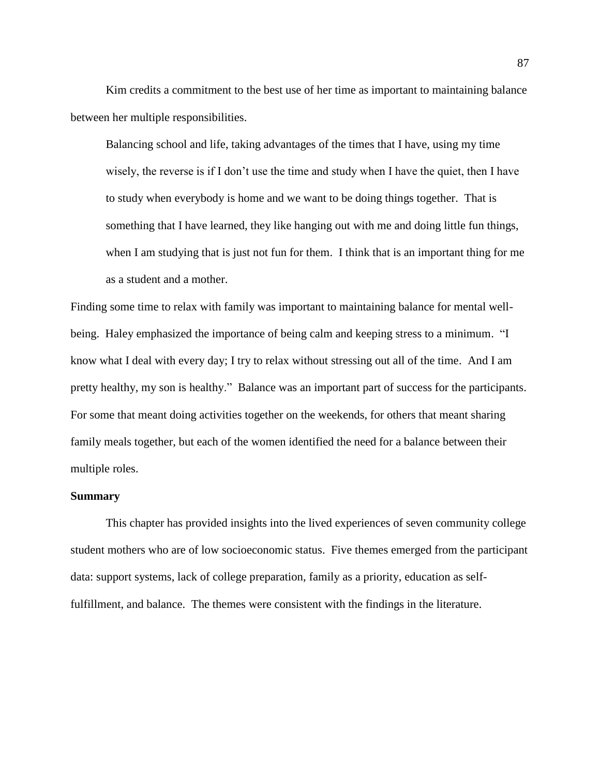Kim credits a commitment to the best use of her time as important to maintaining balance between her multiple responsibilities.

Balancing school and life, taking advantages of the times that I have, using my time wisely, the reverse is if I don't use the time and study when I have the quiet, then I have to study when everybody is home and we want to be doing things together. That is something that I have learned, they like hanging out with me and doing little fun things, when I am studying that is just not fun for them. I think that is an important thing for me as a student and a mother.

Finding some time to relax with family was important to maintaining balance for mental wellbeing. Haley emphasized the importance of being calm and keeping stress to a minimum. "I know what I deal with every day; I try to relax without stressing out all of the time. And I am pretty healthy, my son is healthy." Balance was an important part of success for the participants. For some that meant doing activities together on the weekends, for others that meant sharing family meals together, but each of the women identified the need for a balance between their multiple roles.

# **Summary**

This chapter has provided insights into the lived experiences of seven community college student mothers who are of low socioeconomic status. Five themes emerged from the participant data: support systems, lack of college preparation, family as a priority, education as selffulfillment, and balance. The themes were consistent with the findings in the literature.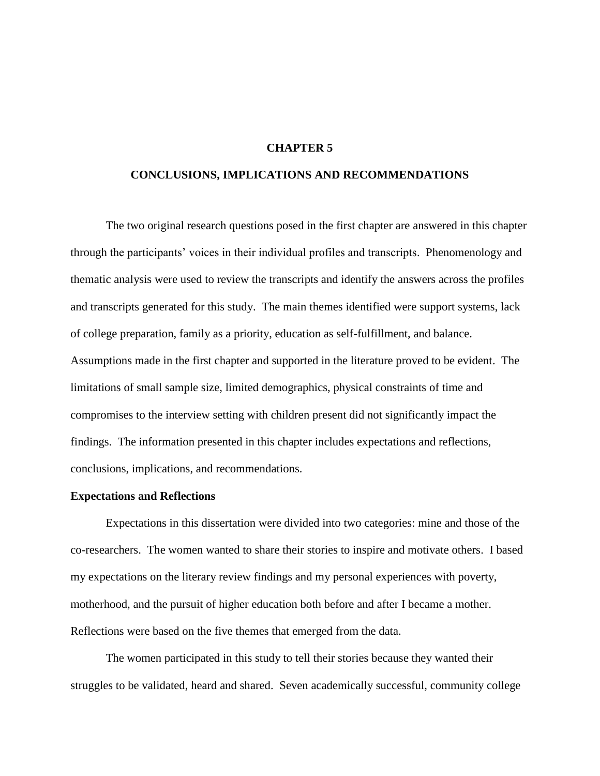## **CHAPTER 5**

# **CONCLUSIONS, IMPLICATIONS AND RECOMMENDATIONS**

The two original research questions posed in the first chapter are answered in this chapter through the participants' voices in their individual profiles and transcripts. Phenomenology and thematic analysis were used to review the transcripts and identify the answers across the profiles and transcripts generated for this study. The main themes identified were support systems, lack of college preparation, family as a priority, education as self-fulfillment, and balance. Assumptions made in the first chapter and supported in the literature proved to be evident. The limitations of small sample size, limited demographics, physical constraints of time and compromises to the interview setting with children present did not significantly impact the findings. The information presented in this chapter includes expectations and reflections, conclusions, implications, and recommendations.

## **Expectations and Reflections**

Expectations in this dissertation were divided into two categories: mine and those of the co-researchers. The women wanted to share their stories to inspire and motivate others. I based my expectations on the literary review findings and my personal experiences with poverty, motherhood, and the pursuit of higher education both before and after I became a mother. Reflections were based on the five themes that emerged from the data.

The women participated in this study to tell their stories because they wanted their struggles to be validated, heard and shared. Seven academically successful, community college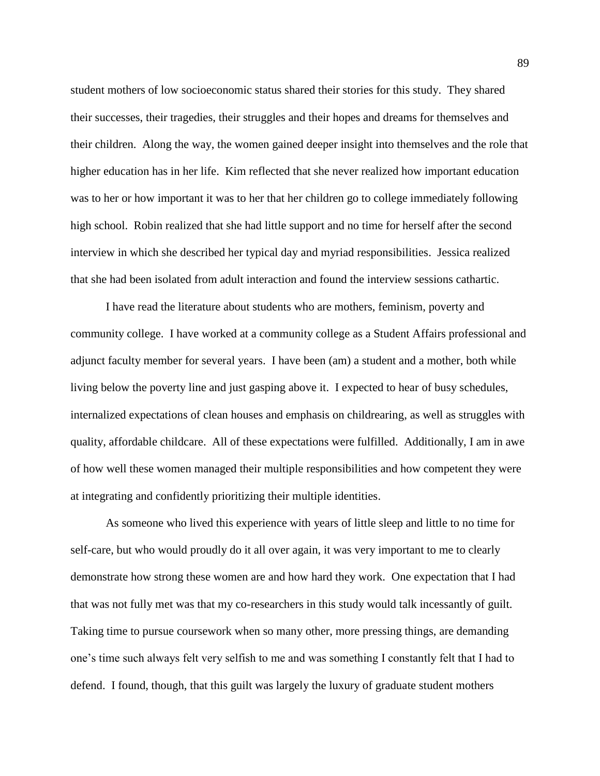student mothers of low socioeconomic status shared their stories for this study. They shared their successes, their tragedies, their struggles and their hopes and dreams for themselves and their children. Along the way, the women gained deeper insight into themselves and the role that higher education has in her life. Kim reflected that she never realized how important education was to her or how important it was to her that her children go to college immediately following high school. Robin realized that she had little support and no time for herself after the second interview in which she described her typical day and myriad responsibilities. Jessica realized that she had been isolated from adult interaction and found the interview sessions cathartic.

I have read the literature about students who are mothers, feminism, poverty and community college. I have worked at a community college as a Student Affairs professional and adjunct faculty member for several years. I have been (am) a student and a mother, both while living below the poverty line and just gasping above it. I expected to hear of busy schedules, internalized expectations of clean houses and emphasis on childrearing, as well as struggles with quality, affordable childcare. All of these expectations were fulfilled. Additionally, I am in awe of how well these women managed their multiple responsibilities and how competent they were at integrating and confidently prioritizing their multiple identities.

As someone who lived this experience with years of little sleep and little to no time for self-care, but who would proudly do it all over again, it was very important to me to clearly demonstrate how strong these women are and how hard they work. One expectation that I had that was not fully met was that my co-researchers in this study would talk incessantly of guilt. Taking time to pursue coursework when so many other, more pressing things, are demanding one's time such always felt very selfish to me and was something I constantly felt that I had to defend. I found, though, that this guilt was largely the luxury of graduate student mothers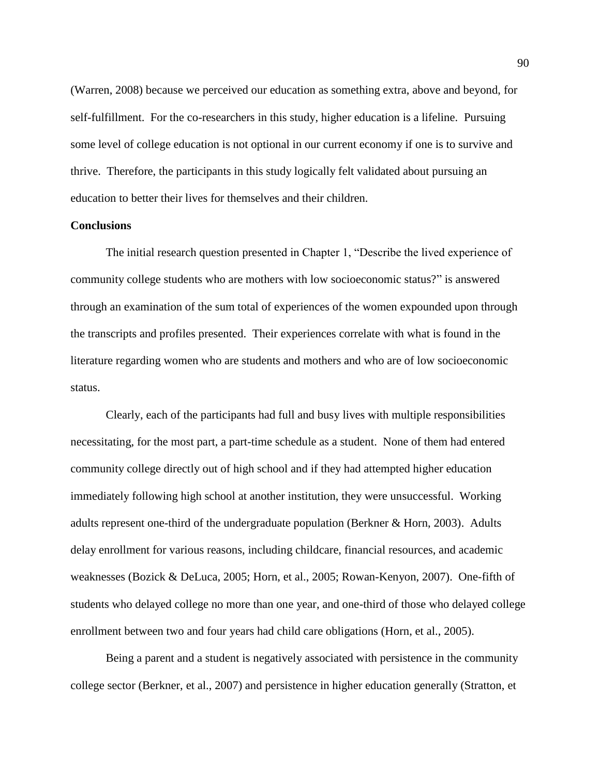(Warren, 2008) because we perceived our education as something extra, above and beyond, for self-fulfillment. For the co-researchers in this study, higher education is a lifeline. Pursuing some level of college education is not optional in our current economy if one is to survive and thrive. Therefore, the participants in this study logically felt validated about pursuing an education to better their lives for themselves and their children.

## **Conclusions**

The initial research question presented in Chapter 1, "Describe the lived experience of community college students who are mothers with low socioeconomic status?" is answered through an examination of the sum total of experiences of the women expounded upon through the transcripts and profiles presented. Their experiences correlate with what is found in the literature regarding women who are students and mothers and who are of low socioeconomic status.

Clearly, each of the participants had full and busy lives with multiple responsibilities necessitating, for the most part, a part-time schedule as a student. None of them had entered community college directly out of high school and if they had attempted higher education immediately following high school at another institution, they were unsuccessful. Working adults represent one-third of the undergraduate population (Berkner & Horn, 2003). Adults delay enrollment for various reasons, including childcare, financial resources, and academic weaknesses (Bozick & DeLuca, 2005; Horn, et al., 2005; Rowan-Kenyon, 2007). One-fifth of students who delayed college no more than one year, and one-third of those who delayed college enrollment between two and four years had child care obligations (Horn, et al., 2005).

Being a parent and a student is negatively associated with persistence in the community college sector (Berkner, et al., 2007) and persistence in higher education generally (Stratton, et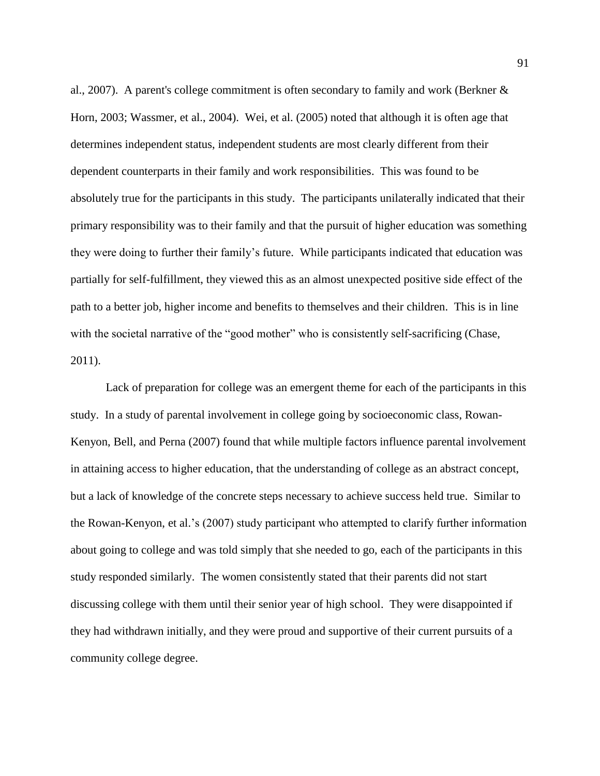al., 2007). A parent's college commitment is often secondary to family and work (Berkner & Horn, 2003; Wassmer, et al., 2004). Wei, et al. (2005) noted that although it is often age that determines independent status, independent students are most clearly different from their dependent counterparts in their family and work responsibilities. This was found to be absolutely true for the participants in this study. The participants unilaterally indicated that their primary responsibility was to their family and that the pursuit of higher education was something they were doing to further their family's future. While participants indicated that education was partially for self-fulfillment, they viewed this as an almost unexpected positive side effect of the path to a better job, higher income and benefits to themselves and their children. This is in line with the societal narrative of the "good mother" who is consistently self-sacrificing (Chase, 2011).

Lack of preparation for college was an emergent theme for each of the participants in this study. In a study of parental involvement in college going by socioeconomic class, Rowan-Kenyon, Bell, and Perna (2007) found that while multiple factors influence parental involvement in attaining access to higher education, that the understanding of college as an abstract concept, but a lack of knowledge of the concrete steps necessary to achieve success held true. Similar to the Rowan-Kenyon, et al.'s (2007) study participant who attempted to clarify further information about going to college and was told simply that she needed to go, each of the participants in this study responded similarly. The women consistently stated that their parents did not start discussing college with them until their senior year of high school. They were disappointed if they had withdrawn initially, and they were proud and supportive of their current pursuits of a community college degree.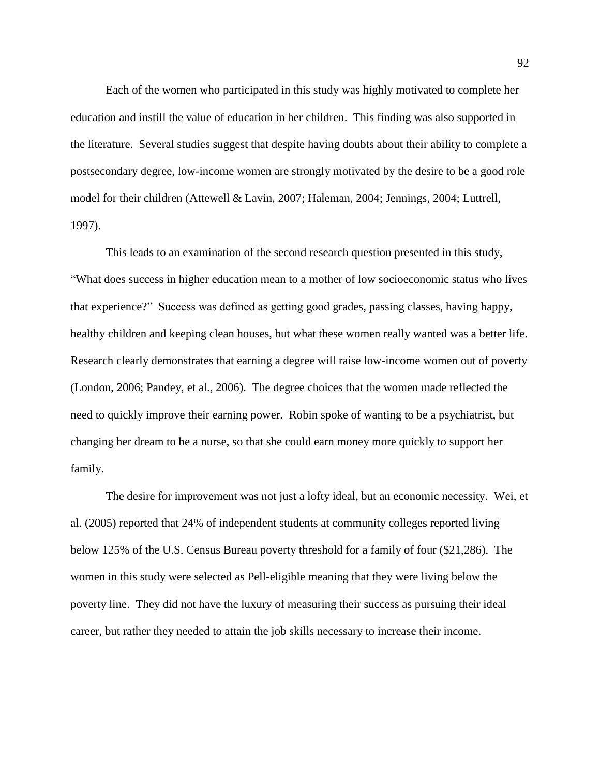Each of the women who participated in this study was highly motivated to complete her education and instill the value of education in her children. This finding was also supported in the literature. Several studies suggest that despite having doubts about their ability to complete a postsecondary degree, low-income women are strongly motivated by the desire to be a good role model for their children (Attewell & Lavin, 2007; Haleman, 2004; Jennings, 2004; Luttrell, 1997).

This leads to an examination of the second research question presented in this study, "What does success in higher education mean to a mother of low socioeconomic status who lives that experience?" Success was defined as getting good grades, passing classes, having happy, healthy children and keeping clean houses, but what these women really wanted was a better life. Research clearly demonstrates that earning a degree will raise low-income women out of poverty (London, 2006; Pandey, et al., 2006). The degree choices that the women made reflected the need to quickly improve their earning power. Robin spoke of wanting to be a psychiatrist, but changing her dream to be a nurse, so that she could earn money more quickly to support her family.

The desire for improvement was not just a lofty ideal, but an economic necessity. Wei, et al. (2005) reported that 24% of independent students at community colleges reported living below 125% of the U.S. Census Bureau poverty threshold for a family of four (\$21,286). The women in this study were selected as Pell-eligible meaning that they were living below the poverty line. They did not have the luxury of measuring their success as pursuing their ideal career, but rather they needed to attain the job skills necessary to increase their income.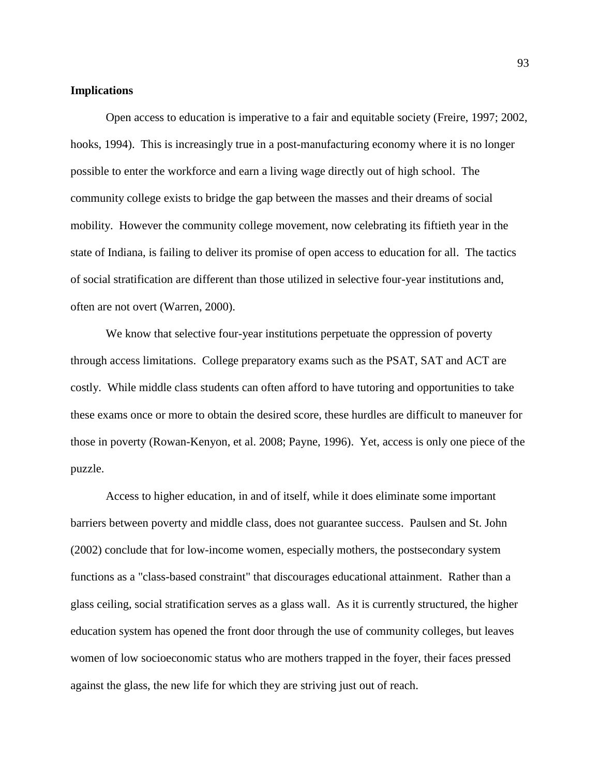### **Implications**

Open access to education is imperative to a fair and equitable society (Freire, 1997; 2002, hooks, 1994). This is increasingly true in a post-manufacturing economy where it is no longer possible to enter the workforce and earn a living wage directly out of high school. The community college exists to bridge the gap between the masses and their dreams of social mobility. However the community college movement, now celebrating its fiftieth year in the state of Indiana, is failing to deliver its promise of open access to education for all. The tactics of social stratification are different than those utilized in selective four-year institutions and, often are not overt (Warren, 2000).

We know that selective four-year institutions perpetuate the oppression of poverty through access limitations. College preparatory exams such as the PSAT, SAT and ACT are costly. While middle class students can often afford to have tutoring and opportunities to take these exams once or more to obtain the desired score, these hurdles are difficult to maneuver for those in poverty (Rowan-Kenyon, et al. 2008; Payne, 1996). Yet, access is only one piece of the puzzle.

Access to higher education, in and of itself, while it does eliminate some important barriers between poverty and middle class, does not guarantee success. Paulsen and St. John (2002) conclude that for low-income women, especially mothers, the postsecondary system functions as a "class-based constraint" that discourages educational attainment. Rather than a glass ceiling, social stratification serves as a glass wall. As it is currently structured, the higher education system has opened the front door through the use of community colleges, but leaves women of low socioeconomic status who are mothers trapped in the foyer, their faces pressed against the glass, the new life for which they are striving just out of reach.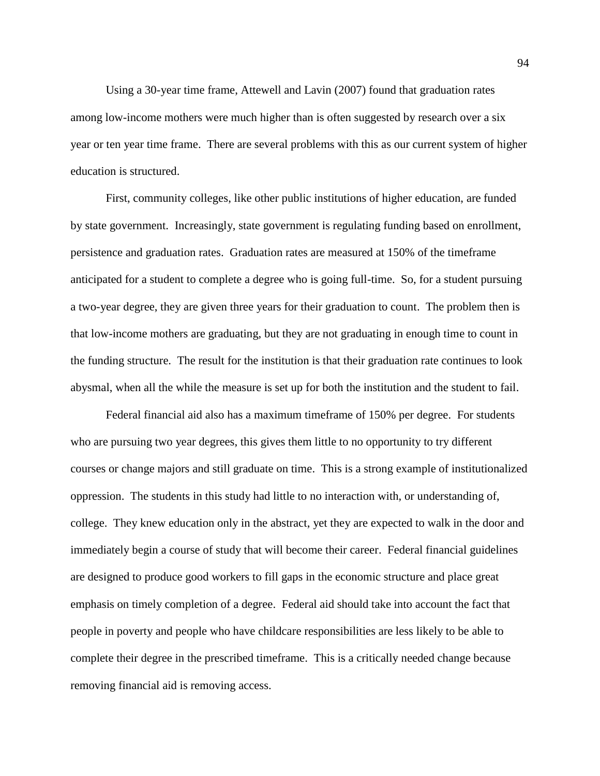Using a 30-year time frame, Attewell and Lavin (2007) found that graduation rates among low-income mothers were much higher than is often suggested by research over a six year or ten year time frame. There are several problems with this as our current system of higher education is structured.

First, community colleges, like other public institutions of higher education, are funded by state government. Increasingly, state government is regulating funding based on enrollment, persistence and graduation rates. Graduation rates are measured at 150% of the timeframe anticipated for a student to complete a degree who is going full-time. So, for a student pursuing a two-year degree, they are given three years for their graduation to count. The problem then is that low-income mothers are graduating, but they are not graduating in enough time to count in the funding structure. The result for the institution is that their graduation rate continues to look abysmal, when all the while the measure is set up for both the institution and the student to fail.

Federal financial aid also has a maximum timeframe of 150% per degree. For students who are pursuing two year degrees, this gives them little to no opportunity to try different courses or change majors and still graduate on time. This is a strong example of institutionalized oppression. The students in this study had little to no interaction with, or understanding of, college. They knew education only in the abstract, yet they are expected to walk in the door and immediately begin a course of study that will become their career. Federal financial guidelines are designed to produce good workers to fill gaps in the economic structure and place great emphasis on timely completion of a degree. Federal aid should take into account the fact that people in poverty and people who have childcare responsibilities are less likely to be able to complete their degree in the prescribed timeframe. This is a critically needed change because removing financial aid is removing access.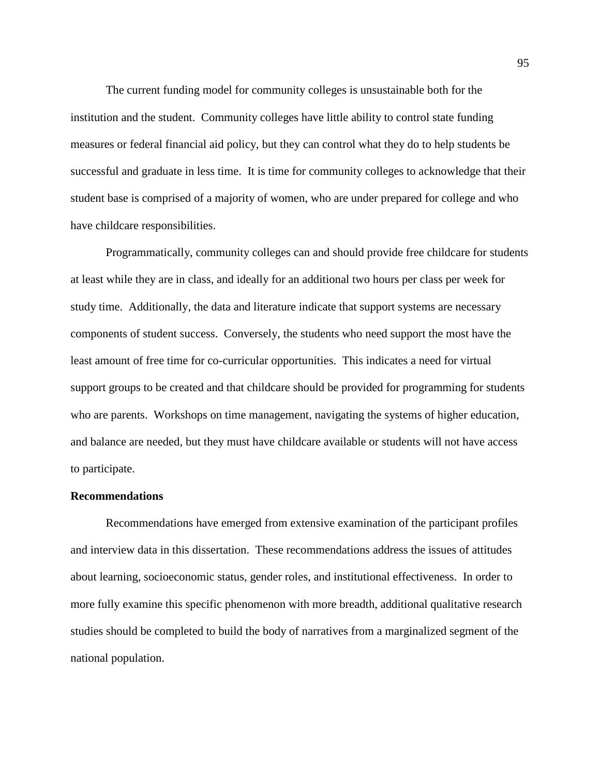The current funding model for community colleges is unsustainable both for the institution and the student. Community colleges have little ability to control state funding measures or federal financial aid policy, but they can control what they do to help students be successful and graduate in less time. It is time for community colleges to acknowledge that their student base is comprised of a majority of women, who are under prepared for college and who have childcare responsibilities.

Programmatically, community colleges can and should provide free childcare for students at least while they are in class, and ideally for an additional two hours per class per week for study time. Additionally, the data and literature indicate that support systems are necessary components of student success. Conversely, the students who need support the most have the least amount of free time for co-curricular opportunities. This indicates a need for virtual support groups to be created and that childcare should be provided for programming for students who are parents. Workshops on time management, navigating the systems of higher education, and balance are needed, but they must have childcare available or students will not have access to participate.

# **Recommendations**

Recommendations have emerged from extensive examination of the participant profiles and interview data in this dissertation. These recommendations address the issues of attitudes about learning, socioeconomic status, gender roles, and institutional effectiveness. In order to more fully examine this specific phenomenon with more breadth, additional qualitative research studies should be completed to build the body of narratives from a marginalized segment of the national population.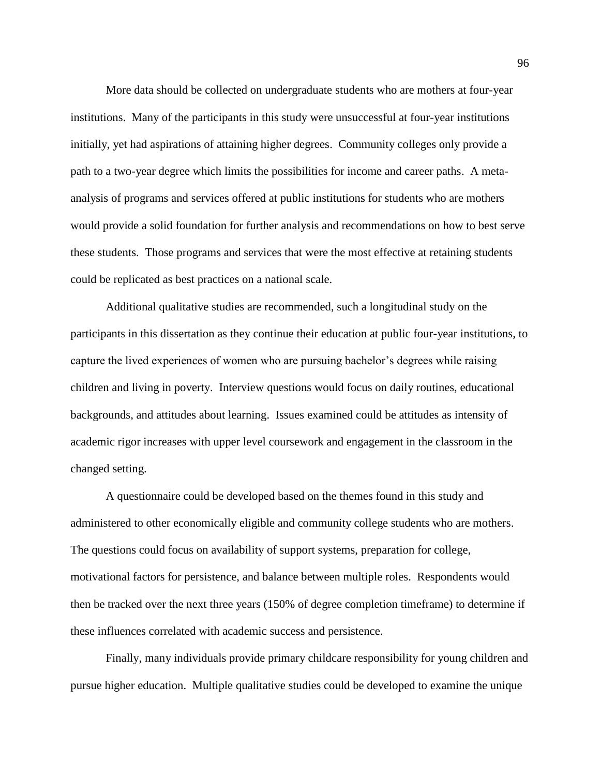More data should be collected on undergraduate students who are mothers at four-year institutions. Many of the participants in this study were unsuccessful at four-year institutions initially, yet had aspirations of attaining higher degrees. Community colleges only provide a path to a two-year degree which limits the possibilities for income and career paths. A metaanalysis of programs and services offered at public institutions for students who are mothers would provide a solid foundation for further analysis and recommendations on how to best serve these students. Those programs and services that were the most effective at retaining students could be replicated as best practices on a national scale.

Additional qualitative studies are recommended, such a longitudinal study on the participants in this dissertation as they continue their education at public four-year institutions, to capture the lived experiences of women who are pursuing bachelor's degrees while raising children and living in poverty. Interview questions would focus on daily routines, educational backgrounds, and attitudes about learning. Issues examined could be attitudes as intensity of academic rigor increases with upper level coursework and engagement in the classroom in the changed setting.

A questionnaire could be developed based on the themes found in this study and administered to other economically eligible and community college students who are mothers. The questions could focus on availability of support systems, preparation for college, motivational factors for persistence, and balance between multiple roles. Respondents would then be tracked over the next three years (150% of degree completion timeframe) to determine if these influences correlated with academic success and persistence.

Finally, many individuals provide primary childcare responsibility for young children and pursue higher education. Multiple qualitative studies could be developed to examine the unique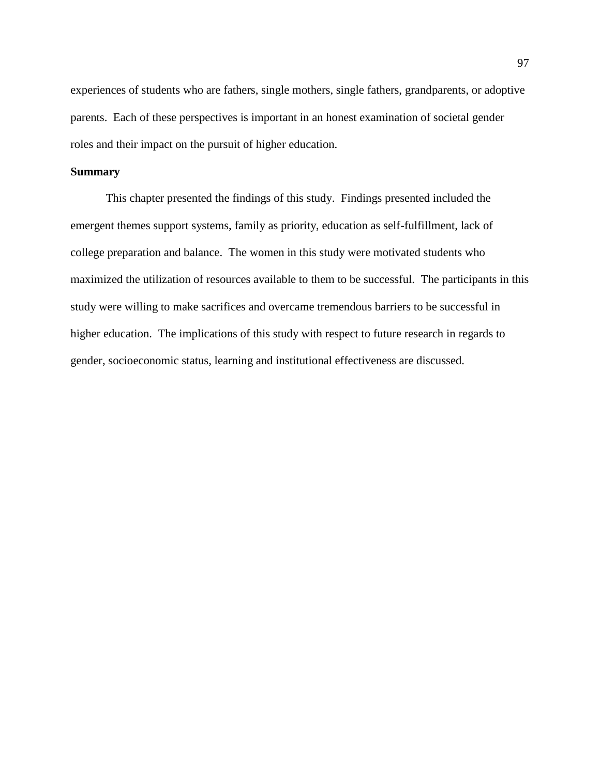experiences of students who are fathers, single mothers, single fathers, grandparents, or adoptive parents. Each of these perspectives is important in an honest examination of societal gender roles and their impact on the pursuit of higher education.

# **Summary**

This chapter presented the findings of this study. Findings presented included the emergent themes support systems, family as priority, education as self-fulfillment, lack of college preparation and balance. The women in this study were motivated students who maximized the utilization of resources available to them to be successful. The participants in this study were willing to make sacrifices and overcame tremendous barriers to be successful in higher education. The implications of this study with respect to future research in regards to gender, socioeconomic status, learning and institutional effectiveness are discussed.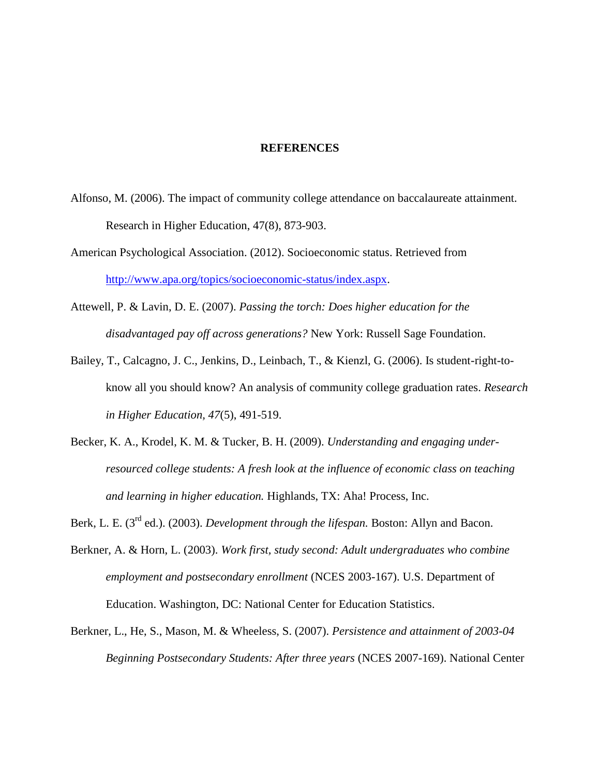### **REFERENCES**

- Alfonso, M. (2006). The impact of community college attendance on baccalaureate attainment. Research in Higher Education, 47(8), 873-903.
- American Psychological Association. (2012). Socioeconomic status. Retrieved from [http://www.apa.org/topics/socioeconomic-status/index.aspx.](http://www.apa.org/topics/socioeconomic-status/index.aspx)
- Attewell, P. & Lavin, D. E. (2007). *Passing the torch: Does higher education for the disadvantaged pay off across generations?* New York: Russell Sage Foundation.
- Bailey, T., Calcagno, J. C., Jenkins, D., Leinbach, T., & Kienzl, G. (2006). Is student-right-toknow all you should know? An analysis of community college graduation rates. *Research in Higher Education, 47*(5), 491-519.
- Becker, K. A., Krodel, K. M. & Tucker, B. H. (2009). *Understanding and engaging underresourced college students: A fresh look at the influence of economic class on teaching and learning in higher education.* Highlands, TX: Aha! Process, Inc.

Berk, L. E. (3<sup>rd</sup> ed.). (2003). *Development through the lifespan*. Boston: Allyn and Bacon.

- Berkner, A. & Horn, L. (2003). *Work first, study second: Adult undergraduates who combine employment and postsecondary enrollment* (NCES 2003-167). U.S. Department of Education. Washington, DC: National Center for Education Statistics.
- Berkner, L., He, S., Mason, M. & Wheeless, S. (2007). *Persistence and attainment of 2003-04 Beginning Postsecondary Students: After three years* (NCES 2007-169). National Center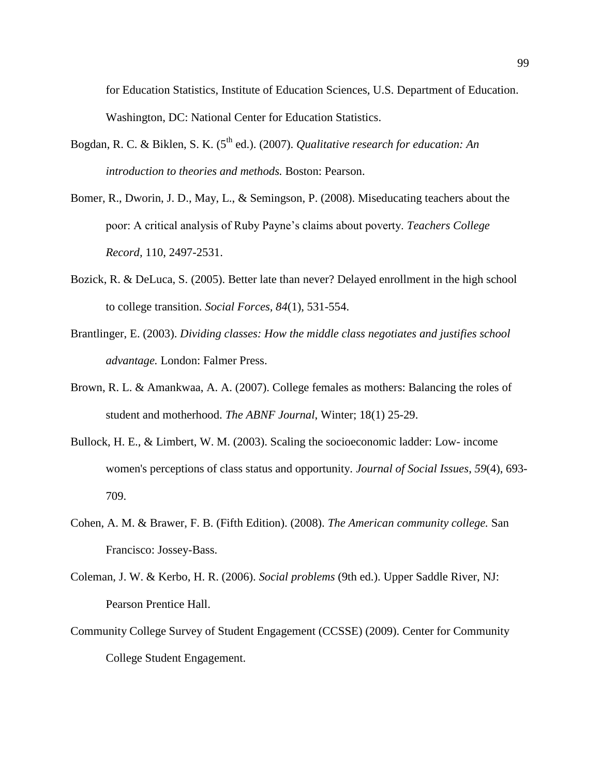for Education Statistics, Institute of Education Sciences, U.S. Department of Education. Washington, DC: National Center for Education Statistics.

- Bogdan, R. C. & Biklen, S. K. (5<sup>th</sup> ed.). (2007). *Qualitative research for education: An introduction to theories and methods.* Boston: Pearson.
- Bomer, R., Dworin, J. D., May, L., & Semingson, P. (2008). Miseducating teachers about the poor: A critical analysis of Ruby Payne's claims about poverty. *Teachers College Record,* 110, 2497-2531.
- Bozick, R. & DeLuca, S. (2005). Better late than never? Delayed enrollment in the high school to college transition. *Social Forces, 84*(1), 531-554.
- Brantlinger, E. (2003). *Dividing classes: How the middle class negotiates and justifies school advantage.* London: Falmer Press.
- Brown, R. L. & Amankwaa, A. A. (2007). College females as mothers: Balancing the roles of student and motherhood. *The ABNF Journal*, Winter; 18(1) 25-29.
- Bullock, H. E., & Limbert, W. M. (2003). Scaling the socioeconomic ladder: Low- income women's perceptions of class status and opportunity. *Journal of Social Issues*, *59*(4), 693- 709.
- Cohen, A. M. & Brawer, F. B. (Fifth Edition). (2008). *The American community college.* San Francisco: Jossey-Bass.
- Coleman, J. W. & Kerbo, H. R. (2006). *Social problems* (9th ed.). Upper Saddle River, NJ: Pearson Prentice Hall.
- Community College Survey of Student Engagement (CCSSE) (2009). Center for Community College Student Engagement.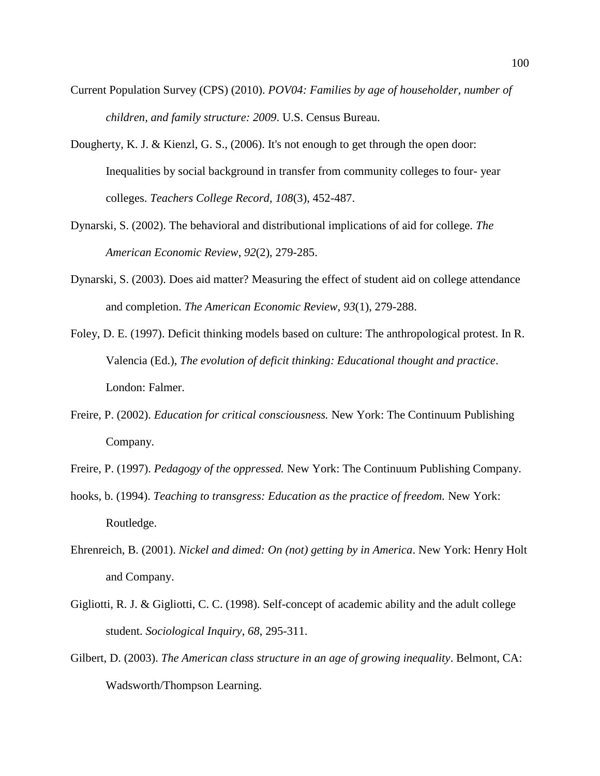- Current Population Survey (CPS) (2010). *POV04: Families by age of householder, number of children, and family structure: 2009*. U.S. Census Bureau.
- Dougherty, K. J. & Kienzl, G. S., (2006). It's not enough to get through the open door: Inequalities by social background in transfer from community colleges to four- year colleges. *Teachers College Record*, *108*(3), 452-487.
- Dynarski, S. (2002). The behavioral and distributional implications of aid for college. *The American Economic Review*, *92*(2), 279-285.
- Dynarski, S. (2003). Does aid matter? Measuring the effect of student aid on college attendance and completion. *The American Economic Review*, *93*(1), 279-288.
- Foley, D. E. (1997). Deficit thinking models based on culture: The anthropological protest. In R. Valencia (Ed.), *The evolution of deficit thinking: Educational thought and practice*. London: Falmer.
- Freire, P. (2002). *Education for critical consciousness.* New York: The Continuum Publishing Company.
- Freire, P. (1997). *Pedagogy of the oppressed.* New York: The Continuum Publishing Company.
- hooks, b. (1994). *Teaching to transgress: Education as the practice of freedom*. New York: Routledge.
- Ehrenreich, B. (2001). *Nickel and dimed: On (not) getting by in America*. New York: Henry Holt and Company.
- Gigliotti, R. J. & Gigliotti, C. C. (1998). Self-concept of academic ability and the adult college student. *Sociological Inquiry*, *68*, 295-311.
- Gilbert, D. (2003). *The American class structure in an age of growing inequality*. Belmont, CA: Wadsworth/Thompson Learning.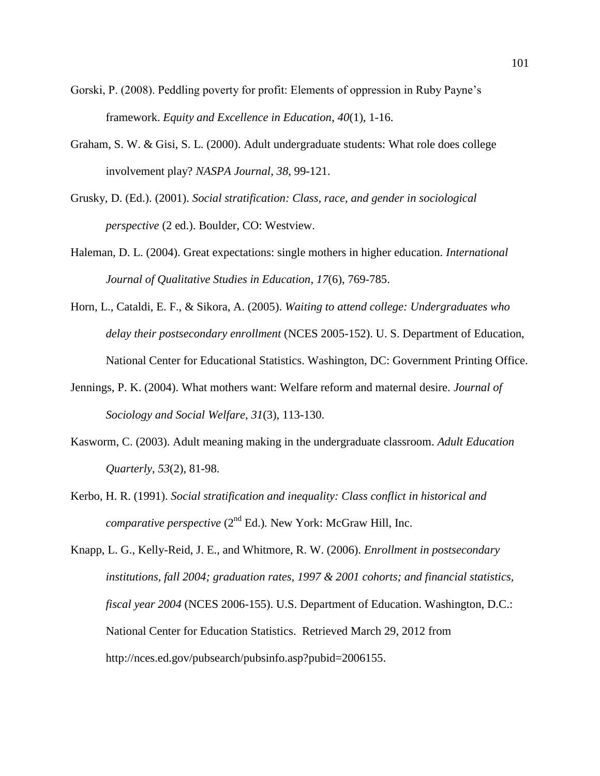- Gorski, P. (2008). Peddling poverty for profit: Elements of oppression in Ruby Payne's framework. *Equity and Excellence in Education*, *40*(1), 1-16.
- Graham, S. W. & Gisi, S. L. (2000). Adult undergraduate students: What role does college involvement play? *NASPA Journal*, *38*, 99-121.
- Grusky, D. (Ed.). (2001). *Social stratification: Class, race, and gender in sociological perspective* (2 ed.). Boulder, CO: Westview.
- Haleman, D. L. (2004). Great expectations: single mothers in higher education. *International Journal of Qualitative Studies in Education*, *17*(6), 769-785.
- Horn, L., Cataldi, E. F., & Sikora, A. (2005). *Waiting to attend college: Undergraduates who delay their postsecondary enrollment* (NCES 2005-152). U. S. Department of Education, National Center for Educational Statistics. Washington, DC: Government Printing Office.
- Jennings, P. K. (2004). What mothers want: Welfare reform and maternal desire. *Journal of Sociology and Social Welfare*, *31*(3), 113-130.
- Kasworm, C. (2003). Adult meaning making in the undergraduate classroom. *Adult Education Quarterly*, *53*(2), 81-98.
- Kerbo, H. R. (1991). *Social stratification and inequality: Class conflict in historical and comparative perspective* (2<sup>nd</sup> Ed.). New York: McGraw Hill, Inc.
- Knapp, L. G., Kelly-Reid, J. E., and Whitmore, R. W. (2006). *Enrollment in postsecondary institutions, fall 2004; graduation rates, 1997 & 2001 cohorts; and financial statistics, fiscal year 2004* (NCES 2006-155). U.S. Department of Education. Washington, D.C.: National Center for Education Statistics. Retrieved March 29, 2012 from http://nces.ed.gov/pubsearch/pubsinfo.asp?pubid=2006155.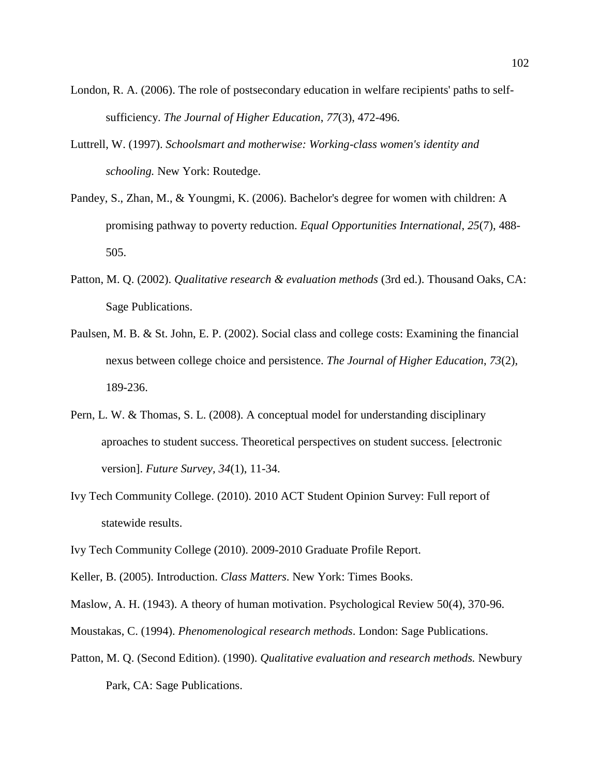- London, R. A. (2006). The role of postsecondary education in welfare recipients' paths to selfsufficiency. *The Journal of Higher Education*, *77*(3), 472-496.
- Luttrell, W. (1997). *Schoolsmart and motherwise: Working-class women's identity and schooling.* New York: Routedge.
- Pandey, S., Zhan, M., & Youngmi, K. (2006). Bachelor's degree for women with children: A promising pathway to poverty reduction. *Equal Opportunities International*, *25*(7), 488- 505.
- Patton, M. Q. (2002). *Qualitative research & evaluation methods* (3rd ed.). Thousand Oaks, CA: Sage Publications.
- Paulsen, M. B. & St. John, E. P. (2002). Social class and college costs: Examining the financial nexus between college choice and persistence. *The Journal of Higher Education*, *73*(2), 189-236.
- Pern, L. W. & Thomas, S. L. (2008). A conceptual model for understanding disciplinary aproaches to student success. Theoretical perspectives on student success*.* [electronic version]. *Future Survey, 34*(1), 11-34.
- Ivy Tech Community College. (2010). 2010 ACT Student Opinion Survey: Full report of statewide results.
- Ivy Tech Community College (2010). 2009-2010 Graduate Profile Report.
- Keller, B. (2005). Introduction. *Class Matters*. New York: Times Books.
- Maslow, A. H. (1943). A theory of human motivation. Psychological Review 50(4), 370-96.
- Moustakas, C. (1994). *Phenomenological research methods*. London: Sage Publications.
- Patton, M. Q. (Second Edition). (1990). *Qualitative evaluation and research methods.* Newbury Park, CA: Sage Publications.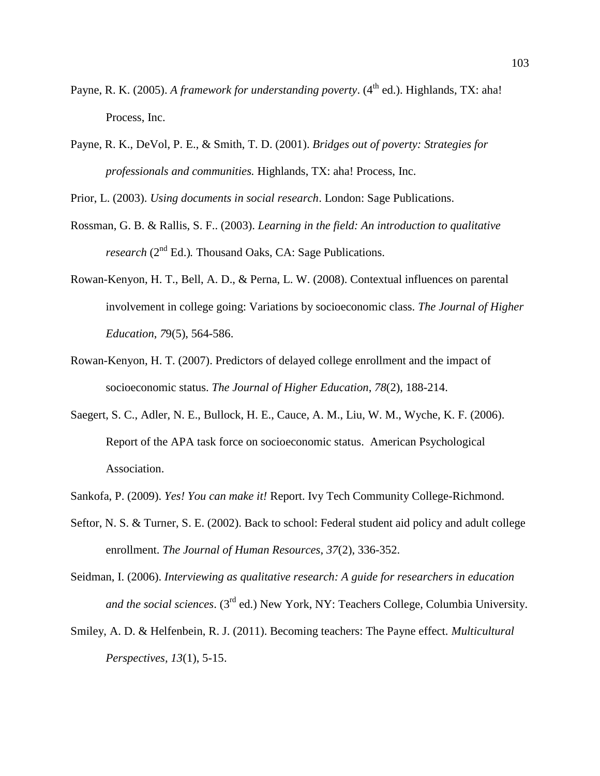- Payne, R. K. (2005). *A framework for understanding poverty*. (4<sup>th</sup> ed.). Highlands, TX: aha! Process, Inc.
- Payne, R. K., DeVol, P. E., & Smith, T. D. (2001). *Bridges out of poverty: Strategies for professionals and communities.* Highlands, TX: aha! Process, Inc.

Prior, L. (2003). *Using documents in social research*. London: Sage Publications.

- Rossman, G. B. & Rallis, S. F.. (2003). *Learning in the field: An introduction to qualitative research* (2<sup>nd</sup> Ed.). Thousand Oaks, CA: Sage Publications.
- Rowan-Kenyon, H. T., Bell, A. D., & Perna, L. W. (2008). Contextual influences on parental involvement in college going: Variations by socioeconomic class. *The Journal of Higher Education*, *7*9(5), 564-586.
- Rowan-Kenyon, H. T. (2007). Predictors of delayed college enrollment and the impact of socioeconomic status. *The Journal of Higher Education*, *78*(2), 188-214.
- Saegert, S. C., Adler, N. E., Bullock, H. E., Cauce, A. M., Liu, W. M., Wyche, K. F. (2006). Report of the APA task force on socioeconomic status. American Psychological Association.
- Sankofa, P. (2009). *Yes! You can make it!* Report. Ivy Tech Community College-Richmond.
- Seftor, N. S. & Turner, S. E. (2002). Back to school: Federal student aid policy and adult college enrollment. *The Journal of Human Resources*, *37*(2), 336-352.
- Seidman, I. (2006). *Interviewing as qualitative research: A guide for researchers in education and the social sciences*. (3rd ed.) New York, NY: Teachers College, Columbia University.
- Smiley, A. D. & Helfenbein, R. J. (2011). Becoming teachers: The Payne effect. *Multicultural Perspectives, 13*(1), 5-15.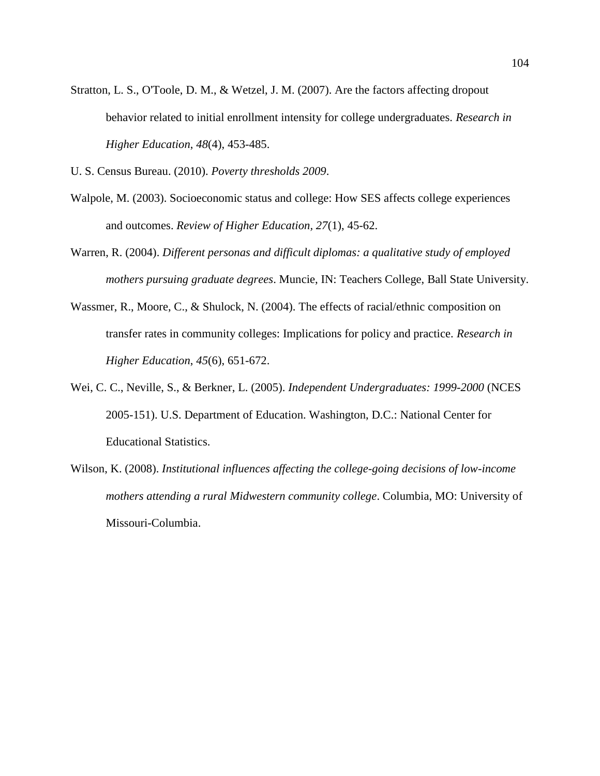- Stratton, L. S., O'Toole, D. M., & Wetzel, J. M. (2007). Are the factors affecting dropout behavior related to initial enrollment intensity for college undergraduates. *Research in Higher Education*, *48*(4), 453-485.
- U. S. Census Bureau. (2010). *Poverty thresholds 2009*.
- Walpole, M. (2003). Socioeconomic status and college: How SES affects college experiences and outcomes. *Review of Higher Education, 27*(1), 45-62.
- Warren, R. (2004). *Different personas and difficult diplomas: a qualitative study of employed mothers pursuing graduate degrees*. Muncie, IN: Teachers College, Ball State University.
- Wassmer, R., Moore, C., & Shulock, N. (2004). The effects of racial/ethnic composition on transfer rates in community colleges: Implications for policy and practice. *Research in Higher Education*, *45*(6), 651-672.
- Wei, C. C., Neville, S., & Berkner, L. (2005). *Independent Undergraduates: 1999-2000* (NCES 2005-151). U.S. Department of Education. Washington, D.C.: National Center for Educational Statistics.
- Wilson, K. (2008). *Institutional influences affecting the college-going decisions of low-income mothers attending a rural Midwestern community college*. Columbia, MO: University of Missouri-Columbia.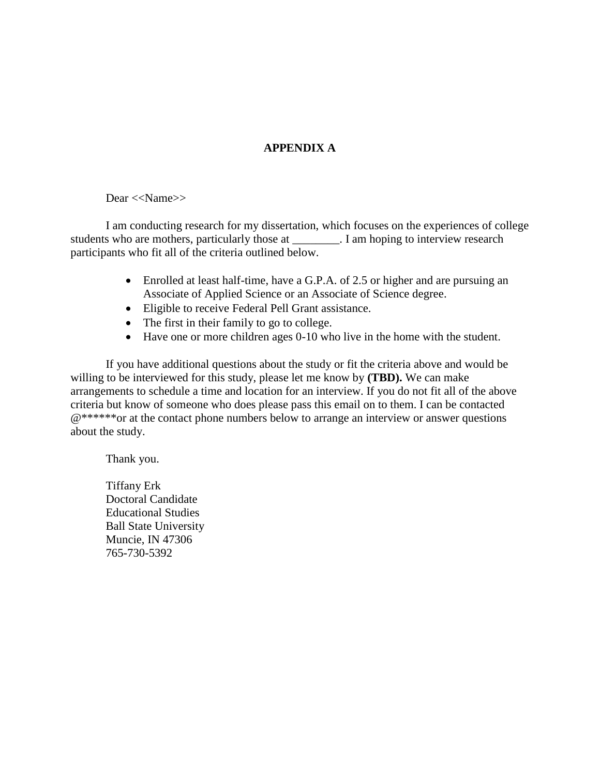## **APPENDIX A**

#### Dear <<Name>>

I am conducting research for my dissertation, which focuses on the experiences of college students who are mothers, particularly those at \_\_\_\_\_\_\_\_. I am hoping to interview research participants who fit all of the criteria outlined below.

- Enrolled at least half-time, have a G.P.A. of 2.5 or higher and are pursuing an Associate of Applied Science or an Associate of Science degree.
- Eligible to receive Federal Pell Grant assistance.
- The first in their family to go to college.
- Have one or more children ages 0-10 who live in the home with the student.

If you have additional questions about the study or fit the criteria above and would be willing to be interviewed for this study, please let me know by **(TBD).** We can make arrangements to schedule a time and location for an interview. If you do not fit all of the above criteria but know of someone who does please pass this email on to them. I can be contacted @\*\*\*\*\*\*or at the contact phone numbers below to arrange an interview or answer questions about the study.

Thank you.

Tiffany Erk Doctoral Candidate Educational Studies Ball State University Muncie, IN 47306 765-730-5392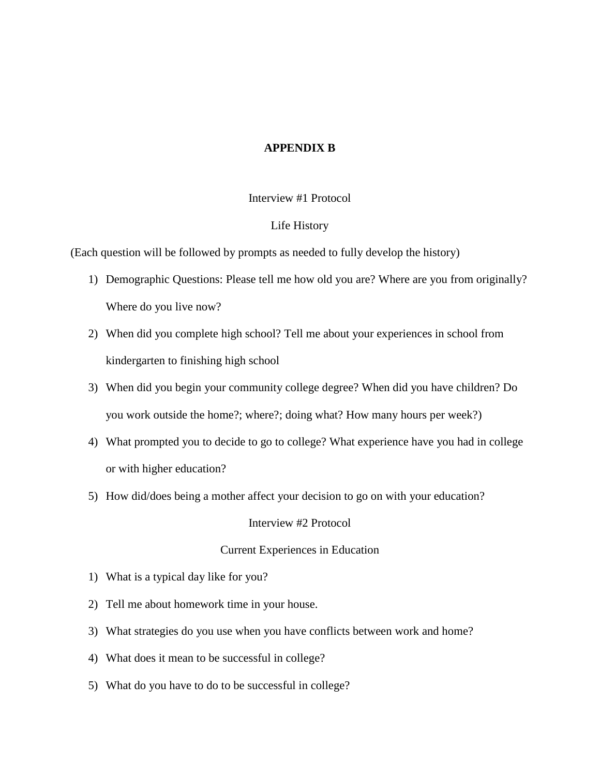#### **APPENDIX B**

#### Interview #1 Protocol

#### Life History

(Each question will be followed by prompts as needed to fully develop the history)

- 1) Demographic Questions: Please tell me how old you are? Where are you from originally? Where do you live now?
- 2) When did you complete high school? Tell me about your experiences in school from kindergarten to finishing high school
- 3) When did you begin your community college degree? When did you have children? Do you work outside the home?; where?; doing what? How many hours per week?)
- 4) What prompted you to decide to go to college? What experience have you had in college or with higher education?
- 5) How did/does being a mother affect your decision to go on with your education?

Interview #2 Protocol

#### Current Experiences in Education

- 1) What is a typical day like for you?
- 2) Tell me about homework time in your house.
- 3) What strategies do you use when you have conflicts between work and home?
- 4) What does it mean to be successful in college?
- 5) What do you have to do to be successful in college?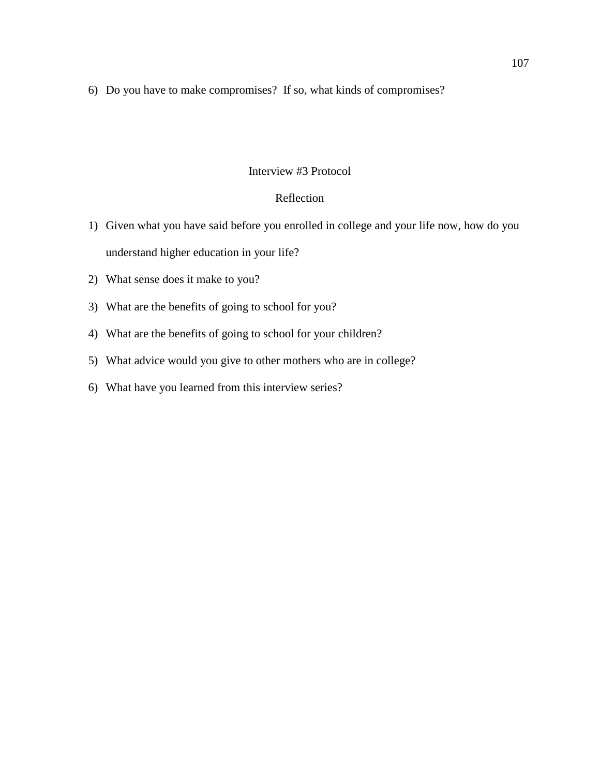6) Do you have to make compromises? If so, what kinds of compromises?

#### Interview #3 Protocol

### Reflection

- 1) Given what you have said before you enrolled in college and your life now, how do you understand higher education in your life?
- 2) What sense does it make to you?
- 3) What are the benefits of going to school for you?
- 4) What are the benefits of going to school for your children?
- 5) What advice would you give to other mothers who are in college?
- 6) What have you learned from this interview series?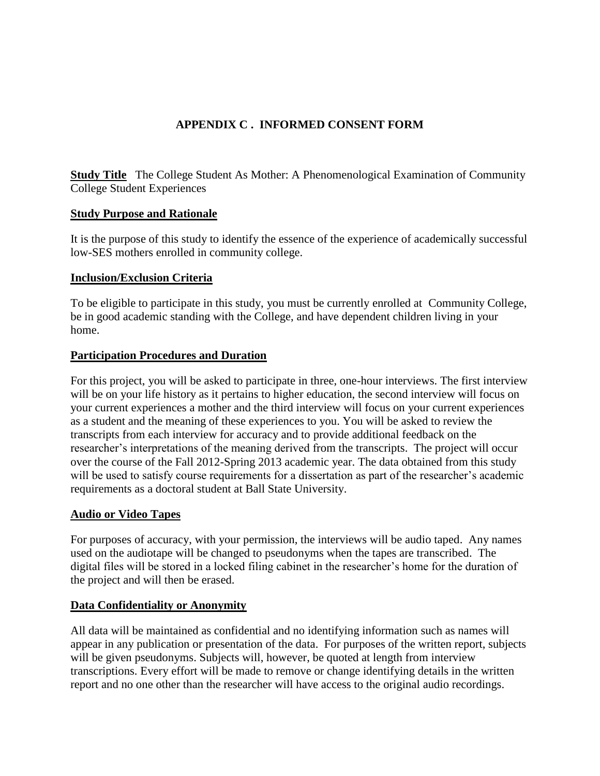# **APPENDIX C . INFORMED CONSENT FORM**

**Study Title** The College Student As Mother: A Phenomenological Examination of Community College Student Experiences

## **Study Purpose and Rationale**

It is the purpose of this study to identify the essence of the experience of academically successful low-SES mothers enrolled in community college.

## **Inclusion/Exclusion Criteria**

To be eligible to participate in this study, you must be currently enrolled at Community College, be in good academic standing with the College, and have dependent children living in your home.

## **Participation Procedures and Duration**

For this project, you will be asked to participate in three, one-hour interviews. The first interview will be on your life history as it pertains to higher education, the second interview will focus on your current experiences a mother and the third interview will focus on your current experiences as a student and the meaning of these experiences to you. You will be asked to review the transcripts from each interview for accuracy and to provide additional feedback on the researcher's interpretations of the meaning derived from the transcripts. The project will occur over the course of the Fall 2012-Spring 2013 academic year. The data obtained from this study will be used to satisfy course requirements for a dissertation as part of the researcher's academic requirements as a doctoral student at Ball State University.

## **Audio or Video Tapes**

For purposes of accuracy, with your permission, the interviews will be audio taped. Any names used on the audiotape will be changed to pseudonyms when the tapes are transcribed. The digital files will be stored in a locked filing cabinet in the researcher's home for the duration of the project and will then be erased.

### **Data Confidentiality or Anonymity**

All data will be maintained as confidential and no identifying information such as names will appear in any publication or presentation of the data. For purposes of the written report, subjects will be given pseudonyms. Subjects will, however, be quoted at length from interview transcriptions. Every effort will be made to remove or change identifying details in the written report and no one other than the researcher will have access to the original audio recordings.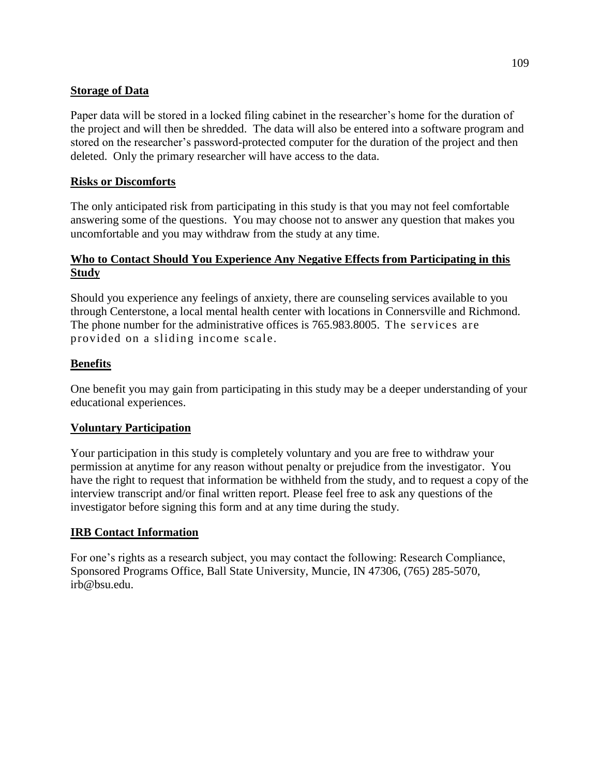## **Storage of Data**

Paper data will be stored in a locked filing cabinet in the researcher's home for the duration of the project and will then be shredded. The data will also be entered into a software program and stored on the researcher's password-protected computer for the duration of the project and then deleted. Only the primary researcher will have access to the data.

## **Risks or Discomforts**

The only anticipated risk from participating in this study is that you may not feel comfortable answering some of the questions. You may choose not to answer any question that makes you uncomfortable and you may withdraw from the study at any time.

## **Who to Contact Should You Experience Any Negative Effects from Participating in this Study**

Should you experience any feelings of anxiety, there are counseling services available to you through Centerstone, a local mental health center with locations in Connersville and Richmond. The phone number for the administrative offices is 765.983.8005. The services are provided on a sliding income scale.

## **Benefits**

One benefit you may gain from participating in this study may be a deeper understanding of your educational experiences.

### **Voluntary Participation**

Your participation in this study is completely voluntary and you are free to withdraw your permission at anytime for any reason without penalty or prejudice from the investigator. You have the right to request that information be withheld from the study, and to request a copy of the interview transcript and/or final written report. Please feel free to ask any questions of the investigator before signing this form and at any time during the study.

### **IRB Contact Information**

For one's rights as a research subject, you may contact the following: Research Compliance, Sponsored Programs Office, Ball State University, Muncie, IN 47306, (765) 285-5070, irb@bsu.edu.